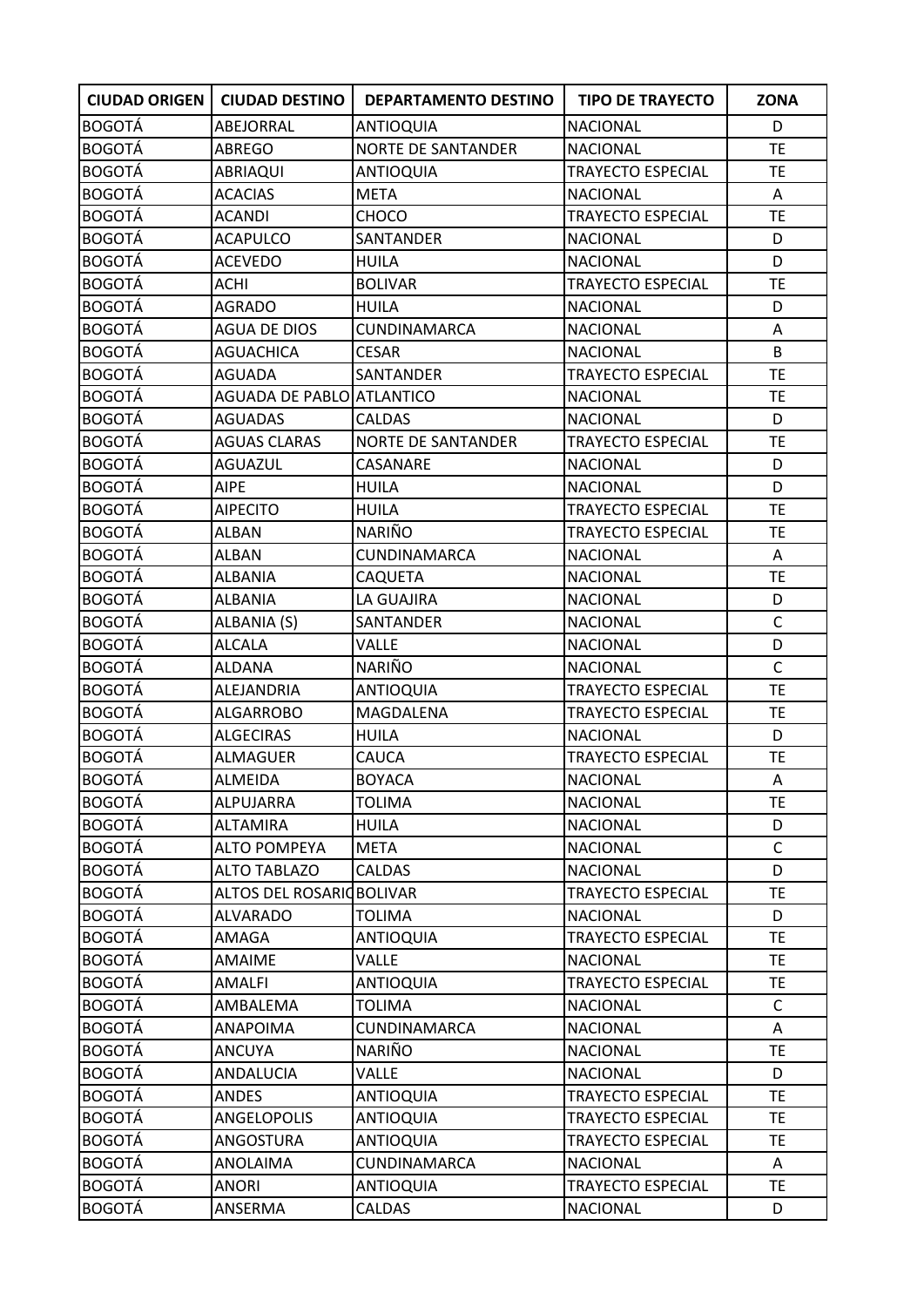| <b>CIUDAD ORIGEN</b> | <b>CIUDAD DESTINO</b>            | <b>DEPARTAMENTO DESTINO</b> | <b>TIPO DE TRAYECTO</b>  | <b>ZONA</b>  |
|----------------------|----------------------------------|-----------------------------|--------------------------|--------------|
| <b>BOGOTÁ</b>        | ABEJORRAL                        | <b>ANTIOQUIA</b>            | <b>NACIONAL</b>          | D            |
| <b>BOGOTÁ</b>        | <b>ABREGO</b>                    | <b>NORTE DE SANTANDER</b>   | <b>NACIONAL</b>          | TE           |
| <b>BOGOTÁ</b>        | ABRIAQUI                         | ANTIOQUIA                   | <b>TRAYECTO ESPECIAL</b> | TE           |
| <b>BOGOTÁ</b>        | <b>ACACIAS</b>                   | <b>META</b>                 | <b>NACIONAL</b>          | A            |
| <b>BOGOTÁ</b>        | <b>ACANDI</b>                    | CHOCO                       | TRAYECTO ESPECIAL        | <b>TE</b>    |
| <b>BOGOTÁ</b>        | <b>ACAPULCO</b>                  | SANTANDER                   | <b>NACIONAL</b>          | D            |
| <b>BOGOTÁ</b>        | ACEVEDO                          | <b>HUILA</b>                | <b>NACIONAL</b>          | D            |
| <b>BOGOTÁ</b>        | ACHI                             | <b>BOLIVAR</b>              | <b>TRAYECTO ESPECIAL</b> | <b>TE</b>    |
| <b>BOGOTÁ</b>        | <b>AGRADO</b>                    | <b>HUILA</b>                | <b>NACIONAL</b>          | D            |
| <b>BOGOTÁ</b>        | AGUA DE DIOS                     | CUNDINAMARCA                | <b>NACIONAL</b>          | Α            |
| <b>BOGOTÁ</b>        | <b>AGUACHICA</b>                 | <b>CESAR</b>                | <b>NACIONAL</b>          | B            |
| <b>BOGOTÁ</b>        | AGUADA                           | SANTANDER                   | <b>TRAYECTO ESPECIAL</b> | <b>TE</b>    |
| <b>BOGOTÁ</b>        | <b>AGUADA DE PABLO ATLANTICO</b> |                             | <b>NACIONAL</b>          | <b>TE</b>    |
| <b>BOGOTÁ</b>        | <b>AGUADAS</b>                   | <b>CALDAS</b>               | <b>NACIONAL</b>          | D            |
| <b>BOGOTÁ</b>        | <b>AGUAS CLARAS</b>              | <b>NORTE DE SANTANDER</b>   | <b>TRAYECTO ESPECIAL</b> | TE           |
| <b>BOGOTÁ</b>        | <b>AGUAZUL</b>                   | CASANARE                    | <b>NACIONAL</b>          | D            |
| <b>BOGOTÁ</b>        | <b>AIPE</b>                      | <b>HUILA</b>                | <b>NACIONAL</b>          | D            |
| <b>BOGOTÁ</b>        | <b>AIPECITO</b>                  | <b>HUILA</b>                | <b>TRAYECTO ESPECIAL</b> | <b>TE</b>    |
| <b>BOGOTÁ</b>        | <b>ALBAN</b>                     | <b>NARIÑO</b>               | <b>TRAYECTO ESPECIAL</b> | <b>TE</b>    |
| <b>BOGOTÁ</b>        | ALBAN                            | CUNDINAMARCA                | <b>NACIONAL</b>          | Α            |
| <b>BOGOTÁ</b>        | <b>ALBANIA</b>                   | <b>CAQUETA</b>              | <b>NACIONAL</b>          | TE           |
| <b>BOGOTÁ</b>        | ALBANIA                          | LA GUAJIRA                  | <b>NACIONAL</b>          | D            |
| <b>BOGOTÁ</b>        | ALBANIA (S)                      | SANTANDER                   | <b>NACIONAL</b>          | $\mathsf{C}$ |
| <b>BOGOTÁ</b>        | <b>ALCALA</b>                    | VALLE                       | <b>NACIONAL</b>          | D            |
| <b>BOGOTÁ</b>        | <b>ALDANA</b>                    | NARIÑO                      | <b>NACIONAL</b>          | $\mathsf{C}$ |
| <b>BOGOTÁ</b>        | ALEJANDRIA                       | <b>ANTIOQUIA</b>            | TRAYECTO ESPECIAL        | <b>TE</b>    |
| <b>BOGOTÁ</b>        | <b>ALGARROBO</b>                 | MAGDALENA                   | <b>TRAYECTO ESPECIAL</b> | <b>TE</b>    |
| <b>BOGOTÁ</b>        | <b>ALGECIRAS</b>                 | <b>HUILA</b>                | <b>NACIONAL</b>          | D            |
| <b>BOGOTÁ</b>        | ALMAGUER                         | <b>CAUCA</b>                | <b>TRAYECTO ESPECIAL</b> | <b>TE</b>    |
| <b>BOGOTÁ</b>        | ALMEIDA                          | <b>BOYACA</b>               | <b>NACIONAL</b>          | Α            |
| <b>BOGOTÁ</b>        | ALPUJARRA                        | <b>TOLIMA</b>               | <b>NACIONAL</b>          | <b>TE</b>    |
| <b>BOGOTÁ</b>        | <b>ALTAMIRA</b>                  | <b>HUILA</b>                | <b>NACIONAL</b>          | D            |
| <b>BOGOTÁ</b>        | <b>ALTO POMPEYA</b>              | <b>META</b>                 | <b>NACIONAL</b>          | $\mathsf{C}$ |
| <b>BOGOTÁ</b>        | <b>ALTO TABLAZO</b>              | <b>CALDAS</b>               | <b>NACIONAL</b>          | D            |
| <b>BOGOTÁ</b>        | ALTOS DEL ROSARIO BOLIVAR        |                             | <b>TRAYECTO ESPECIAL</b> | <b>TE</b>    |
| <b>BOGOTÁ</b>        | <b>ALVARADO</b>                  | <b>TOLIMA</b>               | <b>NACIONAL</b>          | D            |
| <b>BOGOTÁ</b>        | AMAGA                            | <b>ANTIOQUIA</b>            | <b>TRAYECTO ESPECIAL</b> | <b>TE</b>    |
| <b>BOGOTÁ</b>        | <b>AMAIME</b>                    | VALLE                       | <b>NACIONAL</b>          | <b>TE</b>    |
| <b>BOGOTÁ</b>        | AMALFI                           | <b>ANTIOQUIA</b>            | <b>TRAYECTO ESPECIAL</b> | <b>TE</b>    |
| <b>BOGOTÁ</b>        | AMBALEMA                         | <b>TOLIMA</b>               | <b>NACIONAL</b>          | $\mathsf{C}$ |
| <b>BOGOTÁ</b>        | <b>ANAPOIMA</b>                  | CUNDINAMARCA                | <b>NACIONAL</b>          | Α            |
| <b>BOGOTÁ</b>        | <b>ANCUYA</b>                    | NARIÑO                      | <b>NACIONAL</b>          | <b>TE</b>    |
| <b>BOGOTÁ</b>        | ANDALUCIA                        | <b>VALLE</b>                | <b>NACIONAL</b>          | D            |
| <b>BOGOTÁ</b>        | ANDES                            | <b>ANTIOQUIA</b>            | <b>TRAYECTO ESPECIAL</b> | <b>TE</b>    |
| <b>BOGOTÁ</b>        | ANGELOPOLIS                      | <b>ANTIOQUIA</b>            | <b>TRAYECTO ESPECIAL</b> | <b>TE</b>    |
| <b>BOGOTÁ</b>        | ANGOSTURA                        | <b>ANTIOQUIA</b>            | <b>TRAYECTO ESPECIAL</b> | TE           |
| <b>BOGOTÁ</b>        | ANOLAIMA                         | CUNDINAMARCA                | <b>NACIONAL</b>          | A            |
| <b>BOGOTÁ</b>        | ANORI                            | <b>ANTIOQUIA</b>            | TRAYECTO ESPECIAL        | <b>TE</b>    |
| <b>BOGOTÁ</b>        | ANSERMA                          | CALDAS                      | <b>NACIONAL</b>          | D            |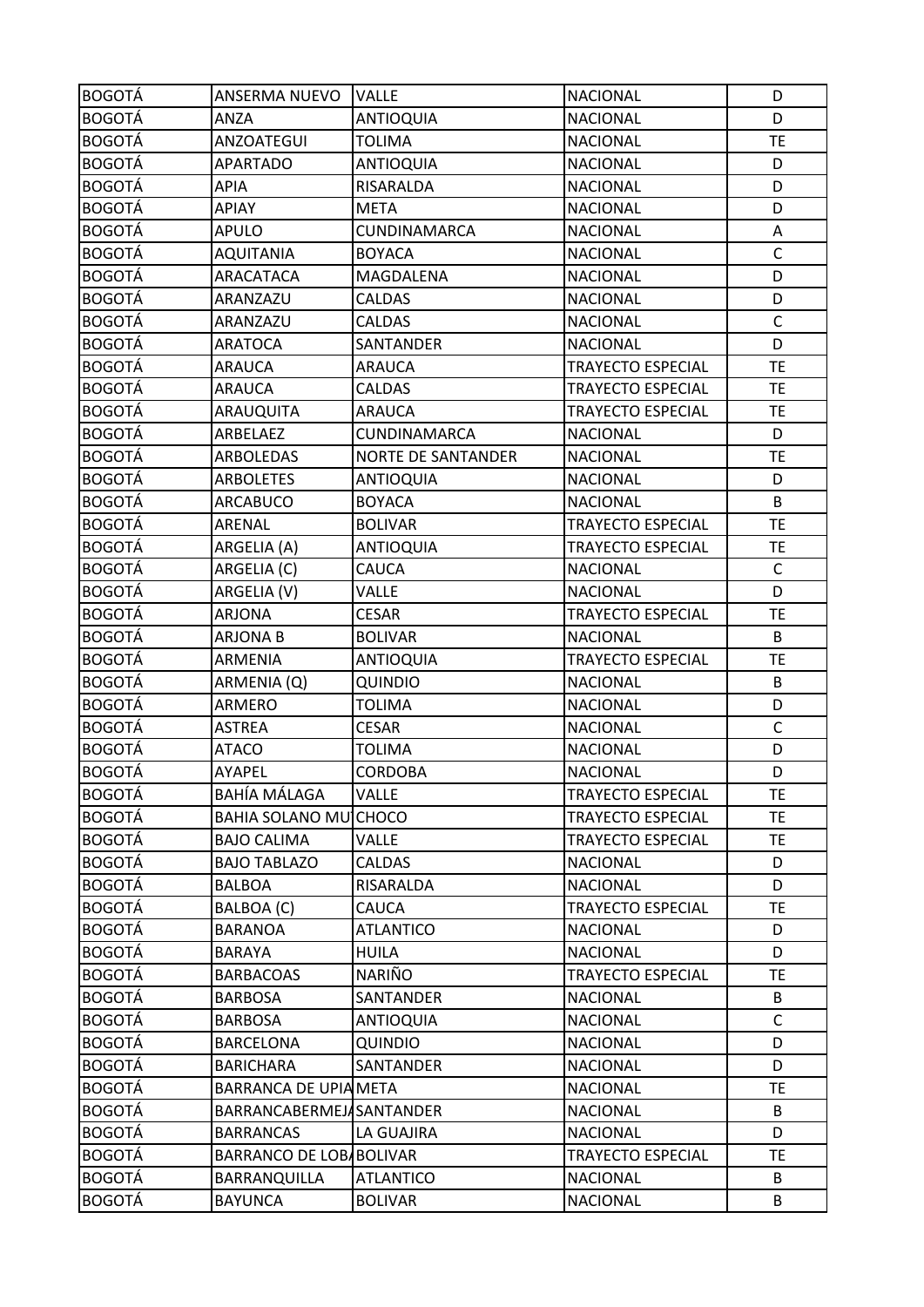| <b>BOGOTÁ</b> | ANSERMA NUEVO            | <b>VALLE</b>              | <b>NACIONAL</b>          | D            |
|---------------|--------------------------|---------------------------|--------------------------|--------------|
| <b>BOGOTÁ</b> | ANZA                     | <b>ANTIOQUIA</b>          | <b>NACIONAL</b>          | D            |
| <b>BOGOTÁ</b> | ANZOATEGUI               | TOLIMA                    | <b>NACIONAL</b>          | <b>TE</b>    |
| <b>BOGOTÁ</b> | <b>APARTADO</b>          | <b>ANTIOQUIA</b>          | <b>NACIONAL</b>          | D            |
| <b>BOGOTÁ</b> | <b>APIA</b>              | RISARALDA                 | <b>NACIONAL</b>          | D            |
| <b>BOGOTÁ</b> | APIAY                    | <b>META</b>               | <b>NACIONAL</b>          | D            |
| <b>BOGOTÁ</b> | <b>APULO</b>             | CUNDINAMARCA              | <b>NACIONAL</b>          | Α            |
| <b>BOGOTÁ</b> | <b>AQUITANIA</b>         | <b>BOYACA</b>             | <b>NACIONAL</b>          | $\mathsf{C}$ |
| <b>BOGOTÁ</b> | ARACATACA                | MAGDALENA                 | <b>NACIONAL</b>          | D            |
| <b>BOGOTÁ</b> | ARANZAZU                 | CALDAS                    | <b>NACIONAL</b>          | D            |
| <b>BOGOTÁ</b> | ARANZAZU                 | CALDAS                    | <b>NACIONAL</b>          | $\mathsf{C}$ |
| <b>BOGOTÁ</b> | <b>ARATOCA</b>           | SANTANDER                 | <b>NACIONAL</b>          | D            |
| <b>BOGOTÁ</b> | <b>ARAUCA</b>            | <b>ARAUCA</b>             | <b>TRAYECTO ESPECIAL</b> | TE           |
| <b>BOGOTÁ</b> | <b>ARAUCA</b>            | <b>CALDAS</b>             | TRAYECTO ESPECIAL        | <b>TE</b>    |
| <b>BOGOTÁ</b> | ARAUQUITA                | <b>ARAUCA</b>             | <b>TRAYECTO ESPECIAL</b> | TE           |
| <b>BOGOTÁ</b> | ARBELAEZ                 | CUNDINAMARCA              | <b>NACIONAL</b>          | D            |
| <b>BOGOTÁ</b> | ARBOLEDAS                | <b>NORTE DE SANTANDER</b> | <b>NACIONAL</b>          | TE           |
| <b>BOGOTÁ</b> | <b>ARBOLETES</b>         | <b>ANTIOQUIA</b>          | <b>NACIONAL</b>          | D            |
| <b>BOGOTÁ</b> | <b>ARCABUCO</b>          | <b>BOYACA</b>             | <b>NACIONAL</b>          | B            |
| <b>BOGOTÁ</b> | ARENAL                   | <b>BOLIVAR</b>            | <b>TRAYECTO ESPECIAL</b> | TE           |
| <b>BOGOTÁ</b> | ARGELIA (A)              | <b>ANTIOQUIA</b>          | TRAYECTO ESPECIAL        | TE           |
| <b>BOGOTÁ</b> | ARGELIA (C)              | CAUCA                     | <b>NACIONAL</b>          | $\mathsf C$  |
| <b>BOGOTÁ</b> | ARGELIA (V)              | <b>VALLE</b>              | <b>NACIONAL</b>          | D            |
| <b>BOGOTÁ</b> | <b>ARJONA</b>            | <b>CESAR</b>              | TRAYECTO ESPECIAL        | <b>TE</b>    |
| <b>BOGOTÁ</b> | <b>ARJONA B</b>          | <b>BOLIVAR</b>            | <b>NACIONAL</b>          | B            |
| <b>BOGOTÁ</b> | ARMENIA                  | <b>ANTIOQUIA</b>          | TRAYECTO ESPECIAL        | <b>TE</b>    |
| <b>BOGOTÁ</b> | ARMENIA (Q)              | <b>QUINDIO</b>            | <b>NACIONAL</b>          | B            |
| <b>BOGOTÁ</b> | ARMERO                   | <b>TOLIMA</b>             | <b>NACIONAL</b>          | D            |
| <b>BOGOTÁ</b> | <b>ASTREA</b>            | <b>CESAR</b>              | <b>NACIONAL</b>          | C            |
| <b>BOGOTÁ</b> | <b>ATACO</b>             | <b>TOLIMA</b>             | <b>NACIONAL</b>          | D            |
| <b>BOGOTÁ</b> | AYAPEL                   | <b>CORDOBA</b>            | <b>NACIONAL</b>          | D            |
| <b>BOGOTÁ</b> | <b>BAHÍA MÁLAGA</b>      | <b>VALLE</b>              | <b>TRAYECTO ESPECIAL</b> | <b>TE</b>    |
| <b>BOGOTÁ</b> | <b>BAHIA SOLANO MU</b>   | <b>CHOCO</b>              | <b>TRAYECTO ESPECIAL</b> | <b>TE</b>    |
| <b>BOGOTÁ</b> | <b>BAJO CALIMA</b>       | VALLE                     | TRAYECTO ESPECIAL        | TE.          |
| <b>BOGOTÁ</b> | <b>BAJO TABLAZO</b>      | <b>CALDAS</b>             | <b>NACIONAL</b>          | D            |
| <b>BOGOTÁ</b> | <b>BALBOA</b>            | RISARALDA                 | <b>NACIONAL</b>          | D            |
| <b>BOGOTÁ</b> | BALBOA (C)               | CAUCA                     | <b>TRAYECTO ESPECIAL</b> | <b>TE</b>    |
| <b>BOGOTÁ</b> | <b>BARANOA</b>           | <b>ATLANTICO</b>          | <b>NACIONAL</b>          | D            |
| <b>BOGOTÁ</b> | <b>BARAYA</b>            | <b>HUILA</b>              | <b>NACIONAL</b>          | D            |
| <b>BOGOTÁ</b> | <b>BARBACOAS</b>         | <b>NARIÑO</b>             | <b>TRAYECTO ESPECIAL</b> | ТE           |
| <b>BOGOTÁ</b> | <b>BARBOSA</b>           | SANTANDER                 | <b>NACIONAL</b>          | B            |
| <b>BOGOTÁ</b> | <b>BARBOSA</b>           | <b>ANTIOQUIA</b>          | <b>NACIONAL</b>          | $\mathsf{C}$ |
| <b>BOGOTÁ</b> | <b>BARCELONA</b>         | QUINDIO                   | <b>NACIONAL</b>          | D            |
| <b>BOGOTÁ</b> | <b>BARICHARA</b>         | SANTANDER                 | <b>NACIONAL</b>          | D            |
| <b>BOGOTÁ</b> | BARRANCA DE UPIA META    |                           | <b>NACIONAL</b>          | TE           |
| <b>BOGOTÁ</b> | BARRANCABERMEJASANTANDER |                           | <b>NACIONAL</b>          | B            |
| <b>BOGOTÁ</b> | <b>BARRANCAS</b>         | LA GUAJIRA                | <b>NACIONAL</b>          | D            |
| <b>BOGOTÁ</b> | BARRANCO DE LOBABOLIVAR  |                           | TRAYECTO ESPECIAL        | TE.          |
| <b>BOGOTÁ</b> | BARRANQUILLA             | <b>ATLANTICO</b>          | <b>NACIONAL</b>          | B            |
| <b>BOGOTÁ</b> | <b>BAYUNCA</b>           | <b>BOLIVAR</b>            | <b>NACIONAL</b>          | B            |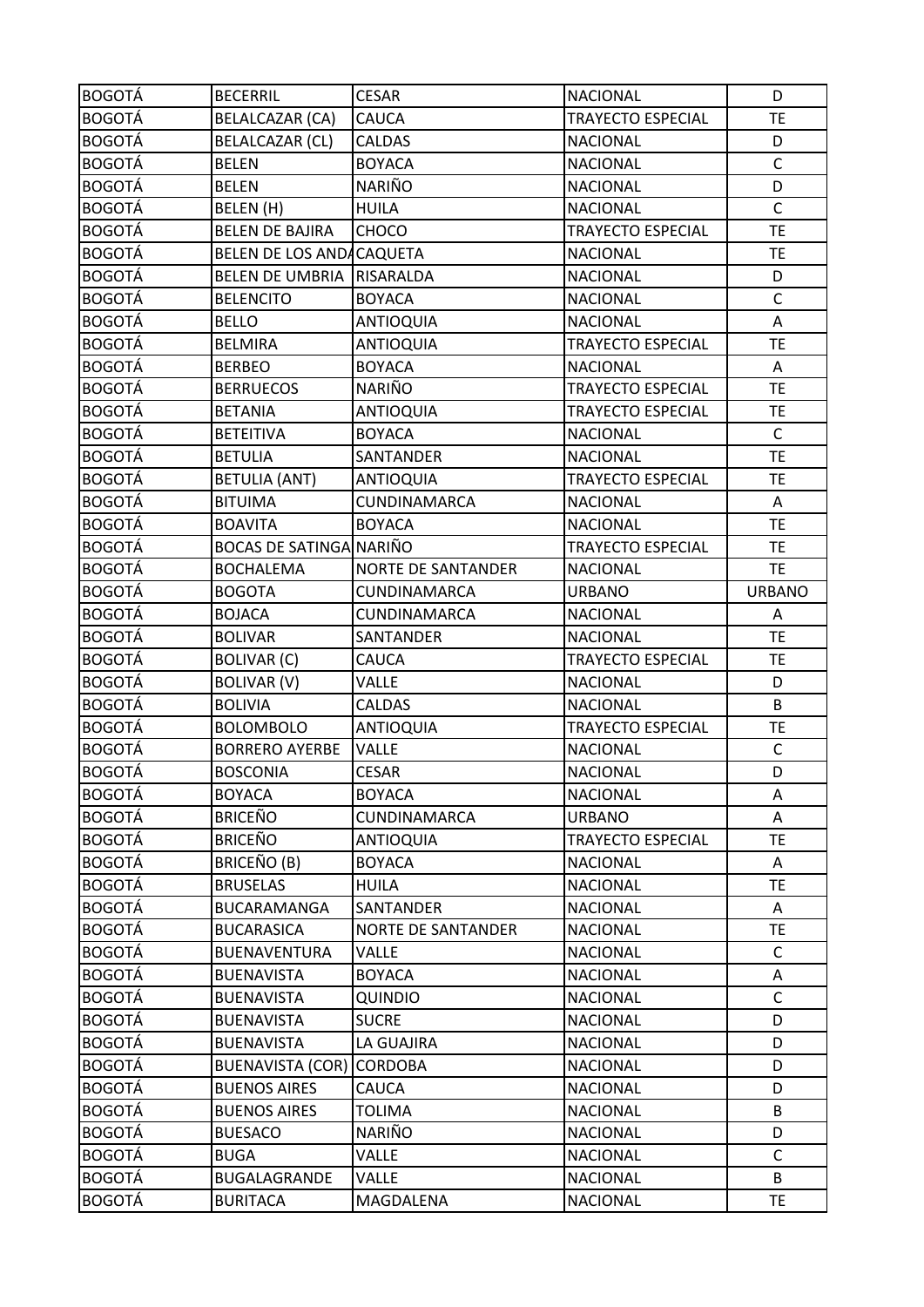| <b>BOGOTÁ</b> | <b>BECERRIL</b>                 | <b>CESAR</b>              | <b>NACIONAL</b>          | D             |
|---------------|---------------------------------|---------------------------|--------------------------|---------------|
| <b>BOGOTÁ</b> | BELALCAZAR (CA)                 | CAUCA                     | <b>TRAYECTO ESPECIAL</b> | <b>TE</b>     |
| <b>BOGOTÁ</b> | BELALCAZAR (CL)                 | <b>CALDAS</b>             | <b>NACIONAL</b>          | D             |
| <b>BOGOTÁ</b> | <b>BELEN</b>                    | <b>BOYACA</b>             | <b>NACIONAL</b>          | $\mathsf{C}$  |
| <b>BOGOTÁ</b> | <b>BELEN</b>                    | NARIÑO                    | <b>NACIONAL</b>          | D             |
| <b>BOGOTÁ</b> | BELEN (H)                       | <b>HUILA</b>              | <b>NACIONAL</b>          | $\mathsf C$   |
| <b>BOGOTÁ</b> | <b>BELEN DE BAJIRA</b>          | <b>CHOCO</b>              | <b>TRAYECTO ESPECIAL</b> | <b>TE</b>     |
| <b>BOGOTÁ</b> | BELEN DE LOS ANDACAQUETA        |                           | <b>NACIONAL</b>          | <b>TE</b>     |
| <b>BOGOTÁ</b> | BELEN DE UMBRIA RISARALDA       |                           | <b>NACIONAL</b>          | D             |
| <b>BOGOTÁ</b> | <b>BELENCITO</b>                | <b>BOYACA</b>             | <b>NACIONAL</b>          | C             |
| <b>BOGOTÁ</b> | <b>BELLO</b>                    | <b>ANTIOQUIA</b>          | <b>NACIONAL</b>          | A             |
| <b>BOGOTÁ</b> | <b>BELMIRA</b>                  | <b>ANTIOQUIA</b>          | TRAYECTO ESPECIAL        | <b>TE</b>     |
| <b>BOGOTÁ</b> | <b>BERBEO</b>                   | <b>BOYACA</b>             | <b>NACIONAL</b>          | A             |
| <b>BOGOTÁ</b> | <b>BERRUECOS</b>                | NARIÑO                    | <b>TRAYECTO ESPECIAL</b> | <b>TE</b>     |
| <b>BOGOTÁ</b> | <b>BETANIA</b>                  | ANTIOQUIA                 | <b>TRAYECTO ESPECIAL</b> | <b>TE</b>     |
| <b>BOGOTÁ</b> | <b>BETEITIVA</b>                | <b>BOYACA</b>             | <b>NACIONAL</b>          | $\mathsf{C}$  |
| <b>BOGOTÁ</b> | <b>BETULIA</b>                  | <b>SANTANDER</b>          | <b>NACIONAL</b>          | <b>TE</b>     |
| <b>BOGOTÁ</b> | <b>BETULIA (ANT)</b>            | <b>ANTIOQUIA</b>          | <b>TRAYECTO ESPECIAL</b> | <b>TE</b>     |
| <b>BOGOTÁ</b> | <b>BITUIMA</b>                  | CUNDINAMARCA              | <b>NACIONAL</b>          | Α             |
| <b>BOGOTÁ</b> | <b>BOAVITA</b>                  | <b>BOYACA</b>             | <b>NACIONAL</b>          | <b>TE</b>     |
| <b>BOGOTÁ</b> | <b>BOCAS DE SATINGA NARIÑO</b>  |                           | <b>TRAYECTO ESPECIAL</b> | <b>TE</b>     |
| <b>BOGOTÁ</b> | <b>BOCHALEMA</b>                | <b>NORTE DE SANTANDER</b> | <b>NACIONAL</b>          | <b>TE</b>     |
| <b>BOGOTÁ</b> | <b>BOGOTA</b>                   | CUNDINAMARCA              | <b>URBANO</b>            | <b>URBANO</b> |
| <b>BOGOTÁ</b> | <b>BOJACA</b>                   | CUNDINAMARCA              | <b>NACIONAL</b>          | A             |
| <b>BOGOTÁ</b> | <b>BOLIVAR</b>                  | SANTANDER                 | <b>NACIONAL</b>          | <b>TE</b>     |
| <b>BOGOTÁ</b> | <b>BOLIVAR (C)</b>              | CAUCA                     | <b>TRAYECTO ESPECIAL</b> | <b>TE</b>     |
| <b>BOGOTÁ</b> | <b>BOLIVAR (V)</b>              | <b>VALLE</b>              | <b>NACIONAL</b>          | D             |
| <b>BOGOTÁ</b> | <b>BOLIVIA</b>                  | <b>CALDAS</b>             | <b>NACIONAL</b>          | B             |
| <b>BOGOTÁ</b> | <b>BOLOMBOLO</b>                | <b>ANTIOQUIA</b>          | <b>TRAYECTO ESPECIAL</b> | TE            |
| <b>BOGOTÁ</b> | <b>BORRERO AYERBE</b>           | VALLE                     | <b>NACIONAL</b>          | $\mathsf{C}$  |
| <b>BOGOTÁ</b> | <b>BOSCONIA</b>                 | <b>CESAR</b>              | <b>NACIONAL</b>          | D             |
| <b>BOGOTÁ</b> | <b>BOYACA</b>                   | <b>BOYACA</b>             | <b>NACIONAL</b>          | Α             |
| <b>BOGOTÁ</b> | <b>BRICEÑO</b>                  | CUNDINAMARCA              | <b>URBANO</b>            | Α             |
| <b>BOGOTÁ</b> | <b>BRICEÑO</b>                  | <b>ANTIOQUIA</b>          | <b>TRAYECTO ESPECIAL</b> | <b>TE</b>     |
| <b>BOGOTÁ</b> | <b>BRICEÑO (B)</b>              | <b>BOYACA</b>             | <b>NACIONAL</b>          | A             |
| <b>BOGOTÁ</b> | <b>BRUSELAS</b>                 | <b>HUILA</b>              | <b>NACIONAL</b>          | <b>TE</b>     |
| <b>BOGOTÁ</b> | <b>BUCARAMANGA</b>              | SANTANDER                 | <b>NACIONAL</b>          | A             |
| <b>BOGOTÁ</b> | <b>BUCARASICA</b>               | <b>NORTE DE SANTANDER</b> | <b>NACIONAL</b>          | <b>TE</b>     |
| <b>BOGOTÁ</b> | <b>BUENAVENTURA</b>             | <b>VALLE</b>              | <b>NACIONAL</b>          | $\mathsf C$   |
| <b>BOGOTÁ</b> | <b>BUENAVISTA</b>               | <b>BOYACA</b>             | <b>NACIONAL</b>          | Α             |
| <b>BOGOTÁ</b> | <b>BUENAVISTA</b>               | <b>QUINDIO</b>            | <b>NACIONAL</b>          | C             |
| <b>BOGOTÁ</b> | <b>BUENAVISTA</b>               | <b>SUCRE</b>              | <b>NACIONAL</b>          | D             |
| <b>BOGOTÁ</b> | <b>BUENAVISTA</b>               | LA GUAJIRA                | <b>NACIONAL</b>          | D             |
| <b>BOGOTÁ</b> | <b>BUENAVISTA (COR) CORDOBA</b> |                           | <b>NACIONAL</b>          | D             |
| <b>BOGOTÁ</b> | <b>BUENOS AIRES</b>             | CAUCA                     | <b>NACIONAL</b>          | D             |
| <b>BOGOTÁ</b> | <b>BUENOS AIRES</b>             | <b>TOLIMA</b>             | <b>NACIONAL</b>          | B             |
| <b>BOGOTÁ</b> | <b>BUESACO</b>                  | NARIÑO                    | <b>NACIONAL</b>          | D             |
| <b>BOGOTÁ</b> | <b>BUGA</b>                     | VALLE                     | <b>NACIONAL</b>          | C             |
| <b>BOGOTÁ</b> | BUGALAGRANDE                    | <b>VALLE</b>              | <b>NACIONAL</b>          | B             |
| <b>BOGOTÁ</b> | <b>BURITACA</b>                 | MAGDALENA                 | <b>NACIONAL</b>          | <b>TE</b>     |
|               |                                 |                           |                          |               |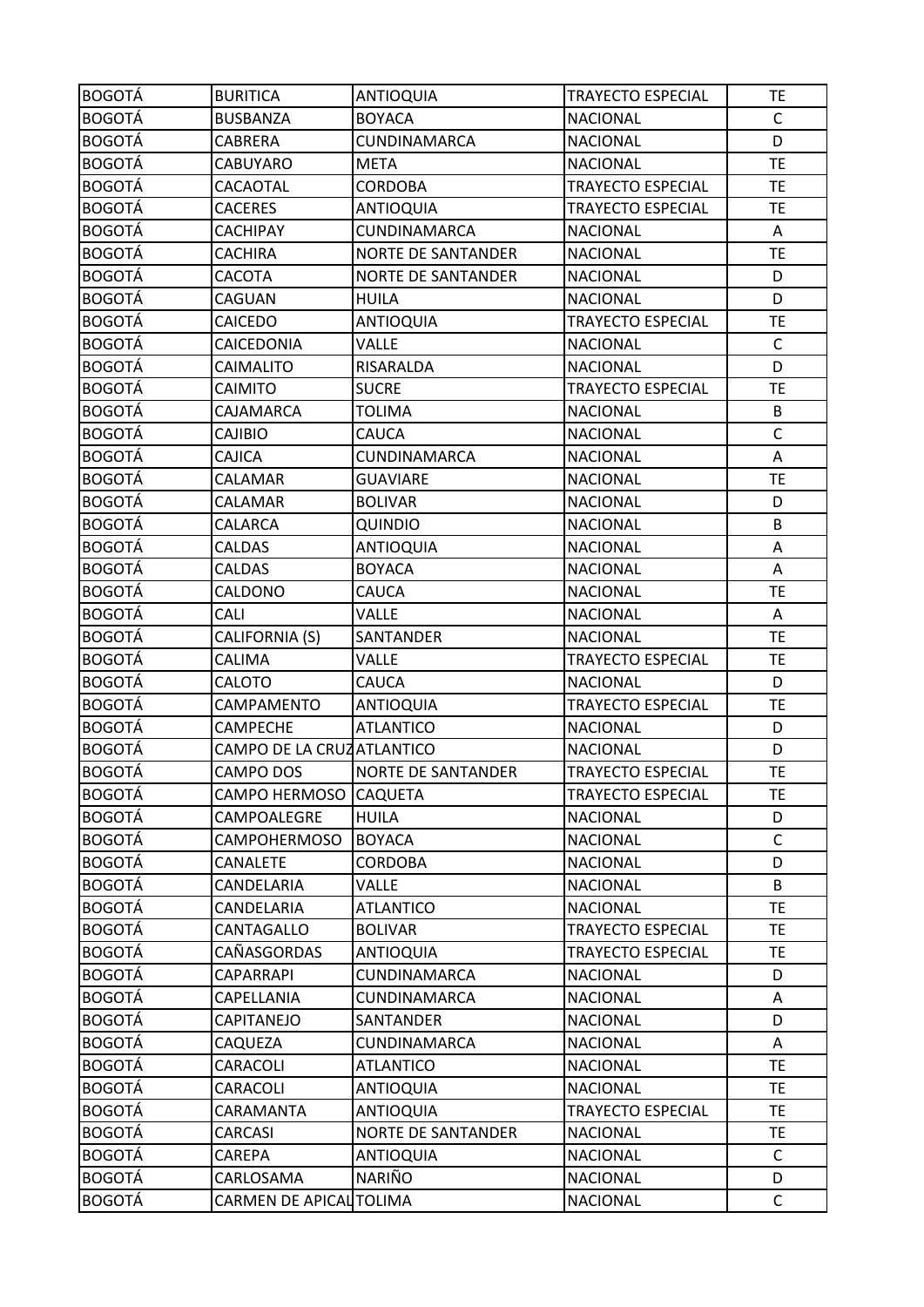| <b>BOGOTÁ</b> | <b>BURITICA</b>           | ANTIOQUIA                 | <b>TRAYECTO ESPECIAL</b> | TE.          |
|---------------|---------------------------|---------------------------|--------------------------|--------------|
| <b>BOGOTÁ</b> | <b>BUSBANZA</b>           | <b>BOYACA</b>             | <b>NACIONAL</b>          | $\mathsf{C}$ |
| <b>BOGOTÁ</b> | <b>CABRERA</b>            | CUNDINAMARCA              | <b>NACIONAL</b>          | D            |
| <b>BOGOTÁ</b> | CABUYARO                  | <b>META</b>               | <b>NACIONAL</b>          | <b>TE</b>    |
| <b>BOGOTÁ</b> | CACAOTAL                  | <b>CORDOBA</b>            | TRAYECTO ESPECIAL        | <b>TE</b>    |
| <b>BOGOTÁ</b> | <b>CACERES</b>            | <b>ANTIOQUIA</b>          | <b>TRAYECTO ESPECIAL</b> | <b>TE</b>    |
| <b>BOGOTÁ</b> | CACHIPAY                  | CUNDINAMARCA              | <b>NACIONAL</b>          | Α            |
| <b>BOGOTÁ</b> | <b>CACHIRA</b>            | <b>NORTE DE SANTANDER</b> | <b>NACIONAL</b>          | <b>TE</b>    |
| <b>BOGOTÁ</b> | CACOTA                    | <b>NORTE DE SANTANDER</b> | <b>NACIONAL</b>          | D            |
| <b>BOGOTÁ</b> | CAGUAN                    | HUILA                     | <b>NACIONAL</b>          | D            |
| <b>BOGOTÁ</b> | CAICEDO                   | <b>ANTIOQUIA</b>          | <b>TRAYECTO ESPECIAL</b> | <b>TE</b>    |
| <b>BOGOTÁ</b> | CAICEDONIA                | VALLE                     | <b>NACIONAL</b>          | $\mathsf{C}$ |
| <b>BOGOTÁ</b> | CAIMALITO                 | RISARALDA                 | <b>NACIONAL</b>          | D            |
| <b>BOGOTÁ</b> | <b>CAIMITO</b>            | <b>SUCRE</b>              | TRAYECTO ESPECIAL        | <b>TE</b>    |
| <b>BOGOTÁ</b> | CAJAMARCA                 | <b>TOLIMA</b>             | <b>NACIONAL</b>          | B            |
| <b>BOGOTÁ</b> | <b>CAJIBIO</b>            | CAUCA                     | <b>NACIONAL</b>          | $\mathsf{C}$ |
| <b>BOGOTÁ</b> | CAJICA                    | CUNDINAMARCA              | <b>NACIONAL</b>          | Α            |
| <b>BOGOTÁ</b> | CALAMAR                   | <b>GUAVIARE</b>           | <b>NACIONAL</b>          | <b>TE</b>    |
| <b>BOGOTÁ</b> | CALAMAR                   | <b>BOLIVAR</b>            | <b>NACIONAL</b>          | D            |
| <b>BOGOTÁ</b> | CALARCA                   | <b>QUINDIO</b>            | <b>NACIONAL</b>          | B            |
| <b>BOGOTÁ</b> | <b>CALDAS</b>             | <b>ANTIOQUIA</b>          | <b>NACIONAL</b>          | Α            |
| <b>BOGOTÁ</b> | <b>CALDAS</b>             | <b>BOYACA</b>             | <b>NACIONAL</b>          | Α            |
| <b>BOGOTÁ</b> | CALDONO                   | CAUCA                     | <b>NACIONAL</b>          | TE           |
| <b>BOGOTÁ</b> | CALI                      | VALLE                     | <b>NACIONAL</b>          | Α            |
| <b>BOGOTÁ</b> | CALIFORNIA (S)            | SANTANDER                 | <b>NACIONAL</b>          | <b>TE</b>    |
| <b>BOGOTÁ</b> | <b>CALIMA</b>             | VALLE                     | <b>TRAYECTO ESPECIAL</b> | <b>TE</b>    |
| <b>BOGOTÁ</b> | CALOTO                    | CAUCA                     | <b>NACIONAL</b>          | D            |
| <b>BOGOTÁ</b> | CAMPAMENTO                | <b>ANTIOQUIA</b>          | <b>TRAYECTO ESPECIAL</b> | TE           |
| <b>BOGOTÁ</b> | <b>CAMPECHE</b>           | <b>ATLANTICO</b>          | <b>NACIONAL</b>          | D            |
| <b>BOGOTÁ</b> | CAMPO DE LA CRUZATLANTICO |                           | <b>NACIONAL</b>          | D            |
| <b>BOGOTÁ</b> | CAMPO DOS                 | <b>NORTE DE SANTANDER</b> | <b>TRAYECTO ESPECIAL</b> | <b>TE</b>    |
| <b>BOGOTÁ</b> | CAMPO HERMOSO             | <b>CAQUETA</b>            | <b>TRAYECTO ESPECIAL</b> | <b>TE</b>    |
| <b>BOGOTÁ</b> | CAMPOALEGRE               | <b>HUILA</b>              | <b>NACIONAL</b>          | D            |
| <b>BOGOTÁ</b> | <b>CAMPOHERMOSO</b>       | <b>BOYACA</b>             | <b>NACIONAL</b>          | $\mathsf C$  |
| <b>BOGOTÁ</b> | CANALETE                  | <b>CORDOBA</b>            | <b>NACIONAL</b>          | D            |
| <b>BOGOTÁ</b> | CANDELARIA                | VALLE                     | <b>NACIONAL</b>          | B            |
| <b>BOGOTÁ</b> | CANDELARIA                | <b>ATLANTICO</b>          | <b>NACIONAL</b>          | <b>TE</b>    |
| <b>BOGOTÁ</b> | CANTAGALLO                | <b>BOLIVAR</b>            | TRAYECTO ESPECIAL        | <b>TE</b>    |
| <b>BOGOTÁ</b> | CAÑASGORDAS               | <b>ANTIOQUIA</b>          | <b>TRAYECTO ESPECIAL</b> | <b>TE</b>    |
| <b>BOGOTÁ</b> | CAPARRAPI                 | CUNDINAMARCA              | <b>NACIONAL</b>          | D            |
| <b>BOGOTÁ</b> | CAPELLANIA                | CUNDINAMARCA              | <b>NACIONAL</b>          | Α            |
| <b>BOGOTÁ</b> | CAPITANEJO                | SANTANDER                 | <b>NACIONAL</b>          | D            |
| <b>BOGOTÁ</b> | CAQUEZA                   | CUNDINAMARCA              | <b>NACIONAL</b>          | A            |
| <b>BOGOTÁ</b> | CARACOLI                  | <b>ATLANTICO</b>          | <b>NACIONAL</b>          | <b>TE</b>    |
| <b>BOGOTÁ</b> | CARACOLI                  | <b>ANTIOQUIA</b>          | <b>NACIONAL</b>          | <b>TE</b>    |
| <b>BOGOTÁ</b> | CARAMANTA                 | <b>ANTIOQUIA</b>          | <b>TRAYECTO ESPECIAL</b> | <b>TE</b>    |
| <b>BOGOTÁ</b> | CARCASI                   | <b>NORTE DE SANTANDER</b> | <b>NACIONAL</b>          | <b>TE</b>    |
| <b>BOGOTÁ</b> | CAREPA                    | <b>ANTIOQUIA</b>          | <b>NACIONAL</b>          | C            |
| <b>BOGOTÁ</b> | CARLOSAMA                 | NARIÑO                    | <b>NACIONAL</b>          | D            |
| <b>BOGOTÁ</b> | CARMEN DE APICAL TOLIMA   |                           | <b>NACIONAL</b>          | $\mathsf C$  |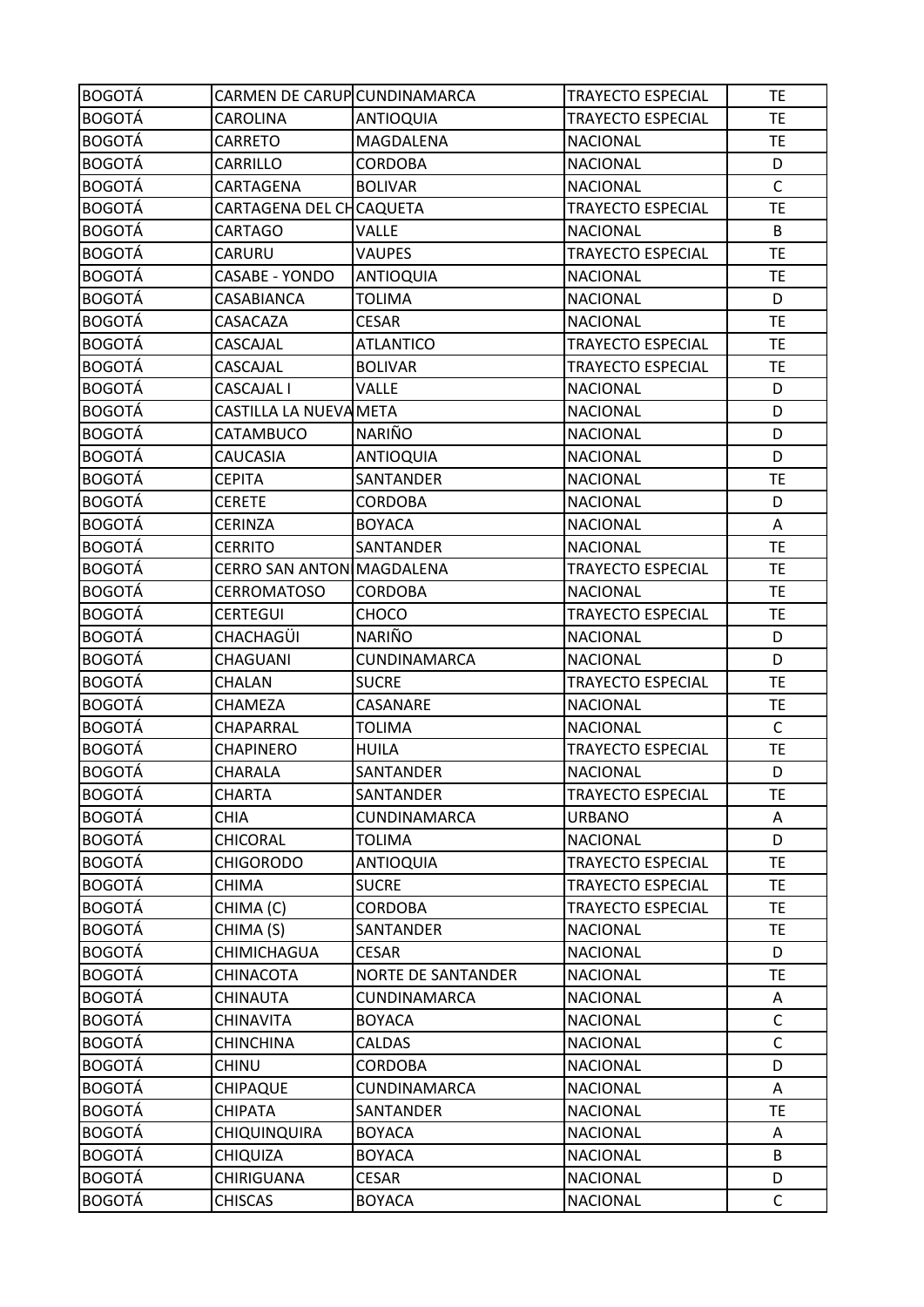| <b>BOGOTÁ</b> | CARMEN DE CARUP CUNDINAMARCA |                           | <b>TRAYECTO ESPECIAL</b> | <b>TE</b>    |
|---------------|------------------------------|---------------------------|--------------------------|--------------|
| BOGOTÁ        | CAROLINA                     | <b>ANTIOQUIA</b>          | TRAYECTO ESPECIAL        | <b>TE</b>    |
| <b>BOGOTÁ</b> | CARRETO                      | MAGDALENA                 | <b>NACIONAL</b>          | <b>TE</b>    |
| <b>BOGOTÁ</b> | CARRILLO                     | <b>CORDOBA</b>            | <b>NACIONAL</b>          | D            |
| <b>BOGOTÁ</b> | CARTAGENA                    | <b>BOLIVAR</b>            | <b>NACIONAL</b>          | $\mathsf C$  |
| <b>BOGOTÁ</b> | CARTAGENA DEL CHCAQUETA      |                           | <b>TRAYECTO ESPECIAL</b> | <b>TE</b>    |
| <b>BOGOTÁ</b> | CARTAGO                      | <b>VALLE</b>              | <b>NACIONAL</b>          | B            |
| <b>BOGOTÁ</b> | CARURU                       | <b>VAUPES</b>             | <b>TRAYECTO ESPECIAL</b> | <b>TE</b>    |
| <b>BOGOTÁ</b> | <b>CASABE - YONDO</b>        | <b>ANTIOQUIA</b>          | <b>NACIONAL</b>          | <b>TE</b>    |
| <b>BOGOTÁ</b> | CASABIANCA                   | <b>TOLIMA</b>             | <b>NACIONAL</b>          | D            |
| <b>BOGOTÁ</b> | CASACAZA                     | <b>CESAR</b>              | <b>NACIONAL</b>          | <b>TE</b>    |
| <b>BOGOTÁ</b> | CASCAJAL                     | <b>ATLANTICO</b>          | <b>TRAYECTO ESPECIAL</b> | <b>TE</b>    |
| <b>BOGOTÁ</b> | CASCAJAL                     | <b>BOLIVAR</b>            | TRAYECTO ESPECIAL        | TE           |
| <b>BOGOTÁ</b> | CASCAJAL I                   | VALLE                     | <b>NACIONAL</b>          | D            |
| <b>BOGOTÁ</b> | CASTILLA LA NUEVA META       |                           | <b>NACIONAL</b>          | D            |
| <b>BOGOTÁ</b> | CATAMBUCO                    | <b>NARIÑO</b>             | <b>NACIONAL</b>          | D            |
| <b>BOGOTÁ</b> | CAUCASIA                     | <b>ANTIOQUIA</b>          | <b>NACIONAL</b>          | D            |
| <b>BOGOTÁ</b> | <b>CEPITA</b>                | SANTANDER                 | <b>NACIONAL</b>          | <b>TE</b>    |
| <b>BOGOTÁ</b> | <b>CERETE</b>                | <b>CORDOBA</b>            | <b>NACIONAL</b>          | D            |
| <b>BOGOTÁ</b> | <b>CERINZA</b>               | <b>BOYACA</b>             | <b>NACIONAL</b>          | A            |
| <b>BOGOTÁ</b> | CERRITO                      | <b>SANTANDER</b>          | <b>NACIONAL</b>          | <b>TE</b>    |
| <b>BOGOTÁ</b> | CERRO SAN ANTON MAGDALENA    |                           | <b>TRAYECTO ESPECIAL</b> | <b>TE</b>    |
| <b>BOGOTÁ</b> | <b>CERROMATOSO</b>           | <b>CORDOBA</b>            | <b>NACIONAL</b>          | <b>TE</b>    |
| <b>BOGOTÁ</b> | <b>CERTEGUI</b>              | <b>CHOCO</b>              | TRAYECTO ESPECIAL        | <b>TE</b>    |
| <b>BOGOTÁ</b> | CHACHAGÜI                    | NARIÑO                    | <b>NACIONAL</b>          | D            |
| <b>BOGOTÁ</b> | CHAGUANI                     | <b>CUNDINAMARCA</b>       | <b>NACIONAL</b>          | D            |
| <b>BOGOTÁ</b> | CHALAN                       | <b>SUCRE</b>              | <b>TRAYECTO ESPECIAL</b> | <b>TE</b>    |
| <b>BOGOTÁ</b> | <b>CHAMEZA</b>               | CASANARE                  | <b>NACIONAL</b>          | TE           |
| <b>BOGOTÁ</b> | CHAPARRAL                    | <b>TOLIMA</b>             | <b>NACIONAL</b>          | $\mathsf{C}$ |
| <b>BOGOTÁ</b> | <b>CHAPINERO</b>             | <b>HUILA</b>              | <b>TRAYECTO ESPECIAL</b> | <b>TE</b>    |
| <b>BOGOTÁ</b> | CHARALA                      | SANTANDER                 | <b>NACIONAL</b>          | D            |
| <b>BOGOTÁ</b> | <b>CHARTA</b>                | SANTANDER                 | <b>TRAYECTO ESPECIAL</b> | <b>TE</b>    |
| <b>BOGOTÁ</b> | <b>CHIA</b>                  | CUNDINAMARCA              | <b>URBANO</b>            | Α            |
| <b>BOGOTÁ</b> | CHICORAL                     | <b>TOLIMA</b>             | <b>NACIONAL</b>          | D            |
| <b>BOGOTÁ</b> | <b>CHIGORODO</b>             | <b>ANTIOQUIA</b>          | <b>TRAYECTO ESPECIAL</b> | <b>TE</b>    |
| <b>BOGOTÁ</b> | CHIMA                        | <b>SUCRE</b>              | TRAYECTO ESPECIAL        | <b>TE</b>    |
| <b>BOGOTÁ</b> | CHIMA (C)                    | CORDOBA                   | <b>TRAYECTO ESPECIAL</b> | <b>TE</b>    |
| <b>BOGOTÁ</b> | CHIMA (S)                    | SANTANDER                 | <b>NACIONAL</b>          | <b>TE</b>    |
| <b>BOGOTÁ</b> | CHIMICHAGUA                  | <b>CESAR</b>              | <b>NACIONAL</b>          | D            |
| <b>BOGOTÁ</b> | CHINACOTA                    | <b>NORTE DE SANTANDER</b> | <b>NACIONAL</b>          | <b>TE</b>    |
| <b>BOGOTÁ</b> | CHINAUTA                     | CUNDINAMARCA              | <b>NACIONAL</b>          | A            |
| <b>BOGOTÁ</b> | CHINAVITA                    | <b>BOYACA</b>             | <b>NACIONAL</b>          | $\mathsf{C}$ |
| <b>BOGOTÁ</b> | <b>CHINCHINA</b>             | <b>CALDAS</b>             | <b>NACIONAL</b>          | $\mathsf C$  |
| <b>BOGOTÁ</b> | <b>CHINU</b>                 | <b>CORDOBA</b>            | <b>NACIONAL</b>          | D            |
| <b>BOGOTÁ</b> | <b>CHIPAQUE</b>              | CUNDINAMARCA              | <b>NACIONAL</b>          | Α            |
| <b>BOGOTÁ</b> | CHIPATA                      | SANTANDER                 | <b>NACIONAL</b>          | TE.          |
| <b>BOGOTÁ</b> | <b>CHIQUINQUIRA</b>          | <b>BOYACA</b>             | <b>NACIONAL</b>          | A            |
| <b>BOGOTÁ</b> | <b>CHIQUIZA</b>              | <b>BOYACA</b>             | <b>NACIONAL</b>          | B            |
| <b>BOGOTÁ</b> | CHIRIGUANA                   | <b>CESAR</b>              | <b>NACIONAL</b>          | D            |
| <b>BOGOTÁ</b> | CHISCAS                      | <b>BOYACA</b>             | <b>NACIONAL</b>          | $\mathsf{C}$ |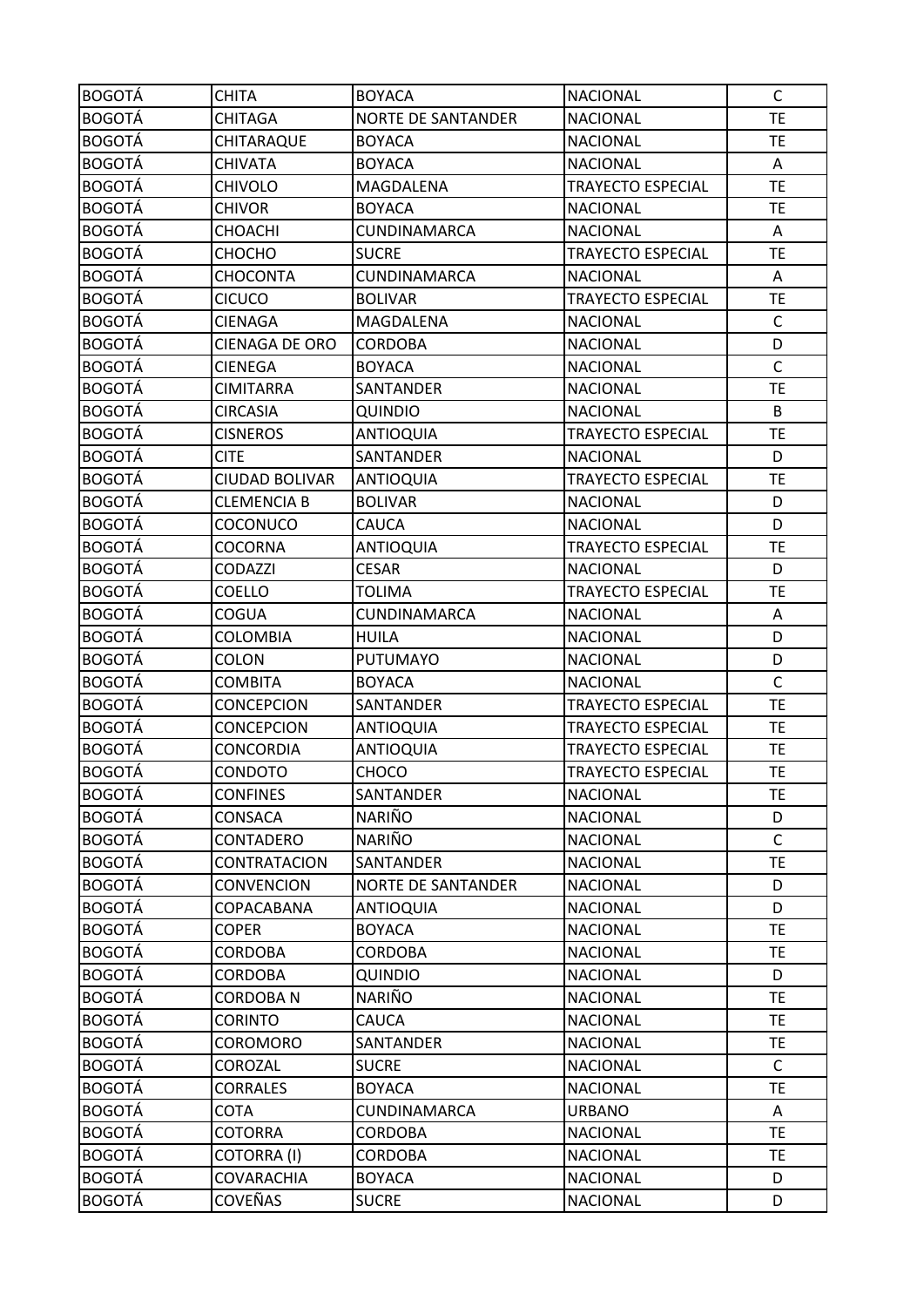| <b>BOGOTÁ</b> | <b>CHITA</b>          | <b>BOYACA</b>             | <b>NACIONAL</b>          | C            |
|---------------|-----------------------|---------------------------|--------------------------|--------------|
| <b>BOGOTÁ</b> | <b>CHITAGA</b>        | <b>NORTE DE SANTANDER</b> | <b>NACIONAL</b>          | TE           |
| <b>BOGOTÁ</b> | CHITARAQUE            | <b>BOYACA</b>             | <b>NACIONAL</b>          | TE           |
| <b>BOGOTÁ</b> | <b>CHIVATA</b>        | <b>BOYACA</b>             | <b>NACIONAL</b>          | Α            |
| <b>BOGOTÁ</b> | <b>CHIVOLO</b>        | MAGDALENA                 | TRAYECTO ESPECIAL        | <b>TE</b>    |
| <b>BOGOTÁ</b> | <b>CHIVOR</b>         | <b>BOYACA</b>             | <b>NACIONAL</b>          | <b>TE</b>    |
| <b>BOGOTÁ</b> | <b>CHOACHI</b>        | CUNDINAMARCA              | <b>NACIONAL</b>          | Α            |
| <b>BOGOTÁ</b> | СНОСНО                | <b>SUCRE</b>              | <b>TRAYECTO ESPECIAL</b> | TE           |
| <b>BOGOTÁ</b> | <b>CHOCONTA</b>       | CUNDINAMARCA              | <b>NACIONAL</b>          | Α            |
| <b>BOGOTÁ</b> | <b>CICUCO</b>         | <b>BOLIVAR</b>            | <b>TRAYECTO ESPECIAL</b> | TE           |
| <b>BOGOTÁ</b> | <b>CIENAGA</b>        | MAGDALENA                 | <b>NACIONAL</b>          | $\mathsf{C}$ |
| <b>BOGOTÁ</b> | <b>CIENAGA DE ORO</b> | <b>CORDOBA</b>            | <b>NACIONAL</b>          | D            |
| <b>BOGOTÁ</b> | <b>CIENEGA</b>        | <b>BOYACA</b>             | <b>NACIONAL</b>          | $\mathsf{C}$ |
| <b>BOGOTÁ</b> | <b>CIMITARRA</b>      | SANTANDER                 | <b>NACIONAL</b>          | TE           |
| <b>BOGOTÁ</b> | <b>CIRCASIA</b>       | <b>QUINDIO</b>            | <b>NACIONAL</b>          | B            |
| <b>BOGOTÁ</b> | <b>CISNEROS</b>       | <b>ANTIOQUIA</b>          | <b>TRAYECTO ESPECIAL</b> | <b>TE</b>    |
| <b>BOGOTÁ</b> | <b>CITE</b>           | SANTANDER                 | <b>NACIONAL</b>          | D            |
| <b>BOGOTÁ</b> | <b>CIUDAD BOLIVAR</b> | <b>ANTIOQUIA</b>          | <b>TRAYECTO ESPECIAL</b> | TE           |
| <b>BOGOTÁ</b> | <b>CLEMENCIA B</b>    | <b>BOLIVAR</b>            | <b>NACIONAL</b>          | D            |
| <b>BOGOTÁ</b> | COCONUCO              | CAUCA                     | <b>NACIONAL</b>          | D            |
| <b>BOGOTÁ</b> | COCORNA               | <b>ANTIOQUIA</b>          | <b>TRAYECTO ESPECIAL</b> | TE           |
| <b>BOGOTÁ</b> | <b>CODAZZI</b>        | <b>CESAR</b>              | <b>NACIONAL</b>          | D            |
| <b>BOGOTÁ</b> | COELLO                | <b>TOLIMA</b>             | <b>TRAYECTO ESPECIAL</b> | <b>TE</b>    |
| <b>BOGOTÁ</b> | COGUA                 | CUNDINAMARCA              | <b>NACIONAL</b>          | Α            |
| <b>BOGOTÁ</b> | <b>COLOMBIA</b>       | <b>HUILA</b>              | <b>NACIONAL</b>          | D            |
| <b>BOGOTÁ</b> | COLON                 | <b>PUTUMAYO</b>           | <b>NACIONAL</b>          | D            |
| <b>BOGOTÁ</b> | <b>COMBITA</b>        | <b>BOYACA</b>             | <b>NACIONAL</b>          | $\mathsf{C}$ |
| <b>BOGOTÁ</b> | <b>CONCEPCION</b>     | SANTANDER                 | <b>TRAYECTO ESPECIAL</b> | TE           |
| <b>BOGOTÁ</b> | <b>CONCEPCION</b>     | <b>ANTIOQUIA</b>          | TRAYECTO ESPECIAL        | <b>TE</b>    |
| <b>BOGOTÁ</b> | <b>CONCORDIA</b>      | <b>ANTIOQUIA</b>          | <b>TRAYECTO ESPECIAL</b> | <b>TE</b>    |
| <b>BOGOTÁ</b> | <b>CONDOTO</b>        | CHOCO                     | <b>TRAYECTO ESPECIAL</b> | <b>TE</b>    |
| <b>BOGOTÁ</b> | <b>CONFINES</b>       | SANTANDER                 | <b>NACIONAL</b>          | TE           |
| <b>BOGOTÁ</b> | CONSACA               | <b>NARIÑO</b>             | <b>NACIONAL</b>          | D            |
| <b>BOGOTÁ</b> | CONTADERO             | <b>NARIÑO</b>             | <b>NACIONAL</b>          | $\mathsf{C}$ |
| <b>BOGOTÁ</b> | CONTRATACION          | SANTANDER                 | <b>NACIONAL</b>          | <b>TE</b>    |
| <b>BOGOTÁ</b> | <b>CONVENCION</b>     | <b>NORTE DE SANTANDER</b> | <b>NACIONAL</b>          | D            |
| <b>BOGOTÁ</b> | COPACABANA            | <b>ANTIOQUIA</b>          | <b>NACIONAL</b>          | D            |
| <b>BOGOTÁ</b> | <b>COPER</b>          | <b>BOYACA</b>             | <b>NACIONAL</b>          | <b>TE</b>    |
| <b>BOGOTÁ</b> | <b>CORDOBA</b>        | <b>CORDOBA</b>            | <b>NACIONAL</b>          | <b>TE</b>    |
| <b>BOGOTÁ</b> | <b>CORDOBA</b>        | QUINDIO                   | <b>NACIONAL</b>          | D            |
| <b>BOGOTÁ</b> | <b>CORDOBAN</b>       | NARIÑO                    | <b>NACIONAL</b>          | TE.          |
| <b>BOGOTÁ</b> | <b>CORINTO</b>        | CAUCA                     | <b>NACIONAL</b>          | <b>TE</b>    |
| <b>BOGOTÁ</b> | <b>COROMORO</b>       | SANTANDER                 | <b>NACIONAL</b>          | <b>TE</b>    |
| <b>BOGOTÁ</b> | COROZAL               | <b>SUCRE</b>              | <b>NACIONAL</b>          | $\mathsf{C}$ |
| <b>BOGOTÁ</b> | <b>CORRALES</b>       | <b>BOYACA</b>             | <b>NACIONAL</b>          | TE           |
| <b>BOGOTÁ</b> | <b>COTA</b>           | CUNDINAMARCA              | <b>URBANO</b>            | Α            |
| <b>BOGOTÁ</b> | <b>COTORRA</b>        | <b>CORDOBA</b>            | <b>NACIONAL</b>          | <b>TE</b>    |
| <b>BOGOTÁ</b> | <b>COTORRA (I)</b>    | <b>CORDOBA</b>            | <b>NACIONAL</b>          | TE           |
| <b>BOGOTÁ</b> | <b>COVARACHIA</b>     | <b>BOYACA</b>             | <b>NACIONAL</b>          | D            |
| <b>BOGOTÁ</b> | COVEÑAS               | <b>SUCRE</b>              | <b>NACIONAL</b>          | D            |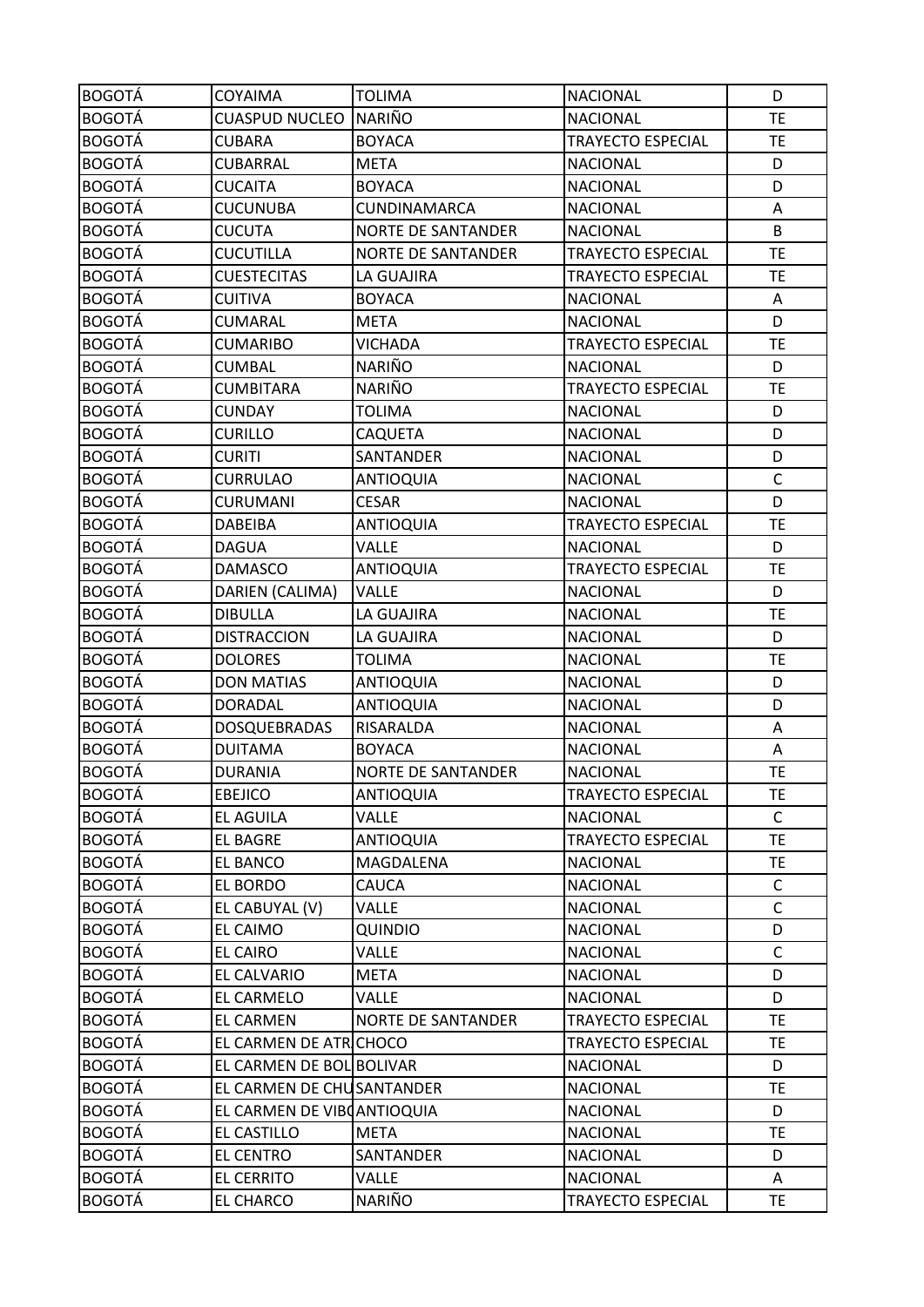| <b>BOGOTÁ</b> | <b>COYAIMA</b>             | <b>TOLIMA</b>             | <b>NACIONAL</b>          | D            |
|---------------|----------------------------|---------------------------|--------------------------|--------------|
| <b>BOGOTÁ</b> | <b>CUASPUD NUCLEO</b>      | <b>NARIÑO</b>             | <b>NACIONAL</b>          | <b>TE</b>    |
| <b>BOGOTÁ</b> | <b>CUBARA</b>              | <b>BOYACA</b>             | <b>TRAYECTO ESPECIAL</b> | <b>TE</b>    |
| <b>BOGOTÁ</b> | <b>CUBARRAL</b>            | <b>META</b>               | <b>NACIONAL</b>          | D            |
| <b>BOGOTÁ</b> | <b>CUCAITA</b>             | <b>BOYACA</b>             | <b>NACIONAL</b>          | D            |
| <b>BOGOTÁ</b> | <b>CUCUNUBA</b>            | CUNDINAMARCA              | <b>NACIONAL</b>          | Α            |
| <b>BOGOTÁ</b> | <b>CUCUTA</b>              | <b>NORTE DE SANTANDER</b> | <b>NACIONAL</b>          | B            |
| <b>BOGOTÁ</b> | <b>CUCUTILLA</b>           | <b>NORTE DE SANTANDER</b> | <b>TRAYECTO ESPECIAL</b> | <b>TE</b>    |
| <b>BOGOTÁ</b> | <b>CUESTECITAS</b>         | LA GUAJIRA                | <b>TRAYECTO ESPECIAL</b> | <b>TE</b>    |
| <b>BOGOTÁ</b> | CUITIVA                    | <b>BOYACA</b>             | <b>NACIONAL</b>          | A            |
| <b>BOGOTÁ</b> | <b>CUMARAL</b>             | <b>META</b>               | <b>NACIONAL</b>          | D            |
| <b>BOGOTÁ</b> | <b>CUMARIBO</b>            | VICHADA                   | TRAYECTO ESPECIAL        | <b>TE</b>    |
| <b>BOGOTÁ</b> | <b>CUMBAL</b>              | <b>NARIÑO</b>             | <b>NACIONAL</b>          | D            |
| <b>BOGOTÁ</b> | <b>CUMBITARA</b>           | <b>NARIÑO</b>             | TRAYECTO ESPECIAL        | <b>TE</b>    |
| <b>BOGOTÁ</b> | <b>CUNDAY</b>              | <b>TOLIMA</b>             | <b>NACIONAL</b>          | D            |
| <b>BOGOTÁ</b> | <b>CURILLO</b>             | <b>CAQUETA</b>            | <b>NACIONAL</b>          | D            |
| <b>BOGOTÁ</b> | <b>CURITI</b>              | SANTANDER                 | <b>NACIONAL</b>          | D            |
| <b>BOGOTÁ</b> | <b>CURRULAO</b>            | <b>ANTIOQUIA</b>          | <b>NACIONAL</b>          | $\mathsf{C}$ |
| <b>BOGOTÁ</b> | <b>CURUMANI</b>            | <b>CESAR</b>              | <b>NACIONAL</b>          | D            |
| <b>BOGOTÁ</b> | DABEIBA                    | <b>ANTIOQUIA</b>          | <b>TRAYECTO ESPECIAL</b> | <b>TE</b>    |
| <b>BOGOTÁ</b> | <b>DAGUA</b>               | <b>VALLE</b>              | <b>NACIONAL</b>          | D            |
| <b>BOGOTÁ</b> | <b>DAMASCO</b>             | <b>ANTIOQUIA</b>          | <b>TRAYECTO ESPECIAL</b> | <b>TE</b>    |
| <b>BOGOTÁ</b> | DARIEN (CALIMA)            | <b>VALLE</b>              | <b>NACIONAL</b>          | D            |
| <b>BOGOTÁ</b> | <b>DIBULLA</b>             | LA GUAJIRA                | <b>NACIONAL</b>          | <b>TE</b>    |
| <b>BOGOTÁ</b> | <b>DISTRACCION</b>         | LA GUAJIRA                | <b>NACIONAL</b>          | D            |
| <b>BOGOTÁ</b> | <b>DOLORES</b>             | <b>TOLIMA</b>             | <b>NACIONAL</b>          | <b>TE</b>    |
| <b>BOGOTÁ</b> | <b>DON MATIAS</b>          | <b>ANTIOQUIA</b>          | <b>NACIONAL</b>          | D            |
| <b>BOGOTÁ</b> | DORADAL                    | <b>ANTIOQUIA</b>          | <b>NACIONAL</b>          | D            |
| <b>BOGOTÁ</b> | <b>DOSQUEBRADAS</b>        | RISARALDA                 | <b>NACIONAL</b>          | Α            |
| <b>BOGOTÁ</b> | <b>DUITAMA</b>             | <b>BOYACA</b>             | <b>NACIONAL</b>          | Α            |
| <b>BOGOTÁ</b> | <b>DURANIA</b>             | <b>NORTE DE SANTANDER</b> | <b>NACIONAL</b>          | <b>TE</b>    |
| <b>BOGOTÁ</b> | <b>EBEJICO</b>             | <b>ANTIOQUIA</b>          | <b>TRAYECTO ESPECIAL</b> | <b>TE</b>    |
| <b>BOGOTÁ</b> | EL AGUILA                  | <b>VALLE</b>              | <b>NACIONAL</b>          | C            |
| <b>BOGOTÁ</b> | EL BAGRE                   | <b>ANTIOQUIA</b>          | <b>TRAYECTO ESPECIAL</b> | <b>TE</b>    |
| <b>BOGOTÁ</b> | EL BANCO                   | MAGDALENA                 | <b>NACIONAL</b>          | <b>TE</b>    |
| <b>BOGOTÁ</b> | EL BORDO                   | CAUCA                     | <b>NACIONAL</b>          | $\mathsf{C}$ |
| <b>BOGOTÁ</b> | EL CABUYAL (V)             | <b>VALLE</b>              | <b>NACIONAL</b>          | $\mathsf{C}$ |
| <b>BOGOTÁ</b> | EL CAIMO                   | <b>QUINDIO</b>            | <b>NACIONAL</b>          | D            |
| <b>BOGOTÁ</b> | EL CAIRO                   | <b>VALLE</b>              | <b>NACIONAL</b>          | $\mathsf{C}$ |
| <b>BOGOTÁ</b> | EL CALVARIO                | <b>META</b>               | <b>NACIONAL</b>          | D            |
| <b>BOGOTÁ</b> | EL CARMELO                 | <b>VALLE</b>              | <b>NACIONAL</b>          | D            |
| <b>BOGOTÁ</b> | EL CARMEN                  | <b>NORTE DE SANTANDER</b> | TRAYECTO ESPECIAL        | <b>TE</b>    |
| <b>BOGOTÁ</b> | EL CARMEN DE ATRICHOCO     |                           | TRAYECTO ESPECIAL        | <b>TE</b>    |
| <b>BOGOTÁ</b> | EL CARMEN DE BOL BOLIVAR   |                           | <b>NACIONAL</b>          | D            |
| <b>BOGOTÁ</b> | EL CARMEN DE CHUSANTANDER  |                           | <b>NACIONAL</b>          | <b>TE</b>    |
| <b>BOGOTÁ</b> | EL CARMEN DE VIBOANTIOQUIA |                           | <b>NACIONAL</b>          | D            |
| <b>BOGOTÁ</b> | EL CASTILLO                | <b>META</b>               | <b>NACIONAL</b>          | <b>TE</b>    |
| <b>BOGOTÁ</b> | EL CENTRO                  | SANTANDER                 | <b>NACIONAL</b>          | D            |
| <b>BOGOTÁ</b> | <b>EL CERRITO</b>          | <b>VALLE</b>              | <b>NACIONAL</b>          | Α            |
| <b>BOGOTÁ</b> | EL CHARCO                  | NARIÑO                    | TRAYECTO ESPECIAL        | TE.          |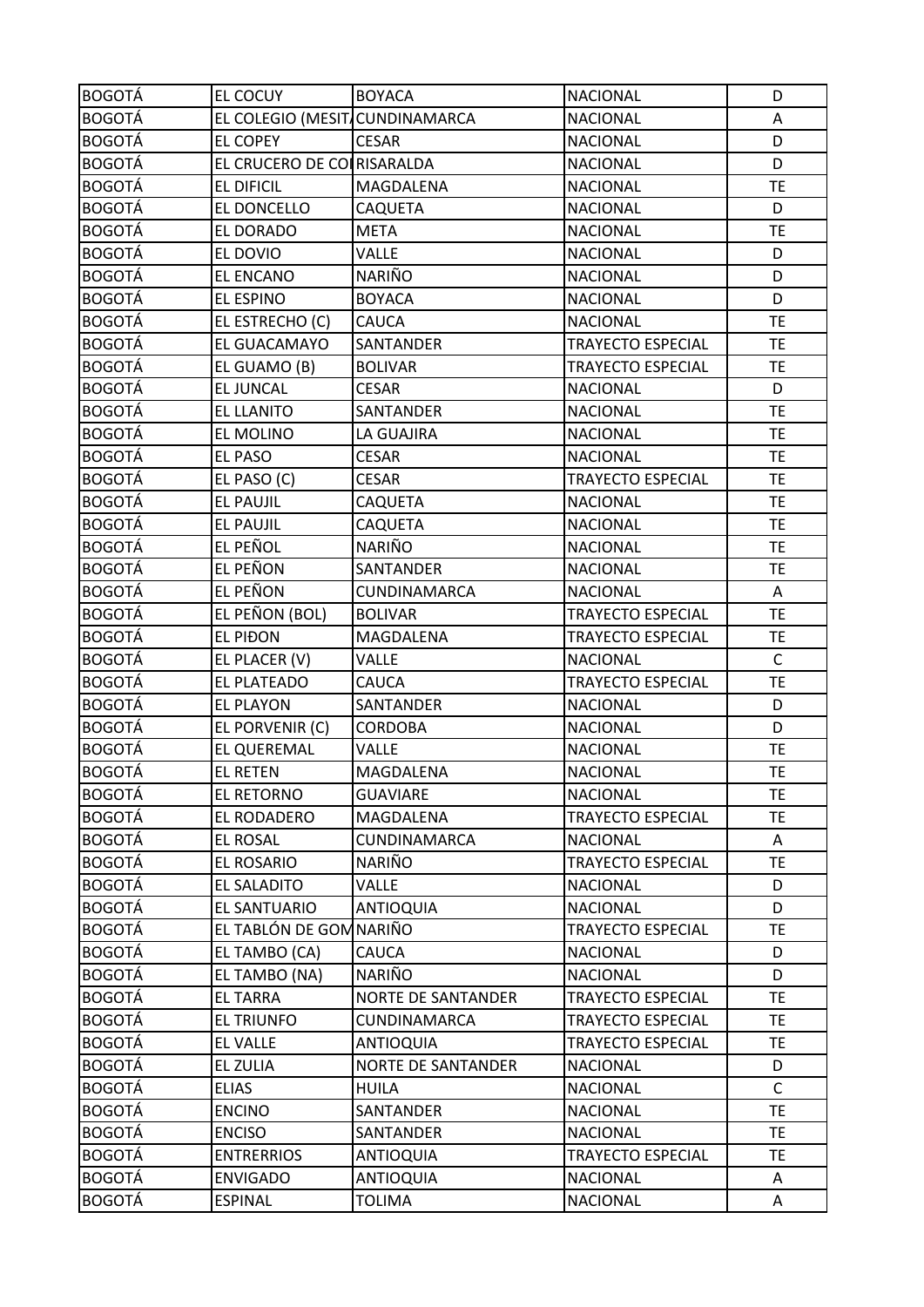| <b>BOGOTÁ</b> | <b>EL COCUY</b>                | <b>BOYACA</b>             | <b>NACIONAL</b>          | D           |
|---------------|--------------------------------|---------------------------|--------------------------|-------------|
| <b>BOGOTÁ</b> | EL COLEGIO (MESIT CUNDINAMARCA |                           | <b>NACIONAL</b>          | Α           |
| <b>BOGOTÁ</b> | <b>EL COPEY</b>                | <b>CESAR</b>              | <b>NACIONAL</b>          | D           |
| <b>BOGOTÁ</b> | EL CRUCERO DE COLRISARALDA     |                           | <b>NACIONAL</b>          | D           |
| <b>BOGOTÁ</b> | EL DIFICIL                     | MAGDALENA                 | <b>NACIONAL</b>          | <b>TE</b>   |
| <b>BOGOTÁ</b> | EL DONCELLO                    | CAQUETA                   | <b>NACIONAL</b>          | D           |
| <b>BOGOTÁ</b> | EL DORADO                      | <b>META</b>               | <b>NACIONAL</b>          | <b>TE</b>   |
| <b>BOGOTÁ</b> | EL DOVIO                       | <b>VALLE</b>              | <b>NACIONAL</b>          | D           |
| <b>BOGOTÁ</b> | EL ENCANO                      | NARIÑO                    | <b>NACIONAL</b>          | D           |
| <b>BOGOTÁ</b> | EL ESPINO                      | <b>BOYACA</b>             | <b>NACIONAL</b>          | D           |
| <b>BOGOTÁ</b> | EL ESTRECHO (C)                | <b>CAUCA</b>              | <b>NACIONAL</b>          | <b>TE</b>   |
| <b>BOGOTÁ</b> | EL GUACAMAYO                   | SANTANDER                 | TRAYECTO ESPECIAL        | <b>TE</b>   |
| <b>BOGOTÁ</b> | EL GUAMO (B)                   | <b>BOLIVAR</b>            | <b>TRAYECTO ESPECIAL</b> | <b>TE</b>   |
| <b>BOGOTÁ</b> | <b>EL JUNCAL</b>               | <b>CESAR</b>              | <b>NACIONAL</b>          | D           |
| <b>BOGOTÁ</b> | <b>EL LLANITO</b>              | SANTANDER                 | <b>NACIONAL</b>          | <b>TE</b>   |
| <b>BOGOTÁ</b> | EL MOLINO                      | LA GUAJIRA                | <b>NACIONAL</b>          | <b>TE</b>   |
| <b>BOGOTÁ</b> | EL PASO                        | <b>CESAR</b>              | <b>NACIONAL</b>          | <b>TE</b>   |
| <b>BOGOTÁ</b> | EL PASO (C)                    | <b>CESAR</b>              | <b>TRAYECTO ESPECIAL</b> | <b>TE</b>   |
| <b>BOGOTÁ</b> | <b>EL PAUJIL</b>               | <b>CAQUETA</b>            | <b>NACIONAL</b>          | <b>TE</b>   |
| <b>BOGOTÁ</b> | <b>EL PAUJIL</b>               | <b>CAQUETA</b>            | <b>NACIONAL</b>          | <b>TE</b>   |
| <b>BOGOTÁ</b> | EL PEÑOL                       | <b>NARIÑO</b>             | <b>NACIONAL</b>          | <b>TE</b>   |
| <b>BOGOTÁ</b> | <b>EL PEÑON</b>                | SANTANDER                 | <b>NACIONAL</b>          | <b>TE</b>   |
| <b>BOGOTÁ</b> | EL PEÑON                       | CUNDINAMARCA              | <b>NACIONAL</b>          | Α           |
| <b>BOGOTÁ</b> | EL PEÑON (BOL)                 | <b>BOLIVAR</b>            | TRAYECTO ESPECIAL        | <b>TE</b>   |
| <b>BOGOTÁ</b> | <b>EL PIĐON</b>                | MAGDALENA                 | <b>TRAYECTO ESPECIAL</b> | <b>TE</b>   |
| <b>BOGOTÁ</b> | EL PLACER (V)                  | VALLE                     | <b>NACIONAL</b>          | $\mathsf C$ |
| <b>BOGOTÁ</b> | EL PLATEADO                    | CAUCA                     | <b>TRAYECTO ESPECIAL</b> | <b>TE</b>   |
| <b>BOGOTÁ</b> | <b>EL PLAYON</b>               | SANTANDER                 | <b>NACIONAL</b>          | D           |
| <b>BOGOTÁ</b> | EL PORVENIR (C)                | CORDOBA                   | <b>NACIONAL</b>          | D           |
| <b>BOGOTÁ</b> | EL QUEREMAL                    | <b>VALLE</b>              | <b>NACIONAL</b>          | <b>TE</b>   |
| <b>BOGOTÁ</b> | <b>EL RETEN</b>                | MAGDALENA                 | <b>NACIONAL</b>          | <b>TE</b>   |
| <b>BOGOTÁ</b> | EL RETORNO                     | <b>GUAVIARE</b>           | <b>NACIONAL</b>          | <b>TE</b>   |
| <b>BOGOTÁ</b> | EL RODADERO                    | MAGDALENA                 | <b>TRAYECTO ESPECIAL</b> | <b>TE</b>   |
| <b>BOGOTÁ</b> | <b>EL ROSAL</b>                | CUNDINAMARCA              | <b>NACIONAL</b>          | Α           |
| <b>BOGOTÁ</b> | EL ROSARIO                     | NARIÑO                    | <b>TRAYECTO ESPECIAL</b> | <b>TE</b>   |
| <b>BOGOTÁ</b> | EL SALADITO                    | <b>VALLE</b>              | <b>NACIONAL</b>          | D           |
| <b>BOGOTÁ</b> | EL SANTUARIO                   | <b>ANTIOQUIA</b>          | <b>NACIONAL</b>          | D           |
| <b>BOGOTÁ</b> | EL TABLÓN DE GOM NARIÑO        |                           | <b>TRAYECTO ESPECIAL</b> | <b>TE</b>   |
| <b>BOGOTÁ</b> | EL TAMBO (CA)                  | CAUCA                     | <b>NACIONAL</b>          | D           |
| <b>BOGOTÁ</b> | EL TAMBO (NA)                  | <b>NARIÑO</b>             | <b>NACIONAL</b>          | D           |
| <b>BOGOTÁ</b> | <b>EL TARRA</b>                | <b>NORTE DE SANTANDER</b> | <b>TRAYECTO ESPECIAL</b> | <b>TE</b>   |
| <b>BOGOTÁ</b> | EL TRIUNFO                     | CUNDINAMARCA              | TRAYECTO ESPECIAL        | <b>TE</b>   |
| <b>BOGOTÁ</b> | <b>EL VALLE</b>                | <b>ANTIOQUIA</b>          | TRAYECTO ESPECIAL        | <b>TE</b>   |
| <b>BOGOTÁ</b> | EL ZULIA                       | <b>NORTE DE SANTANDER</b> | <b>NACIONAL</b>          | D           |
| <b>BOGOTÁ</b> | <b>ELIAS</b>                   | <b>HUILA</b>              | <b>NACIONAL</b>          | $\mathsf C$ |
| <b>BOGOTÁ</b> | <b>ENCINO</b>                  | SANTANDER                 | <b>NACIONAL</b>          | TE.         |
| <b>BOGOTÁ</b> | <b>ENCISO</b>                  | SANTANDER                 | <b>NACIONAL</b>          | <b>TE</b>   |
| <b>BOGOTÁ</b> | <b>ENTRERRIOS</b>              | <b>ANTIOQUIA</b>          | TRAYECTO ESPECIAL        | TE.         |
| <b>BOGOTÁ</b> | <b>ENVIGADO</b>                | <b>ANTIOQUIA</b>          | <b>NACIONAL</b>          | Α           |
| <b>BOGOTÁ</b> | <b>ESPINAL</b>                 | TOLIMA                    | <b>NACIONAL</b>          | A           |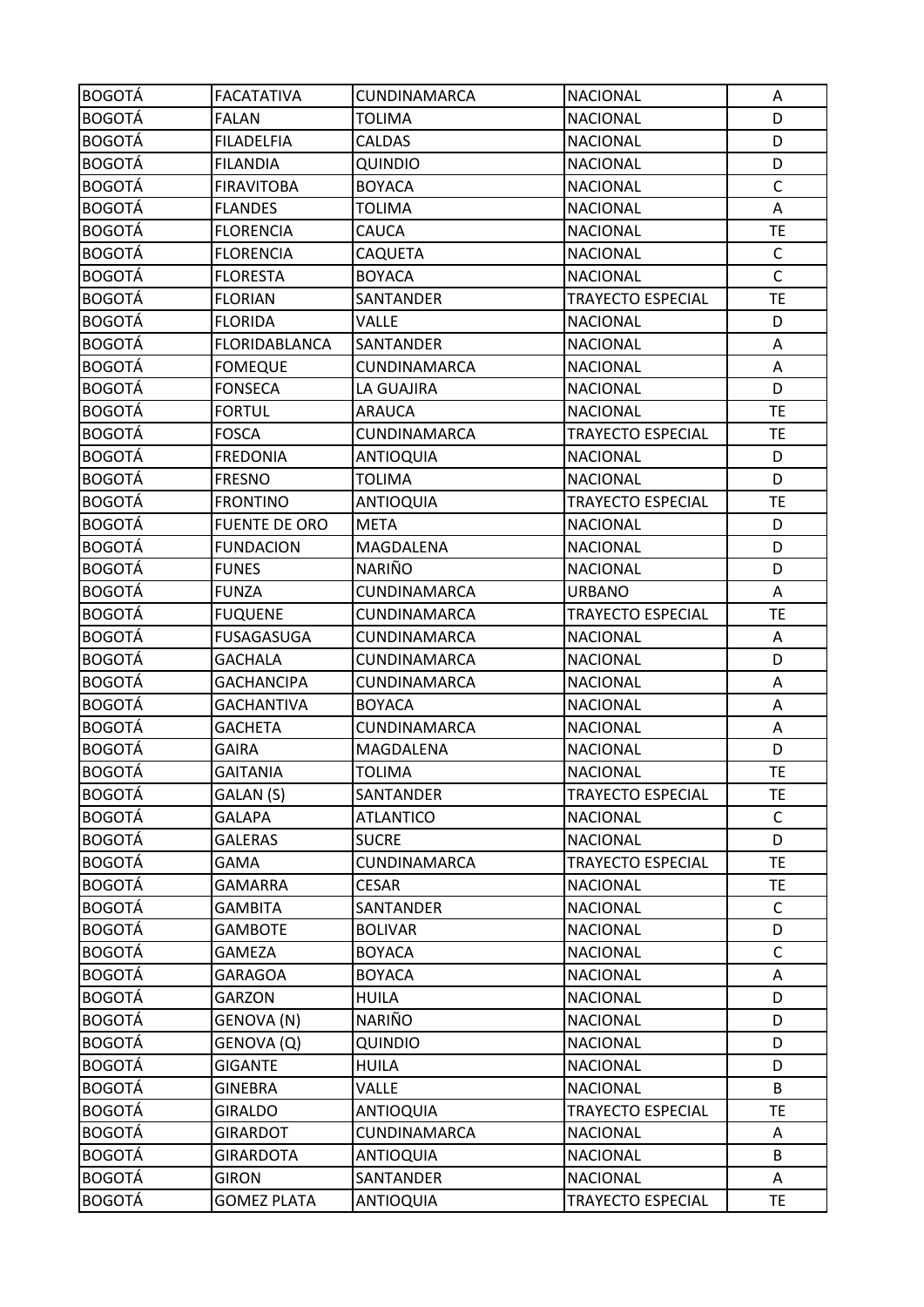| <b>BOGOTÁ</b> | <b>FACATATIVA</b>    | CUNDINAMARCA     | <b>NACIONAL</b>          | A            |
|---------------|----------------------|------------------|--------------------------|--------------|
| <b>BOGOTÁ</b> | <b>FALAN</b>         | <b>TOLIMA</b>    | <b>NACIONAL</b>          | D            |
| <b>BOGOTÁ</b> | <b>FILADELFIA</b>    | <b>CALDAS</b>    | <b>NACIONAL</b>          | D            |
| <b>BOGOTÁ</b> | <b>FILANDIA</b>      | <b>QUINDIO</b>   | <b>NACIONAL</b>          | D            |
| <b>BOGOTÁ</b> | <b>FIRAVITOBA</b>    | <b>BOYACA</b>    | <b>NACIONAL</b>          | $\mathsf C$  |
| <b>BOGOTÁ</b> | <b>FLANDES</b>       | <b>TOLIMA</b>    | <b>NACIONAL</b>          | Α            |
| <b>BOGOTÁ</b> | <b>FLORENCIA</b>     | CAUCA            | <b>NACIONAL</b>          | <b>TE</b>    |
| <b>BOGOTÁ</b> | <b>FLORENCIA</b>     | CAQUETA          | <b>NACIONAL</b>          | $\mathsf{C}$ |
| <b>BOGOTÁ</b> | <b>FLORESTA</b>      | <b>BOYACA</b>    | <b>NACIONAL</b>          | $\mathsf{C}$ |
| <b>BOGOTÁ</b> | <b>FLORIAN</b>       | SANTANDER        | <b>TRAYECTO ESPECIAL</b> | <b>TE</b>    |
| <b>BOGOTÁ</b> | <b>FLORIDA</b>       | <b>VALLE</b>     | <b>NACIONAL</b>          | D            |
| <b>BOGOTÁ</b> | FLORIDABLANCA        | SANTANDER        | <b>NACIONAL</b>          | Α            |
| <b>BOGOTÁ</b> | <b>FOMEQUE</b>       | CUNDINAMARCA     | <b>NACIONAL</b>          | Α            |
| <b>BOGOTÁ</b> | <b>FONSECA</b>       | LA GUAJIRA       | <b>NACIONAL</b>          | D            |
| <b>BOGOTÁ</b> | <b>FORTUL</b>        | <b>ARAUCA</b>    | <b>NACIONAL</b>          | <b>TE</b>    |
| <b>BOGOTÁ</b> | <b>FOSCA</b>         | CUNDINAMARCA     | <b>TRAYECTO ESPECIAL</b> | <b>TE</b>    |
| <b>BOGOTÁ</b> | <b>FREDONIA</b>      | <b>ANTIOQUIA</b> | <b>NACIONAL</b>          | D            |
| <b>BOGOTÁ</b> | <b>FRESNO</b>        | <b>TOLIMA</b>    | <b>NACIONAL</b>          | D            |
| <b>BOGOTÁ</b> | <b>FRONTINO</b>      | <b>ANTIOQUIA</b> | TRAYECTO ESPECIAL        | <b>TE</b>    |
| <b>BOGOTÁ</b> | <b>FUENTE DE ORO</b> | <b>META</b>      | <b>NACIONAL</b>          | D            |
| <b>BOGOTÁ</b> | <b>FUNDACION</b>     | MAGDALENA        | <b>NACIONAL</b>          | D            |
| <b>BOGOTÁ</b> | <b>FUNES</b>         | <b>NARIÑO</b>    | <b>NACIONAL</b>          | D            |
| <b>BOGOTÁ</b> | <b>FUNZA</b>         | CUNDINAMARCA     | <b>URBANO</b>            | Α            |
| <b>BOGOTÁ</b> | <b>FUQUENE</b>       | CUNDINAMARCA     | TRAYECTO ESPECIAL        | <b>TE</b>    |
| <b>BOGOTÁ</b> | <b>FUSAGASUGA</b>    | CUNDINAMARCA     | <b>NACIONAL</b>          | Α            |
| <b>BOGOTÁ</b> | <b>GACHALA</b>       | CUNDINAMARCA     | <b>NACIONAL</b>          | D            |
| <b>BOGOTÁ</b> | <b>GACHANCIPA</b>    | CUNDINAMARCA     | <b>NACIONAL</b>          | Α            |
| <b>BOGOTÁ</b> | <b>GACHANTIVA</b>    | <b>BOYACA</b>    | <b>NACIONAL</b>          | A            |
| <b>BOGOTÁ</b> | <b>GACHETA</b>       | CUNDINAMARCA     | <b>NACIONAL</b>          | A            |
| <b>BOGOTÁ</b> | <b>GAIRA</b>         | MAGDALENA        | <b>NACIONAL</b>          | D            |
| <b>BOGOTÁ</b> | <b>GAITANIA</b>      | <b>TOLIMA</b>    | <b>NACIONAL</b>          | <b>TE</b>    |
| <b>BOGOTÁ</b> | GALAN (S)            | SANTANDER        | <b>TRAYECTO ESPECIAL</b> | <b>TE</b>    |
| <b>BOGOTÁ</b> | <b>GALAPA</b>        | <b>ATLANTICO</b> | <b>NACIONAL</b>          | C            |
| <b>BOGOTÁ</b> | <b>GALERAS</b>       | <b>SUCRE</b>     | <b>NACIONAL</b>          | D            |
| <b>BOGOTÁ</b> | <b>GAMA</b>          | CUNDINAMARCA     | <b>TRAYECTO ESPECIAL</b> | <b>TE</b>    |
| <b>BOGOTÁ</b> | <b>GAMARRA</b>       | <b>CESAR</b>     | <b>NACIONAL</b>          | <b>TE</b>    |
| <b>BOGOTÁ</b> | <b>GAMBITA</b>       | SANTANDER        | <b>NACIONAL</b>          | $\mathsf{C}$ |
| <b>BOGOTÁ</b> | <b>GAMBOTE</b>       | <b>BOLIVAR</b>   | <b>NACIONAL</b>          | D            |
| <b>BOGOTÁ</b> | <b>GAMEZA</b>        | <b>BOYACA</b>    | <b>NACIONAL</b>          | $\mathsf{C}$ |
| <b>BOGOTÁ</b> | <b>GARAGOA</b>       | <b>BOYACA</b>    | <b>NACIONAL</b>          | A            |
| <b>BOGOTÁ</b> | <b>GARZON</b>        | <b>HUILA</b>     | <b>NACIONAL</b>          | D            |
| <b>BOGOTÁ</b> | GENOVA (N)           | NARIÑO           | <b>NACIONAL</b>          | D            |
| <b>BOGOTÁ</b> | GENOVA (Q)           | QUINDIO          | <b>NACIONAL</b>          | D            |
| <b>BOGOTÁ</b> | <b>GIGANTE</b>       | <b>HUILA</b>     | <b>NACIONAL</b>          | D            |
| <b>BOGOTÁ</b> | <b>GINEBRA</b>       | <b>VALLE</b>     | <b>NACIONAL</b>          | B            |
| <b>BOGOTÁ</b> | <b>GIRALDO</b>       | <b>ANTIOQUIA</b> | <b>TRAYECTO ESPECIAL</b> | <b>TE</b>    |
| <b>BOGOTÁ</b> | <b>GIRARDOT</b>      | CUNDINAMARCA     | <b>NACIONAL</b>          | A            |
| <b>BOGOTÁ</b> | <b>GIRARDOTA</b>     | <b>ANTIOQUIA</b> | <b>NACIONAL</b>          | B            |
| <b>BOGOTÁ</b> | <b>GIRON</b>         | SANTANDER        | <b>NACIONAL</b>          | A            |
| <b>BOGOTÁ</b> | <b>GOMEZ PLATA</b>   | ANTIOQUIA        | TRAYECTO ESPECIAL        | TE           |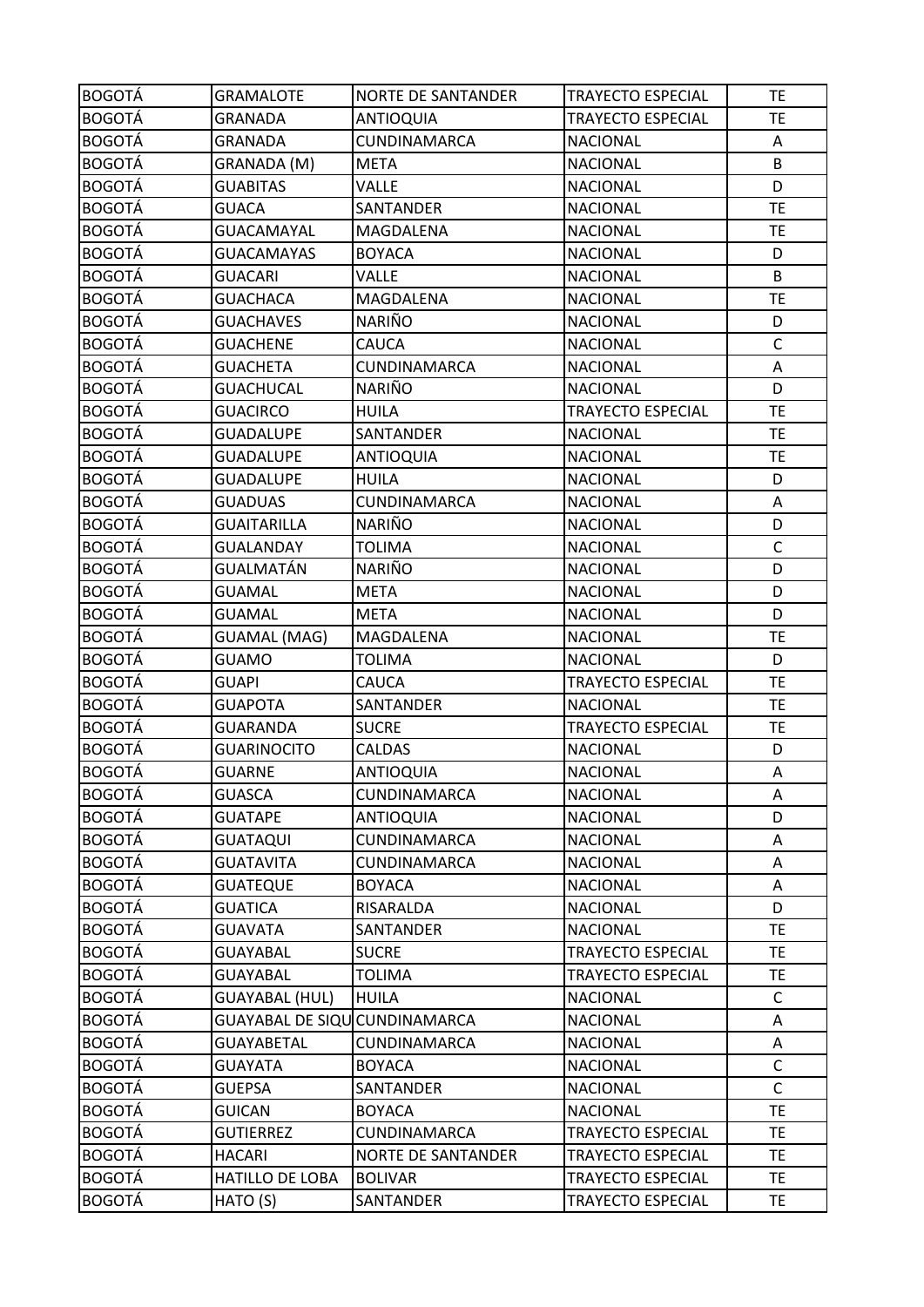| <b>BOGOTÁ</b> | <b>GRAMALOTE</b>              | <b>NORTE DE SANTANDER</b> | <b>TRAYECTO ESPECIAL</b> | <b>TE</b>    |
|---------------|-------------------------------|---------------------------|--------------------------|--------------|
| <b>BOGOTÁ</b> | GRANADA                       | <b>ANTIOQUIA</b>          | <b>TRAYECTO ESPECIAL</b> | <b>TE</b>    |
| <b>BOGOTÁ</b> | GRANADA                       | CUNDINAMARCA              | <b>NACIONAL</b>          | Α            |
| <b>BOGOTÁ</b> | GRANADA (M)                   | <b>META</b>               | <b>NACIONAL</b>          | B            |
| <b>BOGOTÁ</b> | <b>GUABITAS</b>               | <b>VALLE</b>              | <b>NACIONAL</b>          | D            |
| <b>BOGOTÁ</b> | <b>GUACA</b>                  | SANTANDER                 | <b>NACIONAL</b>          | <b>TE</b>    |
| <b>BOGOTÁ</b> | GUACAMAYAL                    | MAGDALENA                 | <b>NACIONAL</b>          | <b>TE</b>    |
| <b>BOGOTÁ</b> | <b>GUACAMAYAS</b>             | <b>BOYACA</b>             | <b>NACIONAL</b>          | D            |
| <b>BOGOTÁ</b> | <b>GUACARI</b>                | VALLE                     | <b>NACIONAL</b>          | B            |
| <b>BOGOTÁ</b> | <b>GUACHACA</b>               | MAGDALENA                 | <b>NACIONAL</b>          | <b>TE</b>    |
| <b>BOGOTÁ</b> | <b>GUACHAVES</b>              | <b>NARIÑO</b>             | <b>NACIONAL</b>          | D            |
| <b>BOGOTÁ</b> | <b>GUACHENE</b>               | <b>CAUCA</b>              | <b>NACIONAL</b>          | $\mathsf C$  |
| <b>BOGOTÁ</b> | <b>GUACHETA</b>               | CUNDINAMARCA              | <b>NACIONAL</b>          | Α            |
| <b>BOGOTÁ</b> | <b>GUACHUCAL</b>              | NARIÑO                    | <b>NACIONAL</b>          | D            |
| <b>BOGOTÁ</b> | <b>GUACIRCO</b>               | <b>HUILA</b>              | <b>TRAYECTO ESPECIAL</b> | <b>TE</b>    |
| <b>BOGOTÁ</b> | <b>GUADALUPE</b>              | SANTANDER                 | <b>NACIONAL</b>          | <b>TE</b>    |
| <b>BOGOTÁ</b> | <b>GUADALUPE</b>              | <b>ANTIOQUIA</b>          | <b>NACIONAL</b>          | <b>TE</b>    |
| <b>BOGOTÁ</b> | <b>GUADALUPE</b>              | <b>HUILA</b>              | <b>NACIONAL</b>          | D            |
| <b>BOGOTÁ</b> | <b>GUADUAS</b>                | CUNDINAMARCA              | <b>NACIONAL</b>          | Α            |
| <b>BOGOTÁ</b> | <b>GUAITARILLA</b>            | <b>NARIÑO</b>             | <b>NACIONAL</b>          | D            |
| <b>BOGOTÁ</b> | <b>GUALANDAY</b>              | <b>TOLIMA</b>             | <b>NACIONAL</b>          | $\mathsf{C}$ |
| <b>BOGOTÁ</b> | GUALMATÁN                     | <b>NARIÑO</b>             | <b>NACIONAL</b>          | D            |
| <b>BOGOTÁ</b> | <b>GUAMAL</b>                 | <b>META</b>               | <b>NACIONAL</b>          | D            |
| <b>BOGOTÁ</b> | <b>GUAMAL</b>                 | <b>META</b>               | <b>NACIONAL</b>          | D            |
| <b>BOGOTÁ</b> | <b>GUAMAL (MAG)</b>           | MAGDALENA                 | <b>NACIONAL</b>          | <b>TE</b>    |
| <b>BOGOTÁ</b> | <b>GUAMO</b>                  | <b>TOLIMA</b>             | <b>NACIONAL</b>          | D            |
| <b>BOGOTÁ</b> | <b>GUAPI</b>                  | CAUCA                     | <b>TRAYECTO ESPECIAL</b> | <b>TE</b>    |
| <b>BOGOTÁ</b> | <b>GUAPOTA</b>                | SANTANDER                 | <b>NACIONAL</b>          | <b>TE</b>    |
| <b>BOGOTÁ</b> | <b>GUARANDA</b>               | <b>SUCRE</b>              | <b>TRAYECTO ESPECIAL</b> | TE           |
| <b>BOGOTÁ</b> | <b>GUARINOCITO</b>            | CALDAS                    | <b>NACIONAL</b>          | D            |
| <b>BOGOTÁ</b> | <b>GUARNE</b>                 | <b>ANTIOQUIA</b>          | <b>NACIONAL</b>          | Α            |
| <b>BOGOTÁ</b> | <b>GUASCA</b>                 | CUNDINAMARCA              | <b>NACIONAL</b>          | A            |
| <b>BOGOTÁ</b> | <b>GUATAPE</b>                | <b>ANTIOQUIA</b>          | <b>NACIONAL</b>          | D            |
| <b>BOGOTÁ</b> | <b>GUATAQUI</b>               | CUNDINAMARCA              | <b>NACIONAL</b>          | Α            |
| <b>BOGOTÁ</b> | <b>GUATAVITA</b>              | CUNDINAMARCA              | <b>NACIONAL</b>          | Α            |
| <b>BOGOTÁ</b> | <b>GUATEQUE</b>               | <b>BOYACA</b>             | <b>NACIONAL</b>          | Α            |
| <b>BOGOTÁ</b> | <b>GUATICA</b>                | RISARALDA                 | <b>NACIONAL</b>          | D            |
| <b>BOGOTÁ</b> | <b>GUAVATA</b>                | SANTANDER                 | <b>NACIONAL</b>          | <b>TE</b>    |
| <b>BOGOTÁ</b> | <b>GUAYABAL</b>               | <b>SUCRE</b>              | TRAYECTO ESPECIAL        | <b>TE</b>    |
| <b>BOGOTÁ</b> | <b>GUAYABAL</b>               | <b>TOLIMA</b>             | <b>TRAYECTO ESPECIAL</b> | <b>TE</b>    |
| <b>BOGOTÁ</b> | <b>GUAYABAL (HUL)</b>         | <b>HUILA</b>              | <b>NACIONAL</b>          | C            |
| <b>BOGOTÁ</b> | GUAYABAL DE SIQU CUNDINAMARCA |                           | <b>NACIONAL</b>          | A            |
| <b>BOGOTÁ</b> | GUAYABETAL                    | CUNDINAMARCA              | <b>NACIONAL</b>          | A            |
| <b>BOGOTÁ</b> | <b>GUAYATA</b>                | <b>BOYACA</b>             | <b>NACIONAL</b>          | $\mathsf C$  |
| <b>BOGOTÁ</b> | <b>GUEPSA</b>                 | SANTANDER                 | <b>NACIONAL</b>          | $\mathsf C$  |
| <b>BOGOTÁ</b> | <b>GUICAN</b>                 | <b>BOYACA</b>             | <b>NACIONAL</b>          | TE.          |
| <b>BOGOTÁ</b> | <b>GUTIERREZ</b>              | CUNDINAMARCA              | <b>TRAYECTO ESPECIAL</b> | <b>TE</b>    |
| <b>BOGOTÁ</b> | <b>HACARI</b>                 | <b>NORTE DE SANTANDER</b> | TRAYECTO ESPECIAL        | TE.          |
| <b>BOGOTÁ</b> | HATILLO DE LOBA               | <b>BOLIVAR</b>            | <b>TRAYECTO ESPECIAL</b> | <b>TE</b>    |
| <b>BOGOTÁ</b> | HATO (S)                      | SANTANDER                 | TRAYECTO ESPECIAL        | TE           |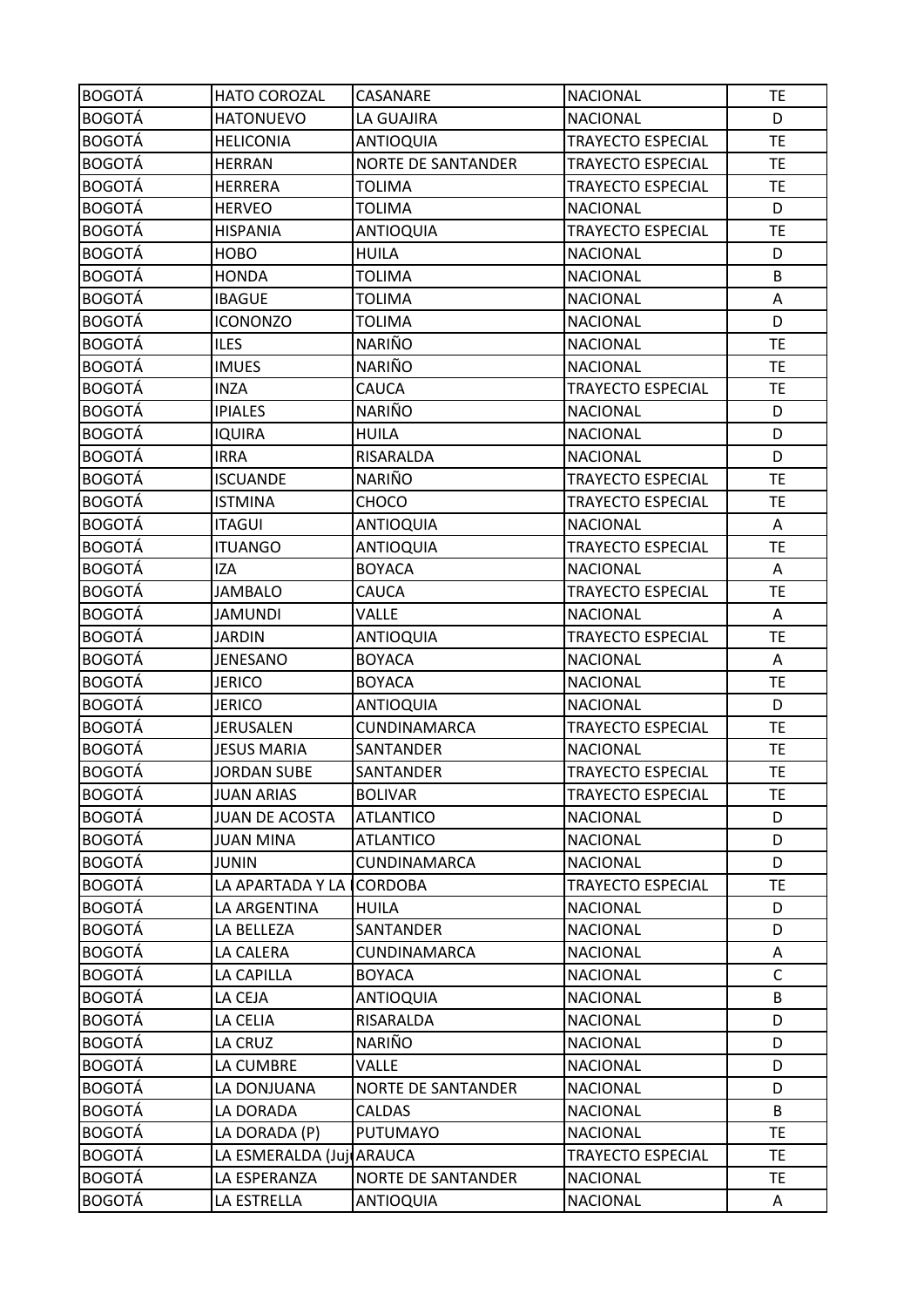| <b>BOGOTÁ</b> | <b>HATO COROZAL</b>       | CASANARE                  | <b>NACIONAL</b>          | <b>TE</b>    |
|---------------|---------------------------|---------------------------|--------------------------|--------------|
| <b>BOGOTÁ</b> | <b>HATONUEVO</b>          | LA GUAJIRA                | <b>NACIONAL</b>          | D            |
| <b>BOGOTÁ</b> | <b>HELICONIA</b>          | <b>ANTIOQUIA</b>          | <b>TRAYECTO ESPECIAL</b> | <b>TE</b>    |
| <b>BOGOTÁ</b> | <b>HERRAN</b>             | <b>NORTE DE SANTANDER</b> | <b>TRAYECTO ESPECIAL</b> | <b>TE</b>    |
| <b>BOGOTÁ</b> | <b>HERRERA</b>            | TOLIMA                    | TRAYECTO ESPECIAL        | <b>TE</b>    |
| <b>BOGOTÁ</b> | <b>HERVEO</b>             | <b>TOLIMA</b>             | <b>NACIONAL</b>          | D            |
| <b>BOGOTÁ</b> | <b>HISPANIA</b>           | <b>ANTIOQUIA</b>          | <b>TRAYECTO ESPECIAL</b> | <b>TE</b>    |
| <b>BOGOTÁ</b> | <b>HOBO</b>               | <b>HUILA</b>              | <b>NACIONAL</b>          | D            |
| <b>BOGOTÁ</b> | <b>HONDA</b>              | <b>TOLIMA</b>             | <b>NACIONAL</b>          | B            |
| <b>BOGOTÁ</b> | <b>IBAGUE</b>             | <b>TOLIMA</b>             | <b>NACIONAL</b>          | Α            |
| <b>BOGOTÁ</b> | <b>ICONONZO</b>           | <b>TOLIMA</b>             | <b>NACIONAL</b>          | D            |
| <b>BOGOTÁ</b> | <b>ILES</b>               | NARIÑO                    | <b>NACIONAL</b>          | <b>TE</b>    |
| <b>BOGOTÁ</b> | <b>IMUES</b>              | <b>NARIÑO</b>             | <b>NACIONAL</b>          | <b>TE</b>    |
| <b>BOGOTÁ</b> | <b>INZA</b>               | CAUCA                     | <b>TRAYECTO ESPECIAL</b> | <b>TE</b>    |
| <b>BOGOTÁ</b> | <b>IPIALES</b>            | NARIÑO                    | <b>NACIONAL</b>          | D            |
| <b>BOGOTÁ</b> | <b>IQUIRA</b>             | <b>HUILA</b>              | <b>NACIONAL</b>          | D            |
| <b>BOGOTÁ</b> | <b>IRRA</b>               | RISARALDA                 | <b>NACIONAL</b>          | D            |
| <b>BOGOTÁ</b> | <b>ISCUANDE</b>           | NARIÑO                    | <b>TRAYECTO ESPECIAL</b> | <b>TE</b>    |
| <b>BOGOTÁ</b> | <b>ISTMINA</b>            | CHOCO                     | TRAYECTO ESPECIAL        | <b>TE</b>    |
| <b>BOGOTÁ</b> | <b>ITAGUI</b>             | <b>ANTIOQUIA</b>          | <b>NACIONAL</b>          | A            |
| <b>BOGOTÁ</b> | <b>ITUANGO</b>            | <b>ANTIOQUIA</b>          | TRAYECTO ESPECIAL        | <b>TE</b>    |
| <b>BOGOTÁ</b> | <b>IZA</b>                | <b>BOYACA</b>             | <b>NACIONAL</b>          | Α            |
| <b>BOGOTÁ</b> | <b>JAMBALO</b>            | CAUCA                     | <b>TRAYECTO ESPECIAL</b> | <b>TE</b>    |
| <b>BOGOTÁ</b> | JAMUNDI                   | VALLE                     | <b>NACIONAL</b>          | A            |
| <b>BOGOTÁ</b> | <b>JARDIN</b>             | ANTIOQUIA                 | <b>TRAYECTO ESPECIAL</b> | <b>TE</b>    |
| <b>BOGOTÁ</b> | JENESANO                  | <b>BOYACA</b>             | <b>NACIONAL</b>          | Α            |
| <b>BOGOTÁ</b> | <b>JERICO</b>             | <b>BOYACA</b>             | <b>NACIONAL</b>          | <b>TE</b>    |
| <b>BOGOTÁ</b> | <b>JERICO</b>             | <b>ANTIOQUIA</b>          | <b>NACIONAL</b>          | D            |
| <b>BOGOTÁ</b> | JERUSALEN                 | CUNDINAMARCA              | <b>TRAYECTO ESPECIAL</b> | <b>TE</b>    |
| <b>BOGOTÁ</b> | <b>JESUS MARIA</b>        | SANTANDER                 | <b>NACIONAL</b>          | <b>TE</b>    |
| <b>BOGOTÁ</b> | <b>JORDAN SUBE</b>        | SANTANDER                 | <b>TRAYECTO ESPECIAL</b> | <b>TE</b>    |
| <b>BOGOTÁ</b> | <b>JUAN ARIAS</b>         | <b>BOLIVAR</b>            | <b>TRAYECTO ESPECIAL</b> | <b>TE</b>    |
| <b>BOGOTÁ</b> | <b>JUAN DE ACOSTA</b>     | <b>ATLANTICO</b>          | <b>NACIONAL</b>          | D            |
| <b>BOGOTÁ</b> | <b>JUAN MINA</b>          | <b>ATLANTICO</b>          | <b>NACIONAL</b>          | D            |
| <b>BOGOTÁ</b> | JUNIN                     | CUNDINAMARCA              | <b>NACIONAL</b>          | D            |
| <b>BOGOTÁ</b> | LA APARTADA Y LA I        | <b>CORDOBA</b>            | TRAYECTO ESPECIAL        | TE           |
| <b>BOGOTÁ</b> | LA ARGENTINA              | <b>HUILA</b>              | <b>NACIONAL</b>          | D            |
| <b>BOGOTÁ</b> | LA BELLEZA                | SANTANDER                 | <b>NACIONAL</b>          | D            |
| <b>BOGOTÁ</b> | LA CALERA                 | CUNDINAMARCA              | <b>NACIONAL</b>          | Α            |
| <b>BOGOTÁ</b> | LA CAPILLA                | <b>BOYACA</b>             | <b>NACIONAL</b>          | $\mathsf{C}$ |
| <b>BOGOTÁ</b> | LA CEJA                   | ANTIOQUIA                 | <b>NACIONAL</b>          | B            |
| <b>BOGOTÁ</b> | LA CELIA                  | RISARALDA                 | <b>NACIONAL</b>          | D            |
| <b>BOGOTÁ</b> | LA CRUZ                   | NARIÑO                    | <b>NACIONAL</b>          | D            |
| <b>BOGOTÁ</b> | LA CUMBRE                 | <b>VALLE</b>              | <b>NACIONAL</b>          | D            |
| <b>BOGOTÁ</b> | LA DONJUANA               | <b>NORTE DE SANTANDER</b> | <b>NACIONAL</b>          | D            |
| <b>BOGOTÁ</b> | LA DORADA                 | <b>CALDAS</b>             | <b>NACIONAL</b>          | B            |
| <b>BOGOTÁ</b> | LA DORADA (P)             | <b>PUTUMAYO</b>           | <b>NACIONAL</b>          | <b>TE</b>    |
| <b>BOGOTÁ</b> | LA ESMERALDA (Juji ARAUCA |                           | <b>TRAYECTO ESPECIAL</b> | <b>TE</b>    |
| <b>BOGOTÁ</b> | LA ESPERANZA              | <b>NORTE DE SANTANDER</b> | <b>NACIONAL</b>          | <b>TE</b>    |
| <b>BOGOTÁ</b> | LA ESTRELLA               | <b>ANTIOQUIA</b>          | <b>NACIONAL</b>          | A            |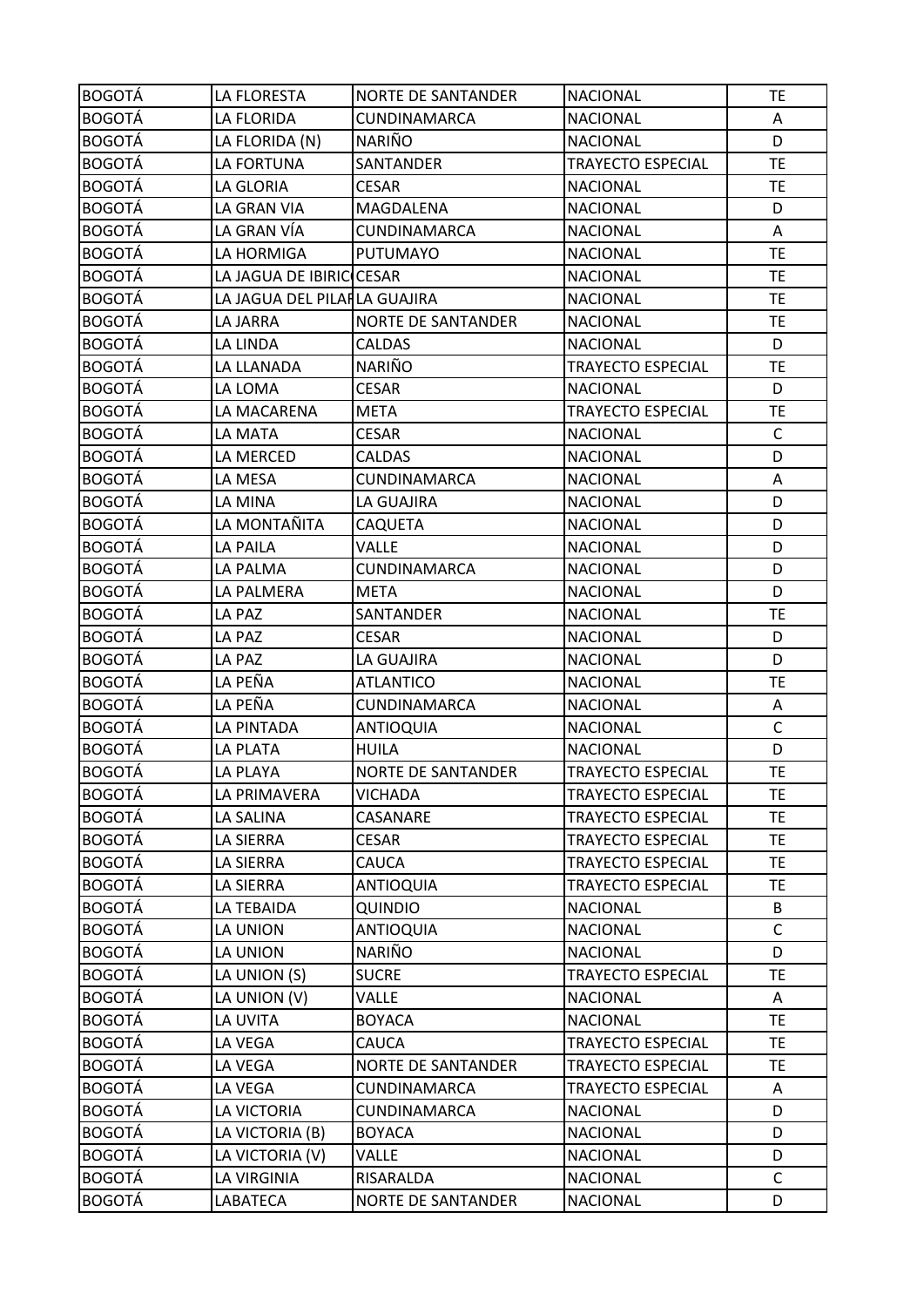| <b>BOGOTÁ</b> | LA FLORESTA                  | <b>NORTE DE SANTANDER</b> | <b>NACIONAL</b>          | <b>TE</b>    |
|---------------|------------------------------|---------------------------|--------------------------|--------------|
| <b>BOGOTÁ</b> | LA FLORIDA                   | CUNDINAMARCA              | <b>NACIONAL</b>          | A            |
| <b>BOGOTÁ</b> | LA FLORIDA (N)               | <b>NARIÑO</b>             | <b>NACIONAL</b>          | D            |
| <b>BOGOTÁ</b> | LA FORTUNA                   | SANTANDER                 | <b>TRAYECTO ESPECIAL</b> | <b>TE</b>    |
| <b>BOGOTÁ</b> | LA GLORIA                    | <b>CESAR</b>              | <b>NACIONAL</b>          | <b>TE</b>    |
| <b>BOGOTÁ</b> | LA GRAN VIA                  | MAGDALENA                 | <b>NACIONAL</b>          | D            |
| <b>BOGOTÁ</b> | LA GRAN VÍA                  | CUNDINAMARCA              | <b>NACIONAL</b>          | Α            |
| <b>BOGOTÁ</b> | LA HORMIGA                   | <b>PUTUMAYO</b>           | <b>NACIONAL</b>          | <b>TE</b>    |
| <b>BOGOTÁ</b> | LA JAGUA DE IBIRIC CESAR     |                           | <b>NACIONAL</b>          | <b>TE</b>    |
| <b>BOGOTÁ</b> | LA JAGUA DEL PILAILA GUAJIRA |                           | <b>NACIONAL</b>          | <b>TE</b>    |
| <b>BOGOTÁ</b> | LA JARRA                     | <b>NORTE DE SANTANDER</b> | <b>NACIONAL</b>          | <b>TE</b>    |
| <b>BOGOTÁ</b> | LA LINDA                     | <b>CALDAS</b>             | <b>NACIONAL</b>          | D            |
| <b>BOGOTÁ</b> | LA LLANADA                   | NARIÑO                    | <b>TRAYECTO ESPECIAL</b> | <b>TE</b>    |
| <b>BOGOTÁ</b> | LA LOMA                      | <b>CESAR</b>              | <b>NACIONAL</b>          | D            |
| <b>BOGOTÁ</b> | LA MACARENA                  | <b>META</b>               | <b>TRAYECTO ESPECIAL</b> | <b>TE</b>    |
| <b>BOGOTÁ</b> | LA MATA                      | <b>CESAR</b>              | <b>NACIONAL</b>          | $\mathsf{C}$ |
| <b>BOGOTÁ</b> | LA MERCED                    | <b>CALDAS</b>             | <b>NACIONAL</b>          | D            |
| <b>BOGOTÁ</b> | LA MESA                      | CUNDINAMARCA              | <b>NACIONAL</b>          | Α            |
| <b>BOGOTÁ</b> | LA MINA                      | LA GUAJIRA                | <b>NACIONAL</b>          | D            |
| <b>BOGOTÁ</b> | LA MONTAÑITA                 | CAQUETA                   | <b>NACIONAL</b>          | D            |
| <b>BOGOTÁ</b> | <b>LA PAILA</b>              | VALLE                     | <b>NACIONAL</b>          | D            |
| <b>BOGOTÁ</b> | LA PALMA                     | CUNDINAMARCA              | <b>NACIONAL</b>          | D            |
| <b>BOGOTÁ</b> | LA PALMERA                   | <b>META</b>               | <b>NACIONAL</b>          | D            |
| <b>BOGOTÁ</b> | LA PAZ                       | SANTANDER                 | <b>NACIONAL</b>          | <b>TE</b>    |
| <b>BOGOTÁ</b> | LA PAZ                       | <b>CESAR</b>              | <b>NACIONAL</b>          | D            |
| <b>BOGOTÁ</b> | LA PAZ                       | LA GUAJIRA                | <b>NACIONAL</b>          | D            |
| <b>BOGOTÁ</b> | LA PEÑA                      | <b>ATLANTICO</b>          | <b>NACIONAL</b>          | <b>TE</b>    |
| <b>BOGOTÁ</b> | LA PEÑA                      | CUNDINAMARCA              | <b>NACIONAL</b>          | Α            |
| <b>BOGOTÁ</b> | LA PINTADA                   | <b>ANTIOQUIA</b>          | <b>NACIONAL</b>          | $\mathsf{C}$ |
| <b>BOGOTÁ</b> | LA PLATA                     | <b>HUILA</b>              | <b>NACIONAL</b>          | D            |
| <b>BOGOTÁ</b> | LA PLAYA                     | <b>NORTE DE SANTANDER</b> | <b>TRAYECTO ESPECIAL</b> | <b>TE</b>    |
| <b>BOGOTÁ</b> | LA PRIMAVERA                 | <b>VICHADA</b>            | TRAYECTO ESPECIAL        | <b>TE</b>    |
| <b>BOGOTÁ</b> | LA SALINA                    | CASANARE                  | <b>TRAYECTO ESPECIAL</b> | <b>TE</b>    |
| <b>BOGOTÁ</b> | LA SIERRA                    | <b>CESAR</b>              | <b>TRAYECTO ESPECIAL</b> | TE.          |
| <b>BOGOTÁ</b> | LA SIERRA                    | CAUCA                     | <b>TRAYECTO ESPECIAL</b> | <b>TE</b>    |
| <b>BOGOTÁ</b> | LA SIERRA                    | <b>ANTIOQUIA</b>          | TRAYECTO ESPECIAL        | TE.          |
| <b>BOGOTÁ</b> | LA TEBAIDA                   | QUINDIO                   | <b>NACIONAL</b>          | B            |
| <b>BOGOTÁ</b> | LA UNION                     | <b>ANTIOQUIA</b>          | <b>NACIONAL</b>          | $\mathsf{C}$ |
| <b>BOGOTÁ</b> | LA UNION                     | <b>NARIÑO</b>             | <b>NACIONAL</b>          | D            |
| <b>BOGOTÁ</b> | LA UNION (S)                 | <b>SUCRE</b>              | <b>TRAYECTO ESPECIAL</b> | <b>TE</b>    |
| <b>BOGOTÁ</b> | LA UNION (V)                 | VALLE                     | <b>NACIONAL</b>          | A            |
| <b>BOGOTÁ</b> | LA UVITA                     | <b>BOYACA</b>             | <b>NACIONAL</b>          | <b>TE</b>    |
| <b>BOGOTÁ</b> | LA VEGA                      | CAUCA                     | TRAYECTO ESPECIAL        | <b>TE</b>    |
| <b>BOGOTÁ</b> | LA VEGA                      | <b>NORTE DE SANTANDER</b> | <b>TRAYECTO ESPECIAL</b> | <b>TE</b>    |
| <b>BOGOTÁ</b> | LA VEGA                      | CUNDINAMARCA              | <b>TRAYECTO ESPECIAL</b> | Α            |
| <b>BOGOTÁ</b> | LA VICTORIA                  | CUNDINAMARCA              | <b>NACIONAL</b>          | D            |
| <b>BOGOTÁ</b> | LA VICTORIA (B)              | <b>BOYACA</b>             | <b>NACIONAL</b>          | D            |
| <b>BOGOTÁ</b> | LA VICTORIA (V)              | <b>VALLE</b>              | <b>NACIONAL</b>          | D            |
| <b>BOGOTÁ</b> | LA VIRGINIA                  | RISARALDA                 | <b>NACIONAL</b>          | $\mathsf{C}$ |
| <b>BOGOTÁ</b> | LABATECA                     | <b>NORTE DE SANTANDER</b> | <b>NACIONAL</b>          | D            |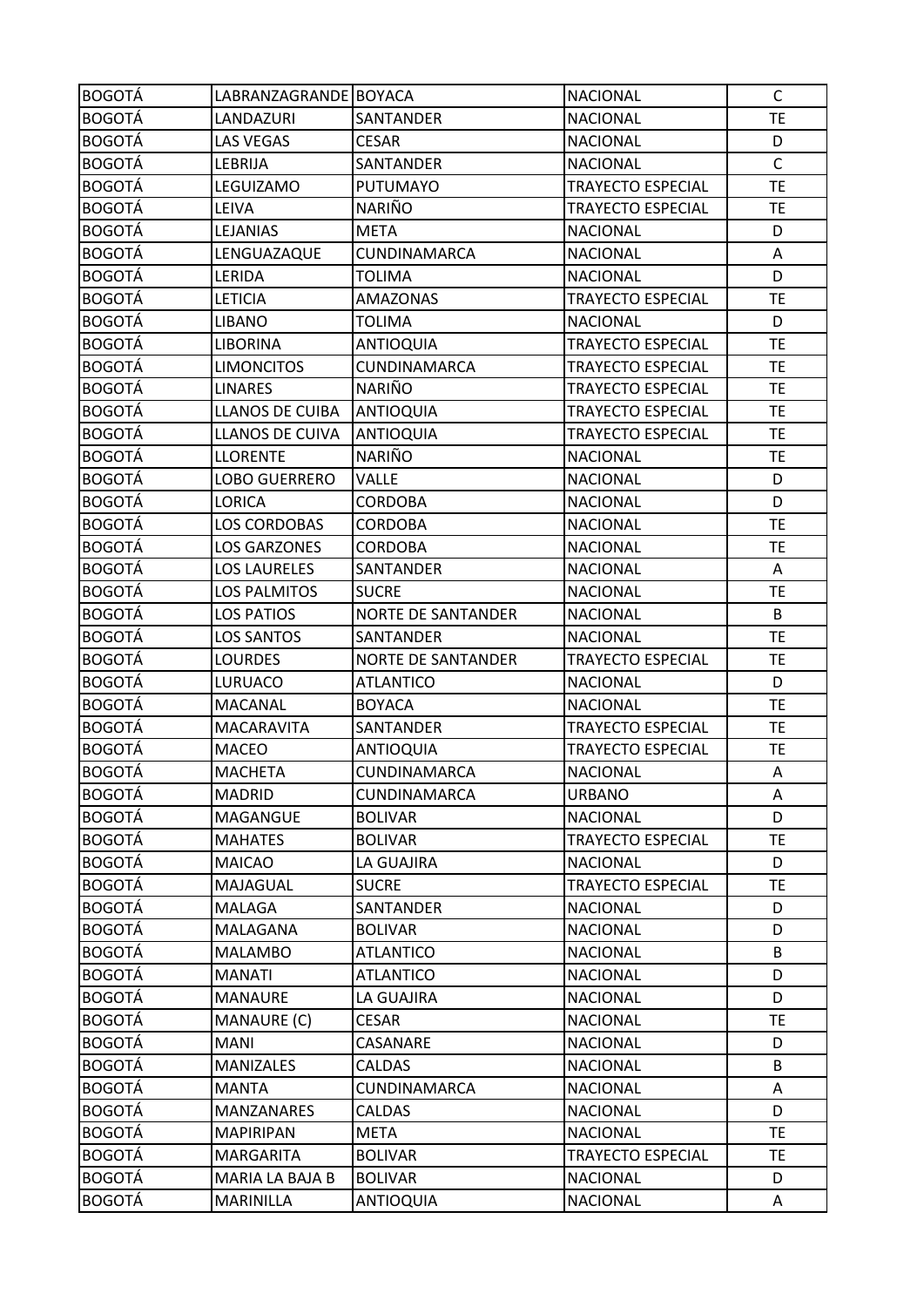| <b>BOGOTÁ</b> | LABRANZAGRANDE BOYACA  |                           | <b>NACIONAL</b>          | $\mathsf{C}$ |
|---------------|------------------------|---------------------------|--------------------------|--------------|
| <b>BOGOTÁ</b> | LANDAZURI              | SANTANDER                 | <b>NACIONAL</b>          | TE           |
| <b>BOGOTÁ</b> | <b>LAS VEGAS</b>       | <b>CESAR</b>              | <b>NACIONAL</b>          | D            |
| <b>BOGOTÁ</b> | LEBRIJA                | SANTANDER                 | <b>NACIONAL</b>          | $\mathsf{C}$ |
| <b>BOGOTÁ</b> | LEGUIZAMO              | <b>PUTUMAYO</b>           | TRAYECTO ESPECIAL        | <b>TE</b>    |
| <b>BOGOTÁ</b> | LEIVA                  | <b>NARIÑO</b>             | <b>TRAYECTO ESPECIAL</b> | <b>TE</b>    |
| <b>BOGOTÁ</b> | LEJANIAS               | <b>META</b>               | <b>NACIONAL</b>          | D            |
| <b>BOGOTÁ</b> | LENGUAZAQUE            | <b>CUNDINAMARCA</b>       | <b>NACIONAL</b>          | Α            |
| <b>BOGOTÁ</b> | LERIDA                 | <b>TOLIMA</b>             | <b>NACIONAL</b>          | D            |
| <b>BOGOTÁ</b> | LETICIA                | <b>AMAZONAS</b>           | TRAYECTO ESPECIAL        | <b>TE</b>    |
| <b>BOGOTÁ</b> | <b>LIBANO</b>          | <b>TOLIMA</b>             | <b>NACIONAL</b>          | D            |
| <b>BOGOTÁ</b> | <b>LIBORINA</b>        | <b>ANTIOQUIA</b>          | <b>TRAYECTO ESPECIAL</b> | <b>TE</b>    |
| <b>BOGOTÁ</b> | <b>LIMONCITOS</b>      | CUNDINAMARCA              | <b>TRAYECTO ESPECIAL</b> | <b>TE</b>    |
| <b>BOGOTÁ</b> | <b>LINARES</b>         | <b>NARIÑO</b>             | TRAYECTO ESPECIAL        | <b>TE</b>    |
| <b>BOGOTÁ</b> | <b>LLANOS DE CUIBA</b> | <b>ANTIOQUIA</b>          | <b>TRAYECTO ESPECIAL</b> | <b>TE</b>    |
| <b>BOGOTÁ</b> | LLANOS DE CUIVA        | <b>ANTIOQUIA</b>          | <b>TRAYECTO ESPECIAL</b> | <b>TE</b>    |
| <b>BOGOTÁ</b> | <b>LLORENTE</b>        | <b>NARIÑO</b>             | <b>NACIONAL</b>          | <b>TE</b>    |
| <b>BOGOTÁ</b> | LOBO GUERRERO          | <b>VALLE</b>              | <b>NACIONAL</b>          | D            |
| <b>BOGOTÁ</b> | LORICA                 | CORDOBA                   | <b>NACIONAL</b>          | D            |
| <b>BOGOTÁ</b> | <b>LOS CORDOBAS</b>    | <b>CORDOBA</b>            | <b>NACIONAL</b>          | <b>TE</b>    |
| <b>BOGOTÁ</b> | LOS GARZONES           | <b>CORDOBA</b>            | <b>NACIONAL</b>          | <b>TE</b>    |
| <b>BOGOTÁ</b> | <b>LOS LAURELES</b>    | SANTANDER                 | <b>NACIONAL</b>          | A            |
| <b>BOGOTÁ</b> | <b>LOS PALMITOS</b>    | <b>SUCRE</b>              | <b>NACIONAL</b>          | <b>TE</b>    |
| <b>BOGOTÁ</b> | <b>LOS PATIOS</b>      | <b>NORTE DE SANTANDER</b> | <b>NACIONAL</b>          | B            |
| <b>BOGOTÁ</b> | <b>LOS SANTOS</b>      | SANTANDER                 | <b>NACIONAL</b>          | <b>TE</b>    |
| <b>BOGOTÁ</b> | <b>LOURDES</b>         | <b>NORTE DE SANTANDER</b> | <b>TRAYECTO ESPECIAL</b> | <b>TE</b>    |
| <b>BOGOTÁ</b> | LURUACO                | <b>ATLANTICO</b>          | <b>NACIONAL</b>          | D            |
| <b>BOGOTÁ</b> | <b>MACANAL</b>         | <b>BOYACA</b>             | <b>NACIONAL</b>          | <b>TE</b>    |
| <b>BOGOTÁ</b> | <b>MACARAVITA</b>      | SANTANDER                 | TRAYECTO ESPECIAL        | <b>TE</b>    |
| <b>BOGOTÁ</b> | <b>MACEO</b>           | <b>ANTIOQUIA</b>          | <b>TRAYECTO ESPECIAL</b> | <b>TE</b>    |
| <b>BOGOTÁ</b> | <b>MACHETA</b>         | CUNDINAMARCA              | <b>NACIONAL</b>          | A            |
| <b>BOGOTÁ</b> | <b>MADRID</b>          | CUNDINAMARCA              | <b>URBANO</b>            | Α            |
| <b>BOGOTÁ</b> | MAGANGUE               | <b>BOLIVAR</b>            | <b>NACIONAL</b>          | D            |
| <b>BOGOTÁ</b> | <b>MAHATES</b>         | <b>BOLIVAR</b>            | <b>TRAYECTO ESPECIAL</b> | <b>TE</b>    |
| <b>BOGOTÁ</b> | <b>MAICAO</b>          | LA GUAJIRA                | <b>NACIONAL</b>          | D            |
| <b>BOGOTÁ</b> | MAJAGUAL               | <b>SUCRE</b>              | TRAYECTO ESPECIAL        | <b>TE</b>    |
| <b>BOGOTÁ</b> | <b>MALAGA</b>          | SANTANDER                 | <b>NACIONAL</b>          | D            |
| <b>BOGOTÁ</b> | MALAGANA               | <b>BOLIVAR</b>            | <b>NACIONAL</b>          | D            |
| <b>BOGOTÁ</b> | <b>MALAMBO</b>         | <b>ATLANTICO</b>          | <b>NACIONAL</b>          | B            |
| <b>BOGOTÁ</b> | <b>MANATI</b>          | <b>ATLANTICO</b>          | <b>NACIONAL</b>          | D            |
| <b>BOGOTÁ</b> | <b>MANAURE</b>         | LA GUAJIRA                | <b>NACIONAL</b>          | D            |
| <b>BOGOTÁ</b> | MANAURE (C)            | CESAR                     | <b>NACIONAL</b>          | <b>TE</b>    |
| <b>BOGOTÁ</b> | <b>MANI</b>            | CASANARE                  | <b>NACIONAL</b>          | D            |
| <b>BOGOTÁ</b> | <b>MANIZALES</b>       | <b>CALDAS</b>             | <b>NACIONAL</b>          | B            |
| <b>BOGOTÁ</b> | <b>MANTA</b>           | CUNDINAMARCA              | <b>NACIONAL</b>          | Α            |
| <b>BOGOTÁ</b> | <b>MANZANARES</b>      | <b>CALDAS</b>             | <b>NACIONAL</b>          | D            |
| <b>BOGOTÁ</b> | <b>MAPIRIPAN</b>       | <b>META</b>               | <b>NACIONAL</b>          | <b>TE</b>    |
| <b>BOGOTÁ</b> | <b>MARGARITA</b>       | <b>BOLIVAR</b>            | TRAYECTO ESPECIAL        | <b>TE</b>    |
| <b>BOGOTÁ</b> | MARIA LA BAJA B        | <b>BOLIVAR</b>            | <b>NACIONAL</b>          | D            |
| <b>BOGOTÁ</b> | MARINILLA              | <b>ANTIOQUIA</b>          | <b>NACIONAL</b>          | Α            |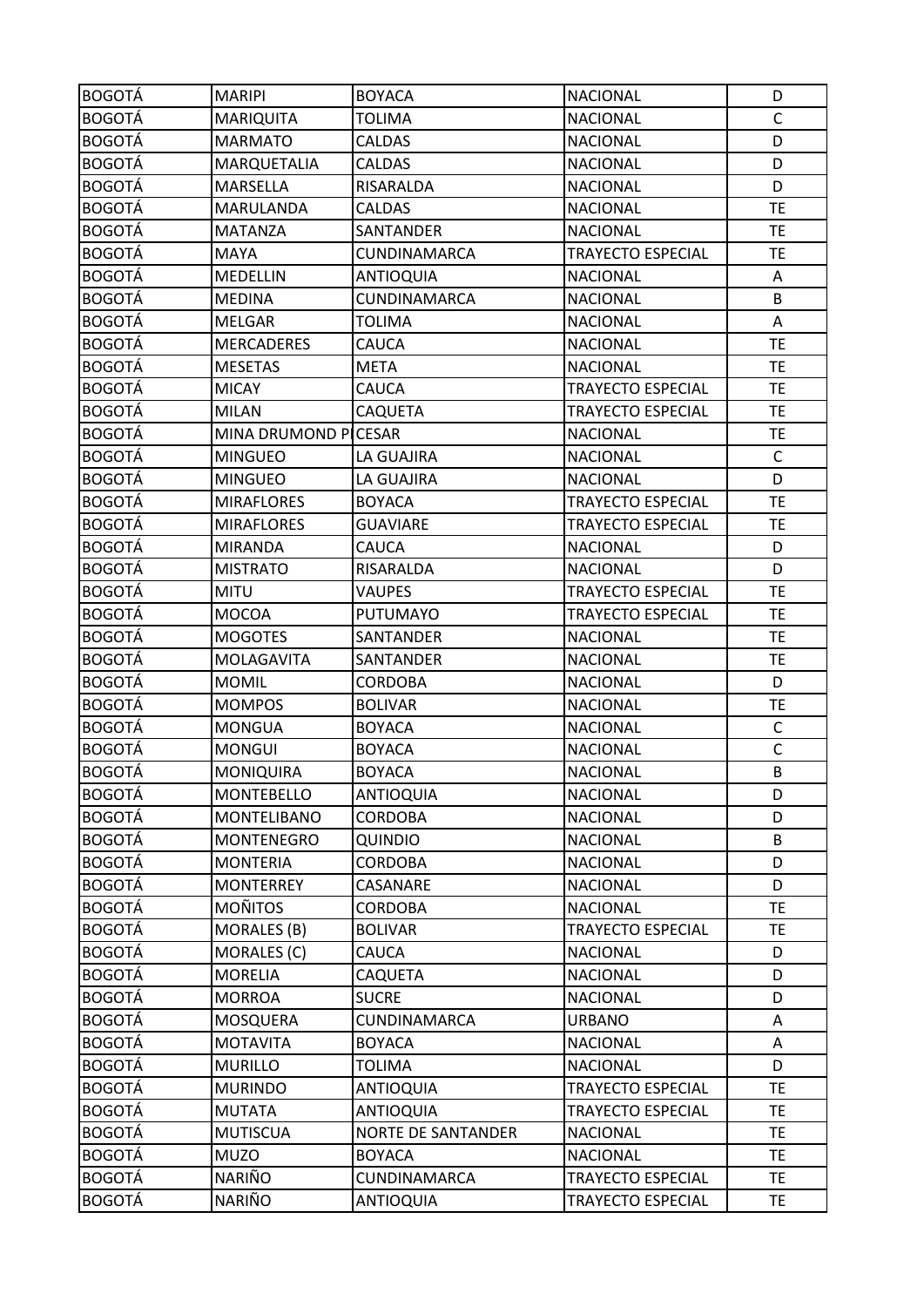| <b>BOGOTÁ</b> | <b>MARIPI</b>        | <b>BOYACA</b>             | <b>NACIONAL</b>          | D            |
|---------------|----------------------|---------------------------|--------------------------|--------------|
| <b>BOGOTÁ</b> | <b>MARIQUITA</b>     | <b>TOLIMA</b>             | <b>NACIONAL</b>          | $\mathsf{C}$ |
| <b>BOGOTÁ</b> | <b>MARMATO</b>       | <b>CALDAS</b>             | <b>NACIONAL</b>          | D            |
| <b>BOGOTÁ</b> | MARQUETALIA          | CALDAS                    | <b>NACIONAL</b>          | D            |
| <b>BOGOTÁ</b> | <b>MARSELLA</b>      | RISARALDA                 | <b>NACIONAL</b>          | D            |
| <b>BOGOTÁ</b> | MARULANDA            | CALDAS                    | <b>NACIONAL</b>          | <b>TE</b>    |
| <b>BOGOTÁ</b> | <b>MATANZA</b>       | SANTANDER                 | <b>NACIONAL</b>          | <b>TE</b>    |
| <b>BOGOTÁ</b> | <b>MAYA</b>          | CUNDINAMARCA              | <b>TRAYECTO ESPECIAL</b> | <b>TE</b>    |
| <b>BOGOTÁ</b> | <b>MEDELLIN</b>      | <b>ANTIOQUIA</b>          | <b>NACIONAL</b>          | A            |
| <b>BOGOTÁ</b> | <b>MEDINA</b>        | CUNDINAMARCA              | <b>NACIONAL</b>          | B            |
| <b>BOGOTÁ</b> | <b>MELGAR</b>        | <b>TOLIMA</b>             | <b>NACIONAL</b>          | Α            |
| <b>BOGOTÁ</b> | <b>MERCADERES</b>    | CAUCA                     | <b>NACIONAL</b>          | <b>TE</b>    |
| <b>BOGOTÁ</b> | <b>MESETAS</b>       | <b>META</b>               | <b>NACIONAL</b>          | <b>TE</b>    |
| <b>BOGOTÁ</b> | <b>MICAY</b>         | CAUCA                     | TRAYECTO ESPECIAL        | <b>TE</b>    |
| <b>BOGOTÁ</b> | <b>MILAN</b>         | CAQUETA                   | TRAYECTO ESPECIAL        | <b>TE</b>    |
| <b>BOGOTÁ</b> | MINA DRUMOND PICESAR |                           | <b>NACIONAL</b>          | <b>TE</b>    |
| <b>BOGOTÁ</b> | <b>MINGUEO</b>       | LA GUAJIRA                | <b>NACIONAL</b>          | C            |
| <b>BOGOTÁ</b> | <b>MINGUEO</b>       | LA GUAJIRA                | <b>NACIONAL</b>          | D            |
| <b>BOGOTÁ</b> | <b>MIRAFLORES</b>    | <b>BOYACA</b>             | TRAYECTO ESPECIAL        | <b>TE</b>    |
| <b>BOGOTÁ</b> | <b>MIRAFLORES</b>    | <b>GUAVIARE</b>           | <b>TRAYECTO ESPECIAL</b> | <b>TE</b>    |
| <b>BOGOTÁ</b> | <b>MIRANDA</b>       | CAUCA                     | <b>NACIONAL</b>          | D            |
| <b>BOGOTÁ</b> | <b>MISTRATO</b>      | RISARALDA                 | <b>NACIONAL</b>          | D            |
| <b>BOGOTÁ</b> | <b>MITU</b>          | <b>VAUPES</b>             | <b>TRAYECTO ESPECIAL</b> | TE           |
| <b>BOGOTÁ</b> | <b>MOCOA</b>         | PUTUMAYO                  | TRAYECTO ESPECIAL        | <b>TE</b>    |
| <b>BOGOTÁ</b> | <b>MOGOTES</b>       | SANTANDER                 | <b>NACIONAL</b>          | <b>TE</b>    |
| <b>BOGOTÁ</b> | MOLAGAVITA           | SANTANDER                 | <b>NACIONAL</b>          | <b>TE</b>    |
| <b>BOGOTÁ</b> | <b>MOMIL</b>         | <b>CORDOBA</b>            | <b>NACIONAL</b>          | D            |
| <b>BOGOTÁ</b> | <b>MOMPOS</b>        | <b>BOLIVAR</b>            | <b>NACIONAL</b>          | TE           |
| <b>BOGOTÁ</b> | <b>MONGUA</b>        | <b>BOYACA</b>             | <b>NACIONAL</b>          | C            |
| <b>BOGOTÁ</b> | <b>MONGUI</b>        | <b>BOYACA</b>             | <b>NACIONAL</b>          | $\mathsf{C}$ |
| <b>BOGOTÁ</b> | MONIQUIRA            | <b>BOYACA</b>             | <b>NACIONAL</b>          | B            |
| <b>BOGOTÁ</b> | <b>MONTEBELLO</b>    | <b>ANTIOQUIA</b>          | <b>NACIONAL</b>          | D            |
| <b>BOGOTÁ</b> | <b>MONTELIBANO</b>   | <b>CORDOBA</b>            | <b>NACIONAL</b>          | D            |
| <b>BOGOTÁ</b> | <b>MONTENEGRO</b>    | QUINDIO                   | <b>NACIONAL</b>          | B            |
| <b>BOGOTÁ</b> | <b>MONTERIA</b>      | <b>CORDOBA</b>            | <b>NACIONAL</b>          | D            |
| <b>BOGOTÁ</b> | <b>MONTERREY</b>     | CASANARE                  | <b>NACIONAL</b>          | D            |
| <b>BOGOTÁ</b> | <b>MOÑITOS</b>       | <b>CORDOBA</b>            | <b>NACIONAL</b>          | <b>TE</b>    |
| <b>BOGOTÁ</b> | MORALES (B)          | <b>BOLIVAR</b>            | TRAYECTO ESPECIAL        | <b>TE</b>    |
| <b>BOGOTÁ</b> | MORALES (C)          | CAUCA                     | <b>NACIONAL</b>          | D            |
| <b>BOGOTÁ</b> | <b>MORELIA</b>       | CAQUETA                   | <b>NACIONAL</b>          | D            |
| <b>BOGOTÁ</b> | <b>MORROA</b>        | <b>SUCRE</b>              | <b>NACIONAL</b>          | D            |
| <b>BOGOTÁ</b> | MOSQUERA             | CUNDINAMARCA              | <b>URBANO</b>            | A            |
| <b>BOGOTÁ</b> | <b>MOTAVITA</b>      | <b>BOYACA</b>             | <b>NACIONAL</b>          | A            |
| <b>BOGOTÁ</b> | <b>MURILLO</b>       | <b>TOLIMA</b>             | <b>NACIONAL</b>          | D            |
| <b>BOGOTÁ</b> | <b>MURINDO</b>       | <b>ANTIOQUIA</b>          | TRAYECTO ESPECIAL        | TE           |
| <b>BOGOTÁ</b> | <b>MUTATA</b>        | <b>ANTIOQUIA</b>          | <b>TRAYECTO ESPECIAL</b> | <b>TE</b>    |
| <b>BOGOTÁ</b> | <b>MUTISCUA</b>      | <b>NORTE DE SANTANDER</b> | <b>NACIONAL</b>          | <b>TE</b>    |
| <b>BOGOTÁ</b> | <b>MUZO</b>          | <b>BOYACA</b>             | <b>NACIONAL</b>          | <b>TE</b>    |
| <b>BOGOTÁ</b> | NARIÑO               | CUNDINAMARCA              | TRAYECTO ESPECIAL        | <b>TE</b>    |
| <b>BOGOTÁ</b> | NARIÑO               | <b>ANTIOQUIA</b>          | TRAYECTO ESPECIAL        | <b>TE</b>    |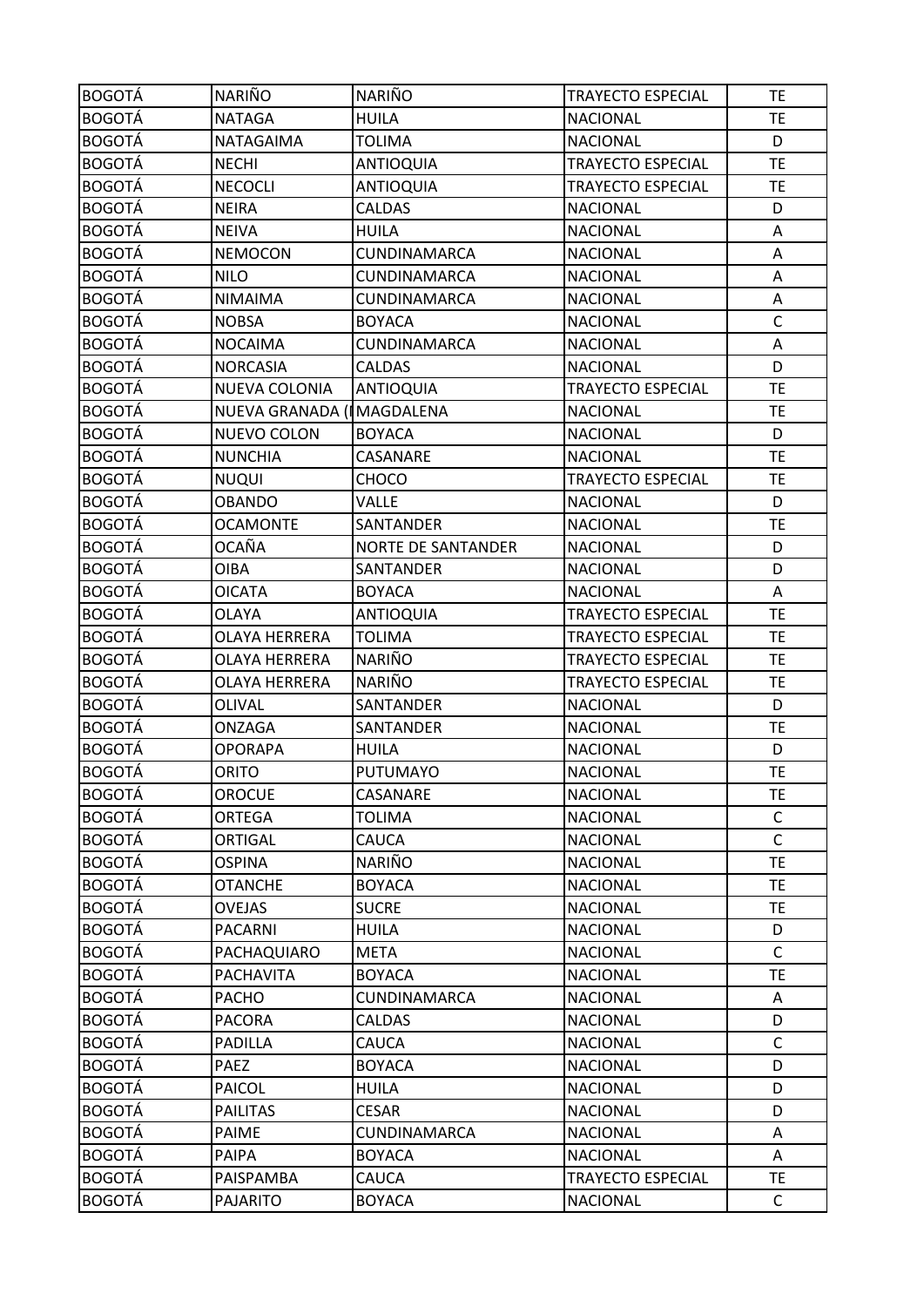| <b>BOGOTÁ</b> | <b>NARIÑO</b>             | <b>NARIÑO</b>             | <b>TRAYECTO ESPECIAL</b> | <b>TE</b>    |
|---------------|---------------------------|---------------------------|--------------------------|--------------|
| <b>BOGOTÁ</b> | <b>NATAGA</b>             | <b>HUILA</b>              | <b>NACIONAL</b>          | <b>TE</b>    |
| <b>BOGOTÁ</b> | NATAGAIMA                 | <b>TOLIMA</b>             | <b>NACIONAL</b>          | D            |
| <b>BOGOTÁ</b> | <b>NECHI</b>              | <b>ANTIOQUIA</b>          | <b>TRAYECTO ESPECIAL</b> | <b>TE</b>    |
| <b>BOGOTÁ</b> | <b>NECOCLI</b>            | <b>ANTIOQUIA</b>          | TRAYECTO ESPECIAL        | <b>TE</b>    |
| <b>BOGOTÁ</b> | <b>NEIRA</b>              | <b>CALDAS</b>             | <b>NACIONAL</b>          | D            |
| <b>BOGOTÁ</b> | <b>NEIVA</b>              | <b>HUILA</b>              | <b>NACIONAL</b>          | Α            |
| <b>BOGOTÁ</b> | <b>NEMOCON</b>            | <b>CUNDINAMARCA</b>       | <b>NACIONAL</b>          | Α            |
| <b>BOGOTÁ</b> | <b>NILO</b>               | CUNDINAMARCA              | <b>NACIONAL</b>          | A            |
| <b>BOGOTÁ</b> | <b>NIMAIMA</b>            | CUNDINAMARCA              | <b>NACIONAL</b>          | Α            |
| <b>BOGOTÁ</b> | <b>NOBSA</b>              | <b>BOYACA</b>             | <b>NACIONAL</b>          | $\mathsf{C}$ |
| <b>BOGOTÁ</b> | <b>NOCAIMA</b>            | CUNDINAMARCA              | <b>NACIONAL</b>          | A            |
| <b>BOGOTÁ</b> | <b>NORCASIA</b>           | <b>CALDAS</b>             | <b>NACIONAL</b>          | D            |
| <b>BOGOTÁ</b> | NUEVA COLONIA             | <b>ANTIOQUIA</b>          | TRAYECTO ESPECIAL        | <b>TE</b>    |
| <b>BOGOTÁ</b> | NUEVA GRANADA (IMAGDALENA |                           | <b>NACIONAL</b>          | <b>TE</b>    |
| <b>BOGOTÁ</b> | NUEVO COLON               | <b>BOYACA</b>             | <b>NACIONAL</b>          | D            |
| <b>BOGOTÁ</b> | <b>NUNCHIA</b>            | CASANARE                  | <b>NACIONAL</b>          | <b>TE</b>    |
| <b>BOGOTÁ</b> | <b>NUQUI</b>              | CHOCO                     | <b>TRAYECTO ESPECIAL</b> | <b>TE</b>    |
| <b>BOGOTÁ</b> | <b>OBANDO</b>             | VALLE                     | <b>NACIONAL</b>          | D            |
| <b>BOGOTÁ</b> | <b>OCAMONTE</b>           | SANTANDER                 | <b>NACIONAL</b>          | <b>TE</b>    |
| <b>BOGOTÁ</b> | OCAÑA                     | <b>NORTE DE SANTANDER</b> | <b>NACIONAL</b>          | D            |
| <b>BOGOTÁ</b> | OIBA                      | SANTANDER                 | <b>NACIONAL</b>          | D            |
| <b>BOGOTÁ</b> | <b>OICATA</b>             | <b>BOYACA</b>             | <b>NACIONAL</b>          | Α            |
| <b>BOGOTÁ</b> | OLAYA                     | <b>ANTIOQUIA</b>          | TRAYECTO ESPECIAL        | <b>TE</b>    |
| <b>BOGOTÁ</b> | <b>OLAYA HERRERA</b>      | <b>TOLIMA</b>             | <b>TRAYECTO ESPECIAL</b> | <b>TE</b>    |
| <b>BOGOTÁ</b> | OLAYA HERRERA             | <b>NARIÑO</b>             | <b>TRAYECTO ESPECIAL</b> | <b>TE</b>    |
| <b>BOGOTÁ</b> | OLAYA HERRERA             | <b>NARIÑO</b>             | <b>TRAYECTO ESPECIAL</b> | <b>TE</b>    |
| <b>BOGOTÁ</b> | OLIVAL                    | SANTANDER                 | <b>NACIONAL</b>          | D            |
| <b>BOGOTÁ</b> | ONZAGA                    | SANTANDER                 | <b>NACIONAL</b>          | TE           |
| <b>BOGOTÁ</b> | <b>OPORAPA</b>            | <b>HUILA</b>              | <b>NACIONAL</b>          | D            |
| <b>BOGOTÁ</b> | <b>ORITO</b>              | PUTUMAYO                  | <b>NACIONAL</b>          | <b>TE</b>    |
| <b>BOGOTÁ</b> | <b>OROCUE</b>             | CASANARE                  | <b>NACIONAL</b>          | <b>TE</b>    |
| <b>BOGOTÁ</b> | <b>ORTEGA</b>             | <b>TOLIMA</b>             | <b>NACIONAL</b>          | C            |
| <b>BOGOTÁ</b> | ORTIGAL                   | <b>CAUCA</b>              | <b>NACIONAL</b>          | $\mathsf{C}$ |
| <b>BOGOTÁ</b> | <b>OSPINA</b>             | NARIÑO                    | <b>NACIONAL</b>          | <b>TE</b>    |
| <b>BOGOTÁ</b> | <b>OTANCHE</b>            | <b>BOYACA</b>             | <b>NACIONAL</b>          | <b>TE</b>    |
| <b>BOGOTÁ</b> | <b>OVEJAS</b>             | <b>SUCRE</b>              | <b>NACIONAL</b>          | <b>TE</b>    |
| <b>BOGOTÁ</b> | PACARNI                   | <b>HUILA</b>              | <b>NACIONAL</b>          | D            |
| <b>BOGOTÁ</b> | PACHAQUIARO               | <b>META</b>               | <b>NACIONAL</b>          | $\mathsf{C}$ |
| <b>BOGOTÁ</b> | <b>PACHAVITA</b>          | <b>BOYACA</b>             | <b>NACIONAL</b>          | TE           |
| <b>BOGOTÁ</b> | <b>PACHO</b>              | CUNDINAMARCA              | <b>NACIONAL</b>          | Α            |
| <b>BOGOTÁ</b> | <b>PACORA</b>             | CALDAS                    | <b>NACIONAL</b>          | D            |
| <b>BOGOTÁ</b> | PADILLA                   | CAUCA                     | <b>NACIONAL</b>          | $\mathsf C$  |
| <b>BOGOTÁ</b> | <b>PAEZ</b>               | <b>BOYACA</b>             | <b>NACIONAL</b>          | D            |
| <b>BOGOTÁ</b> | PAICOL                    | <b>HUILA</b>              | <b>NACIONAL</b>          | D            |
| <b>BOGOTÁ</b> | <b>PAILITAS</b>           | <b>CESAR</b>              | <b>NACIONAL</b>          | D            |
| <b>BOGOTÁ</b> | <b>PAIME</b>              | CUNDINAMARCA              | <b>NACIONAL</b>          | Α            |
| <b>BOGOTÁ</b> | PAIPA                     | <b>BOYACA</b>             | <b>NACIONAL</b>          | A            |
| <b>BOGOTÁ</b> | PAISPAMBA                 | CAUCA                     | <b>TRAYECTO ESPECIAL</b> | <b>TE</b>    |
| <b>BOGOTÁ</b> | <b>PAJARITO</b>           | <b>BOYACA</b>             | <b>NACIONAL</b>          | C            |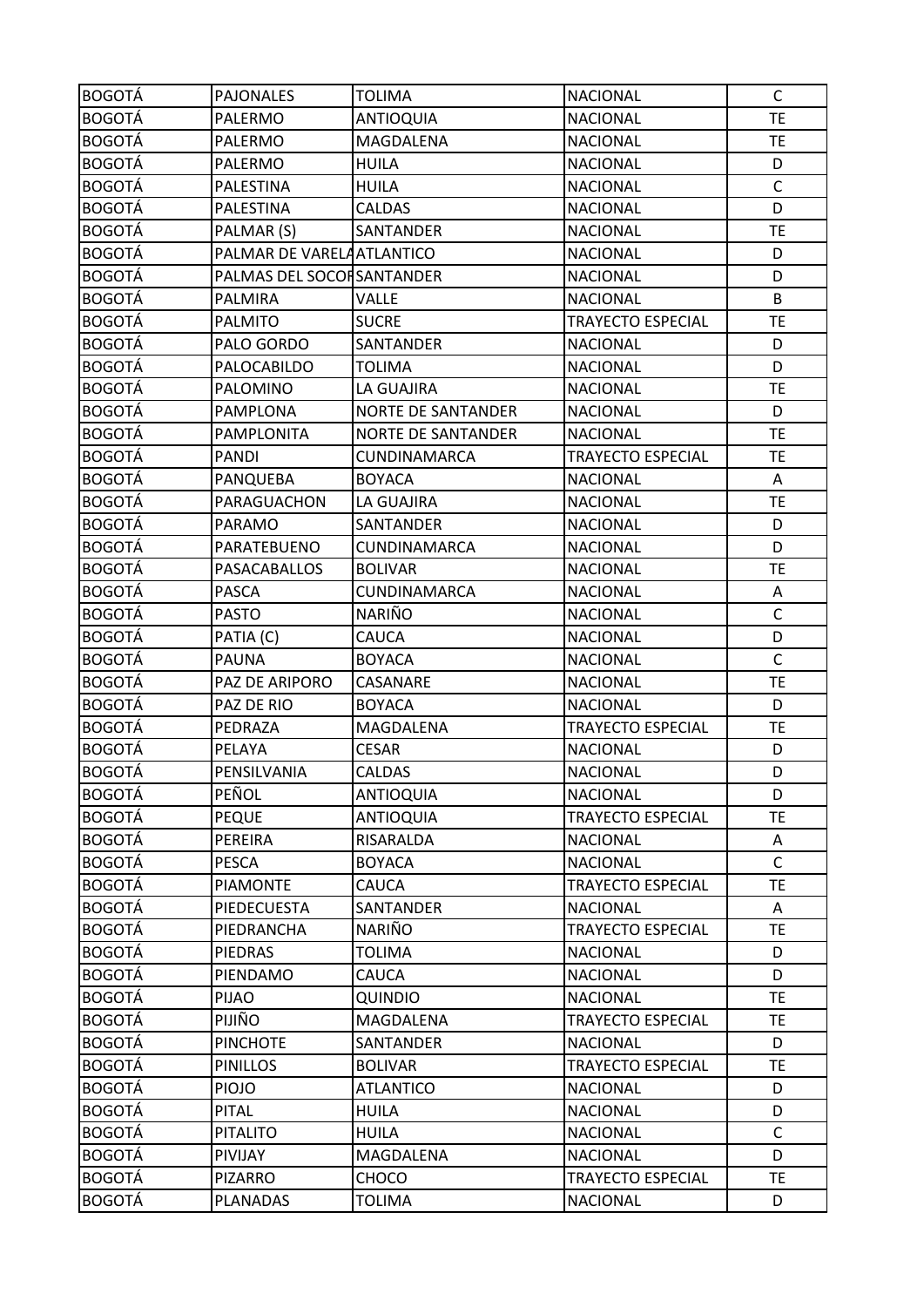| <b>BOGOTÁ</b> | <b>PAJONALES</b>          | <b>TOLIMA</b>             | <b>NACIONAL</b>          | $\mathsf{C}$ |
|---------------|---------------------------|---------------------------|--------------------------|--------------|
| <b>BOGOTÁ</b> | PALERMO                   | <b>ANTIOQUIA</b>          | <b>NACIONAL</b>          | <b>TE</b>    |
| <b>BOGOTÁ</b> | PALERMO                   | <b>MAGDALENA</b>          | <b>NACIONAL</b>          | <b>TE</b>    |
| <b>BOGOTÁ</b> | PALERMO                   | <b>HUILA</b>              | <b>NACIONAL</b>          | D            |
| <b>BOGOTÁ</b> | PALESTINA                 | <b>HUILA</b>              | <b>NACIONAL</b>          | $\mathsf C$  |
| <b>BOGOTÁ</b> | PALESTINA                 | <b>CALDAS</b>             | <b>NACIONAL</b>          | D            |
| <b>BOGOTÁ</b> | PALMAR (S)                | SANTANDER                 | <b>NACIONAL</b>          | <b>TE</b>    |
| <b>BOGOTÁ</b> | PALMAR DE VARELAATLANTICO |                           | <b>NACIONAL</b>          | D            |
| <b>BOGOTÁ</b> | PALMAS DEL SOCOFSANTANDER |                           | <b>NACIONAL</b>          | D            |
| <b>BOGOTÁ</b> | PALMIRA                   | <b>VALLE</b>              | <b>NACIONAL</b>          | B            |
| <b>BOGOTÁ</b> | <b>PALMITO</b>            | <b>SUCRE</b>              | <b>TRAYECTO ESPECIAL</b> | <b>TE</b>    |
| <b>BOGOTÁ</b> | PALO GORDO                | SANTANDER                 | <b>NACIONAL</b>          | D            |
| <b>BOGOTÁ</b> | PALOCABILDO               | <b>TOLIMA</b>             | <b>NACIONAL</b>          | D            |
| <b>BOGOTÁ</b> | PALOMINO                  | LA GUAJIRA                | <b>NACIONAL</b>          | <b>TE</b>    |
| <b>BOGOTÁ</b> | <b>PAMPLONA</b>           | <b>NORTE DE SANTANDER</b> | <b>NACIONAL</b>          | D            |
| <b>BOGOTÁ</b> | PAMPLONITA                | <b>NORTE DE SANTANDER</b> | <b>NACIONAL</b>          | <b>TE</b>    |
| <b>BOGOTÁ</b> | <b>PANDI</b>              | <b>CUNDINAMARCA</b>       | TRAYECTO ESPECIAL        | <b>TE</b>    |
| <b>BOGOTÁ</b> | PANQUEBA                  | <b>BOYACA</b>             | <b>NACIONAL</b>          | A            |
| <b>BOGOTÁ</b> | PARAGUACHON               | LA GUAJIRA                | <b>NACIONAL</b>          | <b>TE</b>    |
| <b>BOGOTÁ</b> | PARAMO                    | SANTANDER                 | <b>NACIONAL</b>          | D            |
| <b>BOGOTÁ</b> | PARATEBUENO               | CUNDINAMARCA              | <b>NACIONAL</b>          | D            |
| <b>BOGOTÁ</b> | PASACABALLOS              | <b>BOLIVAR</b>            | <b>NACIONAL</b>          | <b>TE</b>    |
| <b>BOGOTÁ</b> | <b>PASCA</b>              | CUNDINAMARCA              | <b>NACIONAL</b>          | Α            |
| <b>BOGOTÁ</b> | <b>PASTO</b>              | <b>NARIÑO</b>             | <b>NACIONAL</b>          | $\mathsf C$  |
| <b>BOGOTÁ</b> | PATIA (C)                 | CAUCA                     | <b>NACIONAL</b>          | D            |
| <b>BOGOTÁ</b> | <b>PAUNA</b>              | <b>BOYACA</b>             | <b>NACIONAL</b>          | $\mathsf C$  |
| <b>BOGOTÁ</b> | PAZ DE ARIPORO            | CASANARE                  | <b>NACIONAL</b>          | <b>TE</b>    |
| <b>BOGOTÁ</b> | PAZ DE RIO                | <b>BOYACA</b>             | <b>NACIONAL</b>          | D            |
| <b>BOGOTÁ</b> | PEDRAZA                   | MAGDALENA                 | <b>TRAYECTO ESPECIAL</b> | TE           |
| <b>BOGOTÁ</b> | PELAYA                    | <b>CESAR</b>              | <b>NACIONAL</b>          | D            |
| <b>BOGOTÁ</b> | PENSILVANIA               | <b>CALDAS</b>             | <b>NACIONAL</b>          | D            |
| <b>BOGOTÁ</b> | PEÑOL                     | <b>ANTIOQUIA</b>          | <b>NACIONAL</b>          | D            |
| <b>BOGOTÁ</b> | <b>PEQUE</b>              | <b>ANTIOQUIA</b>          | <b>TRAYECTO ESPECIAL</b> | <b>TE</b>    |
| <b>BOGOTÁ</b> | PEREIRA                   | RISARALDA                 | <b>NACIONAL</b>          | Α            |
| <b>BOGOTÁ</b> | <b>PESCA</b>              | <b>BOYACA</b>             | <b>NACIONAL</b>          | $\mathsf{C}$ |
| <b>BOGOTÁ</b> | <b>PIAMONTE</b>           | <b>CAUCA</b>              | TRAYECTO ESPECIAL        | TE.          |
| <b>BOGOTÁ</b> | PIEDECUESTA               | SANTANDER                 | <b>NACIONAL</b>          | A            |
| <b>BOGOTÁ</b> | PIEDRANCHA                | NARIÑO                    | <b>TRAYECTO ESPECIAL</b> | <b>TE</b>    |
| <b>BOGOTÁ</b> | <b>PIEDRAS</b>            | <b>TOLIMA</b>             | <b>NACIONAL</b>          | D            |
| <b>BOGOTÁ</b> | PIENDAMO                  | CAUCA                     | <b>NACIONAL</b>          | D            |
| <b>BOGOTÁ</b> | <b>PIJAO</b>              | QUINDIO                   | <b>NACIONAL</b>          | <b>TE</b>    |
| <b>BOGOTÁ</b> | PIJIÑO                    | MAGDALENA                 | <b>TRAYECTO ESPECIAL</b> | <b>TE</b>    |
| <b>BOGOTÁ</b> | <b>PINCHOTE</b>           | SANTANDER                 | <b>NACIONAL</b>          | D            |
| <b>BOGOTÁ</b> | <b>PINILLOS</b>           | <b>BOLIVAR</b>            | <b>TRAYECTO ESPECIAL</b> | <b>TE</b>    |
| <b>BOGOTÁ</b> | <b>PIOJO</b>              | <b>ATLANTICO</b>          | <b>NACIONAL</b>          | D            |
| <b>BOGOTÁ</b> | <b>PITAL</b>              | <b>HUILA</b>              | <b>NACIONAL</b>          | D            |
| <b>BOGOTÁ</b> | <b>PITALITO</b>           | <b>HUILA</b>              | <b>NACIONAL</b>          | $\mathsf{C}$ |
| <b>BOGOTÁ</b> | PIVIJAY                   | MAGDALENA                 | <b>NACIONAL</b>          | D            |
| <b>BOGOTÁ</b> | <b>PIZARRO</b>            | CHOCO                     | <b>TRAYECTO ESPECIAL</b> | <b>TE</b>    |
| <b>BOGOTÁ</b> | PLANADAS                  | TOLIMA                    | <b>NACIONAL</b>          | D            |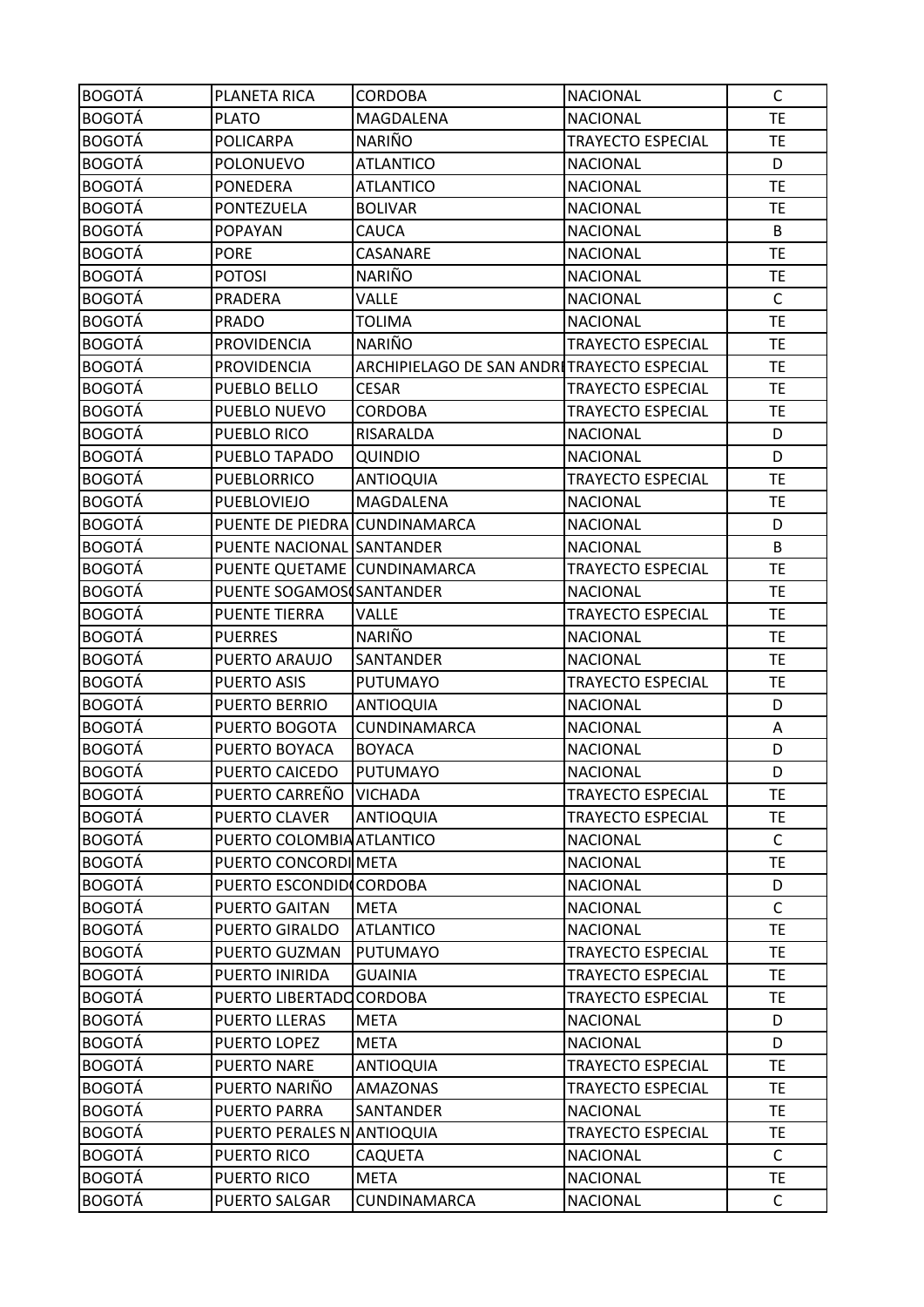| <b>BOGOTÁ</b> | PLANETA RICA                  | <b>CORDOBA</b>                             | <b>NACIONAL</b>          | $\mathsf{C}$ |
|---------------|-------------------------------|--------------------------------------------|--------------------------|--------------|
| <b>BOGOTÁ</b> | <b>PLATO</b>                  | MAGDALENA                                  | <b>NACIONAL</b>          | <b>TE</b>    |
| <b>BOGOTÁ</b> | POLICARPA                     | NARIÑO                                     | <b>TRAYECTO ESPECIAL</b> | <b>TE</b>    |
| <b>BOGOTÁ</b> | <b>POLONUEVO</b>              | <b>ATLANTICO</b>                           | <b>NACIONAL</b>          | D            |
| <b>BOGOTÁ</b> | <b>PONEDERA</b>               | <b>ATLANTICO</b>                           | <b>NACIONAL</b>          | <b>TE</b>    |
| <b>BOGOTÁ</b> | PONTEZUELA                    | <b>BOLIVAR</b>                             | <b>NACIONAL</b>          | <b>TE</b>    |
| <b>BOGOTÁ</b> | <b>POPAYAN</b>                | CAUCA                                      | <b>NACIONAL</b>          | B            |
| <b>BOGOTÁ</b> | <b>PORE</b>                   | CASANARE                                   | <b>NACIONAL</b>          | <b>TE</b>    |
| <b>BOGOTÁ</b> | <b>POTOSI</b>                 | <b>NARIÑO</b>                              | <b>NACIONAL</b>          | <b>TE</b>    |
| <b>BOGOTÁ</b> | PRADERA                       | <b>VALLE</b>                               | <b>NACIONAL</b>          | $\mathsf{C}$ |
| <b>BOGOTÁ</b> | <b>PRADO</b>                  | <b>TOLIMA</b>                              | <b>NACIONAL</b>          | <b>TE</b>    |
| <b>BOGOTÁ</b> | <b>PROVIDENCIA</b>            | <b>NARIÑO</b>                              | <b>TRAYECTO ESPECIAL</b> | <b>TE</b>    |
| <b>BOGOTÁ</b> | <b>PROVIDENCIA</b>            | ARCHIPIELAGO DE SAN ANDRITRAYECTO ESPECIAL |                          | <b>TE</b>    |
| <b>BOGOTÁ</b> | PUEBLO BELLO                  | <b>CESAR</b>                               | <b>TRAYECTO ESPECIAL</b> | <b>TE</b>    |
| <b>BOGOTÁ</b> | PUEBLO NUEVO                  | <b>CORDOBA</b>                             | <b>TRAYECTO ESPECIAL</b> | <b>TE</b>    |
| <b>BOGOTÁ</b> | PUEBLO RICO                   | RISARALDA                                  | <b>NACIONAL</b>          | D            |
| <b>BOGOTÁ</b> | PUEBLO TAPADO                 | <b>QUINDIO</b>                             | <b>NACIONAL</b>          | D            |
| <b>BOGOTÁ</b> | <b>PUEBLORRICO</b>            | <b>ANTIOQUIA</b>                           | <b>TRAYECTO ESPECIAL</b> | <b>TE</b>    |
| <b>BOGOTÁ</b> | PUEBLOVIEJO                   | MAGDALENA                                  | <b>NACIONAL</b>          | <b>TE</b>    |
| <b>BOGOTÁ</b> | PUENTE DE PIEDRA CUNDINAMARCA |                                            | <b>NACIONAL</b>          | D            |
| <b>BOGOTÁ</b> | PUENTE NACIONAL SANTANDER     |                                            | <b>NACIONAL</b>          | B            |
| <b>BOGOTÁ</b> | PUENTE QUETAME CUNDINAMARCA   |                                            | <b>TRAYECTO ESPECIAL</b> | <b>TE</b>    |
| <b>BOGOTÁ</b> | PUENTE SOGAMOS SANTANDER      |                                            | <b>NACIONAL</b>          | <b>TE</b>    |
| <b>BOGOTÁ</b> | <b>PUENTE TIERRA</b>          | <b>VALLE</b>                               | TRAYECTO ESPECIAL        | <b>TE</b>    |
| <b>BOGOTÁ</b> | <b>PUERRES</b>                | <b>NARIÑO</b>                              | <b>NACIONAL</b>          | <b>TE</b>    |
| <b>BOGOTÁ</b> | PUERTO ARAUJO                 | SANTANDER                                  | <b>NACIONAL</b>          | <b>TE</b>    |
| <b>BOGOTÁ</b> | <b>PUERTO ASIS</b>            | <b>PUTUMAYO</b>                            | TRAYECTO ESPECIAL        | <b>TE</b>    |
| <b>BOGOTÁ</b> | PUERTO BERRIO                 | <b>ANTIOQUIA</b>                           | <b>NACIONAL</b>          | D            |
| <b>BOGOTÁ</b> | PUERTO BOGOTA                 | CUNDINAMARCA                               | <b>NACIONAL</b>          | Α            |
| <b>BOGOTÁ</b> | PUERTO BOYACA                 | <b>BOYACA</b>                              | <b>NACIONAL</b>          | D            |
| <b>BOGOTÁ</b> | PUERTO CAICEDO                | PUTUMAYO                                   | <b>NACIONAL</b>          | D            |
| <b>BOGOTÁ</b> | PUERTO CARREÑO VICHADA        |                                            | <b>TRAYECTO ESPECIAL</b> | <b>TE</b>    |
| <b>BOGOTÁ</b> | PUERTO CLAVER                 | <b>ANTIOQUIA</b>                           | TRAYECTO ESPECIAL        | <b>TE</b>    |
| <b>BOGOTÁ</b> | PUERTO COLOMBIA ATLANTICO     |                                            | <b>NACIONAL</b>          | $\mathsf{C}$ |
| <b>BOGOTÁ</b> | PUERTO CONCORDI META          |                                            | <b>NACIONAL</b>          | <b>TE</b>    |
| <b>BOGOTÁ</b> | PUERTO ESCONDIDICORDOBA       |                                            | <b>NACIONAL</b>          | D            |
| <b>BOGOTÁ</b> | PUERTO GAITAN                 | <b>META</b>                                | <b>NACIONAL</b>          | $\mathsf{C}$ |
| <b>BOGOTÁ</b> | PUERTO GIRALDO                | <b>ATLANTICO</b>                           | <b>NACIONAL</b>          | <b>TE</b>    |
| <b>BOGOTÁ</b> | PUERTO GUZMAN                 | PUTUMAYO                                   | <b>TRAYECTO ESPECIAL</b> | <b>TE</b>    |
| <b>BOGOTÁ</b> | PUERTO INIRIDA                | <b>GUAINIA</b>                             | <b>TRAYECTO ESPECIAL</b> | <b>TE</b>    |
| <b>BOGOTÁ</b> | PUERTO LIBERTADO CORDOBA      |                                            | <b>TRAYECTO ESPECIAL</b> | TE.          |
| <b>BOGOTÁ</b> | PUERTO LLERAS                 | <b>META</b>                                | <b>NACIONAL</b>          | D            |
| <b>BOGOTÁ</b> | PUERTO LOPEZ                  | <b>META</b>                                | <b>NACIONAL</b>          | D            |
| <b>BOGOTÁ</b> | <b>PUERTO NARE</b>            | <b>ANTIOQUIA</b>                           | <b>TRAYECTO ESPECIAL</b> | TE.          |
| <b>BOGOTÁ</b> | PUERTO NARIÑO                 | <b>AMAZONAS</b>                            | <b>TRAYECTO ESPECIAL</b> | <b>TE</b>    |
| <b>BOGOTÁ</b> | <b>PUERTO PARRA</b>           | SANTANDER                                  | <b>NACIONAL</b>          | <b>TE</b>    |
| <b>BOGOTÁ</b> | PUERTO PERALES NANTIOQUIA     |                                            | TRAYECTO ESPECIAL        | <b>TE</b>    |
| <b>BOGOTÁ</b> | PUERTO RICO                   | CAQUETA                                    | <b>NACIONAL</b>          | C            |
| <b>BOGOTÁ</b> | PUERTO RICO                   | <b>META</b>                                | <b>NACIONAL</b>          | <b>TE</b>    |
| <b>BOGOTÁ</b> | PUERTO SALGAR                 | CUNDINAMARCA                               | <b>NACIONAL</b>          | C            |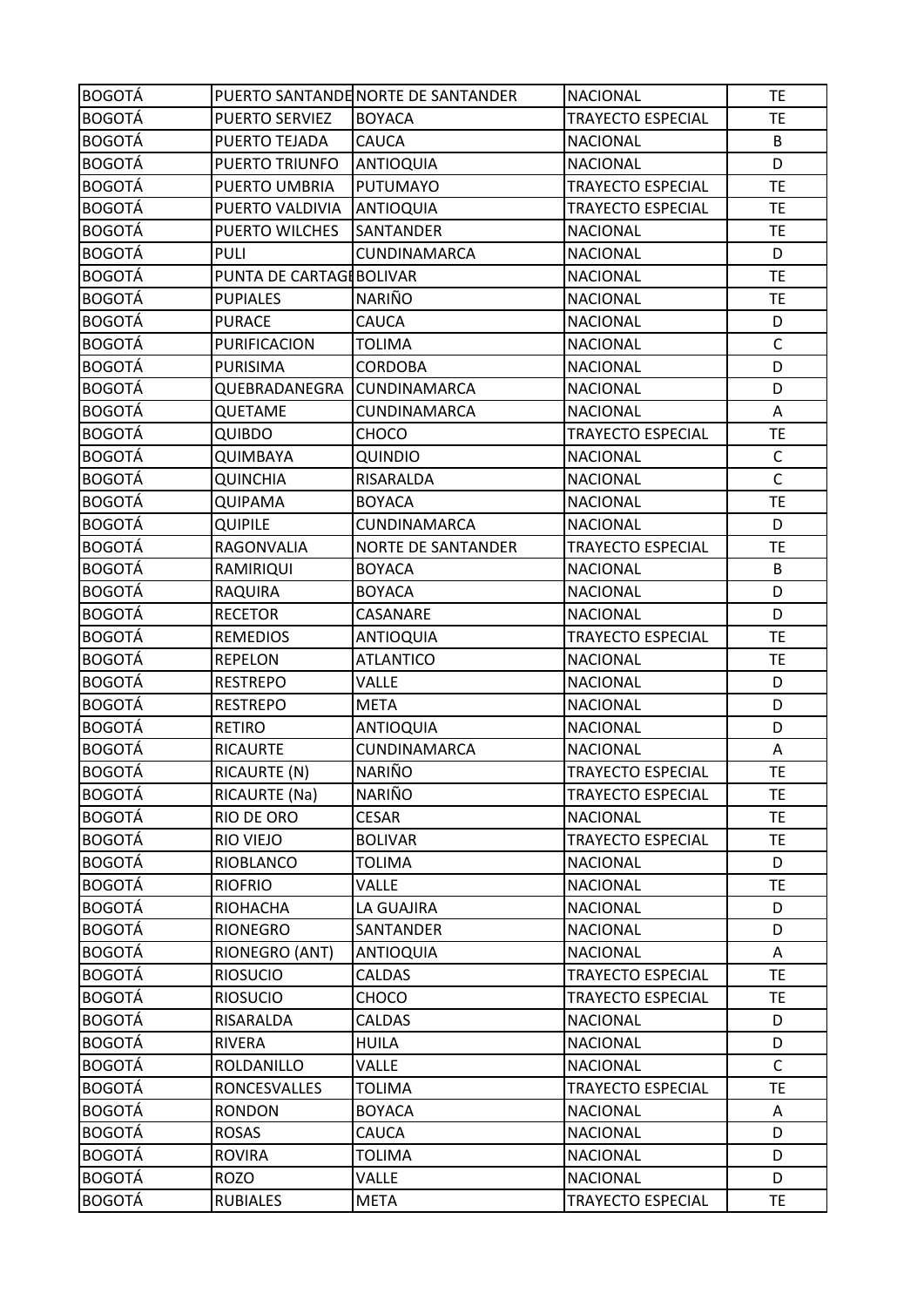| <b>BOGOTÁ</b> |                         | PUERTO SANTANDE NORTE DE SANTANDER | <b>NACIONAL</b>          | TE           |
|---------------|-------------------------|------------------------------------|--------------------------|--------------|
| <b>BOGOTÁ</b> | PUERTO SERVIEZ          | <b>BOYACA</b>                      | <b>TRAYECTO ESPECIAL</b> | TE           |
| <b>BOGOTÁ</b> | PUERTO TEJADA           | <b>CAUCA</b>                       | <b>NACIONAL</b>          | B            |
| <b>BOGOTÁ</b> | PUERTO TRIUNFO          | <b>ANTIOQUIA</b>                   | <b>NACIONAL</b>          | D            |
| <b>BOGOTÁ</b> | PUERTO UMBRIA           | <b>PUTUMAYO</b>                    | TRAYECTO ESPECIAL        | <b>TE</b>    |
| <b>BOGOTÁ</b> | PUERTO VALDIVIA         | <b>ANTIOQUIA</b>                   | <b>TRAYECTO ESPECIAL</b> | <b>TE</b>    |
| <b>BOGOTÁ</b> | PUERTO WILCHES          | <b>SANTANDER</b>                   | <b>NACIONAL</b>          | <b>TE</b>    |
| <b>BOGOTÁ</b> | <b>PULI</b>             | <b>CUNDINAMARCA</b>                | <b>NACIONAL</b>          | D            |
| <b>BOGOTÁ</b> | PUNTA DE CARTAGEBOLIVAR |                                    | <b>NACIONAL</b>          | TE           |
| <b>BOGOTÁ</b> | <b>PUPIALES</b>         | <b>NARIÑO</b>                      | <b>NACIONAL</b>          | TE           |
| <b>BOGOTÁ</b> | <b>PURACE</b>           | CAUCA                              | <b>NACIONAL</b>          | D            |
| <b>BOGOTÁ</b> | PURIFICACION            | <b>TOLIMA</b>                      | <b>NACIONAL</b>          | $\mathsf C$  |
| <b>BOGOTÁ</b> | <b>PURISIMA</b>         | <b>CORDOBA</b>                     | <b>NACIONAL</b>          | D            |
| <b>BOGOTÁ</b> | QUEBRADANEGRA           | <b>CUNDINAMARCA</b>                | <b>NACIONAL</b>          | D            |
| <b>BOGOTÁ</b> | QUETAME                 | CUNDINAMARCA                       | <b>NACIONAL</b>          | Α            |
| <b>BOGOTÁ</b> | <b>QUIBDO</b>           | CHOCO                              | <b>TRAYECTO ESPECIAL</b> | <b>TE</b>    |
| <b>BOGOTÁ</b> | QUIMBAYA                | QUINDIO                            | <b>NACIONAL</b>          | $\mathsf C$  |
| <b>BOGOTÁ</b> | <b>QUINCHIA</b>         | RISARALDA                          | <b>NACIONAL</b>          | $\mathsf C$  |
| <b>BOGOTÁ</b> | <b>QUIPAMA</b>          | <b>BOYACA</b>                      | <b>NACIONAL</b>          | <b>TE</b>    |
| <b>BOGOTÁ</b> | <b>QUIPILE</b>          | CUNDINAMARCA                       | <b>NACIONAL</b>          | D            |
| <b>BOGOTÁ</b> | RAGONVALIA              | <b>NORTE DE SANTANDER</b>          | <b>TRAYECTO ESPECIAL</b> | TE           |
| <b>BOGOTÁ</b> | <b>RAMIRIQUI</b>        | <b>BOYACA</b>                      | <b>NACIONAL</b>          | B            |
| <b>BOGOTÁ</b> | <b>RAQUIRA</b>          | <b>BOYACA</b>                      | <b>NACIONAL</b>          | D            |
| <b>BOGOTÁ</b> | <b>RECETOR</b>          | CASANARE                           | <b>NACIONAL</b>          | D            |
| <b>BOGOTÁ</b> | <b>REMEDIOS</b>         | <b>ANTIOQUIA</b>                   | <b>TRAYECTO ESPECIAL</b> | <b>TE</b>    |
| <b>BOGOTÁ</b> | <b>REPELON</b>          | <b>ATLANTICO</b>                   | <b>NACIONAL</b>          | TE           |
| <b>BOGOTÁ</b> | <b>RESTREPO</b>         | VALLE                              | <b>NACIONAL</b>          | D            |
| <b>BOGOTÁ</b> | <b>RESTREPO</b>         | <b>META</b>                        | <b>NACIONAL</b>          | D            |
| <b>BOGOTÁ</b> | <b>RETIRO</b>           | <b>ANTIOQUIA</b>                   | <b>NACIONAL</b>          | D            |
| <b>BOGOTÁ</b> | <b>RICAURTE</b>         | CUNDINAMARCA                       | <b>NACIONAL</b>          | Α            |
| <b>BOGOTÁ</b> | RICAURTE (N)            | <b>NARIÑO</b>                      | <b>TRAYECTO ESPECIAL</b> | <b>TE</b>    |
| <b>BOGOTÁ</b> | RICAURTE (Na)           | NARIÑO                             | <b>TRAYECTO ESPECIAL</b> | <b>TE</b>    |
| <b>BOGOTÁ</b> | RIO DE ORO              | <b>CESAR</b>                       | <b>NACIONAL</b>          | <b>TE</b>    |
| <b>BOGOTÁ</b> | RIO VIEJO               | <b>BOLIVAR</b>                     | TRAYECTO ESPECIAL        | <b>TE</b>    |
| <b>BOGOTÁ</b> | RIOBLANCO               | <b>TOLIMA</b>                      | <b>NACIONAL</b>          | D            |
| <b>BOGOTÁ</b> | <b>RIOFRIO</b>          | VALLE                              | <b>NACIONAL</b>          | <b>TE</b>    |
| <b>BOGOTÁ</b> | RIOHACHA                | LA GUAJIRA                         | <b>NACIONAL</b>          | D            |
| <b>BOGOTÁ</b> | <b>RIONEGRO</b>         | SANTANDER                          | <b>NACIONAL</b>          | D            |
| <b>BOGOTÁ</b> | RIONEGRO (ANT)          | <b>ANTIOQUIA</b>                   | <b>NACIONAL</b>          | A            |
| <b>BOGOTÁ</b> | <b>RIOSUCIO</b>         | CALDAS                             | <b>TRAYECTO ESPECIAL</b> | <b>TE</b>    |
| <b>BOGOTÁ</b> | <b>RIOSUCIO</b>         | CHOCO                              | TRAYECTO ESPECIAL        | TE           |
| <b>BOGOTÁ</b> | RISARALDA               | CALDAS                             | <b>NACIONAL</b>          | D            |
| <b>BOGOTÁ</b> | <b>RIVERA</b>           | <b>HUILA</b>                       | <b>NACIONAL</b>          | D            |
| <b>BOGOTÁ</b> | ROLDANILLO              | VALLE                              | <b>NACIONAL</b>          | $\mathsf{C}$ |
| <b>BOGOTÁ</b> | <b>RONCESVALLES</b>     | <b>TOLIMA</b>                      | <b>TRAYECTO ESPECIAL</b> | <b>TE</b>    |
| <b>BOGOTÁ</b> | <b>RONDON</b>           | <b>BOYACA</b>                      | <b>NACIONAL</b>          | A            |
| <b>BOGOTÁ</b> | <b>ROSAS</b>            | CAUCA                              | <b>NACIONAL</b>          | D            |
| <b>BOGOTÁ</b> | <b>ROVIRA</b>           | <b>TOLIMA</b>                      | <b>NACIONAL</b>          | D            |
| <b>BOGOTÁ</b> | <b>ROZO</b>             | VALLE                              | <b>NACIONAL</b>          | D            |
| <b>BOGOTÁ</b> | <b>RUBIALES</b>         | <b>META</b>                        | TRAYECTO ESPECIAL        | <b>TE</b>    |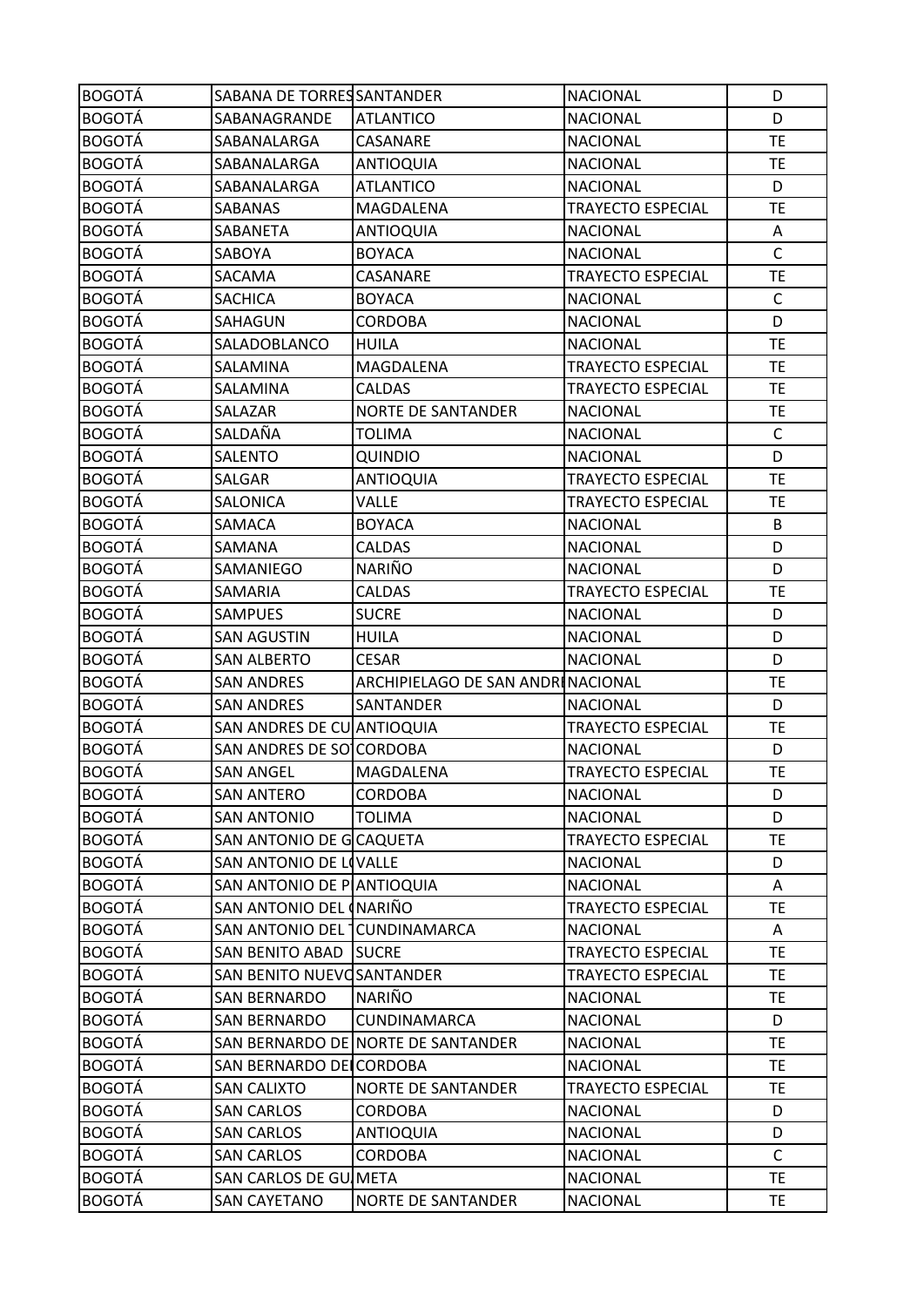| <b>BOGOTÁ</b> | SABANA DE TORRES SANTANDER   |                                    | <b>NACIONAL</b>          | D            |
|---------------|------------------------------|------------------------------------|--------------------------|--------------|
| <b>BOGOTÁ</b> | SABANAGRANDE                 | <b>ATLANTICO</b>                   | <b>NACIONAL</b>          | D            |
| <b>BOGOTÁ</b> | SABANALARGA                  | CASANARE                           | <b>NACIONAL</b>          | <b>TE</b>    |
| <b>BOGOTÁ</b> | SABANALARGA                  | <b>ANTIOQUIA</b>                   | <b>NACIONAL</b>          | TE           |
| <b>BOGOTÁ</b> | SABANALARGA                  | <b>ATLANTICO</b>                   | <b>NACIONAL</b>          | D            |
| <b>BOGOTÁ</b> | SABANAS                      | MAGDALENA                          | <b>TRAYECTO ESPECIAL</b> | <b>TE</b>    |
| <b>BOGOTÁ</b> | SABANETA                     | <b>ANTIOQUIA</b>                   | <b>NACIONAL</b>          | A            |
| <b>BOGOTÁ</b> | SABOYA                       | <b>BOYACA</b>                      | <b>NACIONAL</b>          | $\mathsf{C}$ |
| <b>BOGOTÁ</b> | SACAMA                       | CASANARE                           | <b>TRAYECTO ESPECIAL</b> | TE           |
| <b>BOGOTÁ</b> | SACHICA                      | <b>BOYACA</b>                      | <b>NACIONAL</b>          | C            |
| <b>BOGOTÁ</b> | SAHAGUN                      | <b>CORDOBA</b>                     | <b>NACIONAL</b>          | D            |
| <b>BOGOTÁ</b> | SALADOBLANCO                 | <b>HUILA</b>                       | <b>NACIONAL</b>          | <b>TE</b>    |
| <b>BOGOTÁ</b> | SALAMINA                     | MAGDALENA                          | <b>TRAYECTO ESPECIAL</b> | <b>TE</b>    |
| <b>BOGOTÁ</b> | SALAMINA                     | <b>CALDAS</b>                      | <b>TRAYECTO ESPECIAL</b> | TE           |
| <b>BOGOTÁ</b> | SALAZAR                      | <b>NORTE DE SANTANDER</b>          | <b>NACIONAL</b>          | TE           |
| <b>BOGOTÁ</b> | SALDAÑA                      | <b>TOLIMA</b>                      | <b>NACIONAL</b>          | $\mathsf{C}$ |
| <b>BOGOTÁ</b> | SALENTO                      | QUINDIO                            | <b>NACIONAL</b>          | D            |
| <b>BOGOTÁ</b> | SALGAR                       | <b>ANTIOQUIA</b>                   | <b>TRAYECTO ESPECIAL</b> | <b>TE</b>    |
| <b>BOGOTÁ</b> | SALONICA                     | <b>VALLE</b>                       | TRAYECTO ESPECIAL        | <b>TE</b>    |
| <b>BOGOTÁ</b> | SAMACA                       | <b>BOYACA</b>                      | <b>NACIONAL</b>          | B            |
| <b>BOGOTÁ</b> | SAMANA                       | <b>CALDAS</b>                      | <b>NACIONAL</b>          | D            |
| <b>BOGOTÁ</b> | SAMANIEGO                    | <b>NARIÑO</b>                      | <b>NACIONAL</b>          | D            |
| <b>BOGOTÁ</b> | SAMARIA                      | CALDAS                             | <b>TRAYECTO ESPECIAL</b> | TE           |
| <b>BOGOTÁ</b> | <b>SAMPUES</b>               | <b>SUCRE</b>                       | <b>NACIONAL</b>          | D            |
| <b>BOGOTÁ</b> | <b>SAN AGUSTIN</b>           | <b>HUILA</b>                       | <b>NACIONAL</b>          | D            |
| <b>BOGOTÁ</b> | <b>SAN ALBERTO</b>           | <b>CESAR</b>                       | <b>NACIONAL</b>          | D            |
| <b>BOGOTÁ</b> | <b>SAN ANDRES</b>            | ARCHIPIELAGO DE SAN ANDRINACIONAL  |                          | TE           |
| <b>BOGOTÁ</b> | <b>SAN ANDRES</b>            | SANTANDER                          | <b>NACIONAL</b>          | D            |
| <b>BOGOTÁ</b> | SAN ANDRES DE CU ANTIOQUIA   |                                    | <b>TRAYECTO ESPECIAL</b> | TE           |
| <b>BOGOTÁ</b> | SAN ANDRES DE SOCCORDOBA     |                                    | <b>NACIONAL</b>          | D            |
| <b>BOGOTÁ</b> | <b>SAN ANGEL</b>             | MAGDALENA                          | <b>TRAYECTO ESPECIAL</b> | <b>TE</b>    |
| <b>BOGOTÁ</b> | <b>SAN ANTERO</b>            | <b>CORDOBA</b>                     | <b>NACIONAL</b>          | D            |
| <b>BOGOTÁ</b> | <b>SAN ANTONIO</b>           | <b>TOLIMA</b>                      | <b>NACIONAL</b>          | D            |
| <b>BOGOTÁ</b> | SAN ANTONIO DE GCAQUETA      |                                    | <b>TRAYECTO ESPECIAL</b> | <b>TE</b>    |
| <b>BOGOTÁ</b> | SAN ANTONIO DE LIVALLE       |                                    | <b>NACIONAL</b>          | D            |
| <b>BOGOTÁ</b> | SAN ANTONIO DE PLANTIOQUIA   |                                    | <b>NACIONAL</b>          | Α            |
| <b>BOGOTÁ</b> | SAN ANTONIO DEL INARIÑO      |                                    | <b>TRAYECTO ESPECIAL</b> | <b>TE</b>    |
| <b>BOGOTÁ</b> | SAN ANTONIO DEL CUNDINAMARCA |                                    | <b>NACIONAL</b>          | Α            |
| <b>BOGOTÁ</b> | <b>SAN BENITO ABAD</b>       | <b>SUCRE</b>                       | TRAYECTO ESPECIAL        | <b>TE</b>    |
| <b>BOGOTÁ</b> | SAN BENITO NUEVOSANTANDER    |                                    | TRAYECTO ESPECIAL        | TE           |
| <b>BOGOTÁ</b> | <b>SAN BERNARDO</b>          | <b>NARIÑO</b>                      | <b>NACIONAL</b>          | TE.          |
| <b>BOGOTÁ</b> | SAN BERNARDO                 | CUNDINAMARCA                       | <b>NACIONAL</b>          | D            |
| <b>BOGOTÁ</b> |                              | SAN BERNARDO DE NORTE DE SANTANDER | <b>NACIONAL</b>          | <b>TE</b>    |
| <b>BOGOTÁ</b> | SAN BERNARDO DELCORDOBA      |                                    | <b>NACIONAL</b>          | <b>TE</b>    |
| <b>BOGOTÁ</b> | <b>SAN CALIXTO</b>           | <b>NORTE DE SANTANDER</b>          | <b>TRAYECTO ESPECIAL</b> | TE           |
| <b>BOGOTÁ</b> | <b>SAN CARLOS</b>            | <b>CORDOBA</b>                     | <b>NACIONAL</b>          | D            |
| <b>BOGOTÁ</b> |                              |                                    |                          |              |
|               | <b>SAN CARLOS</b>            | <b>ANTIOQUIA</b>                   | <b>NACIONAL</b>          | D            |
| <b>BOGOTÁ</b> | <b>SAN CARLOS</b>            | CORDOBA                            | <b>NACIONAL</b>          | C            |
| <b>BOGOTÁ</b> | SAN CARLOS DE GUIMETA        |                                    | <b>NACIONAL</b>          | <b>TE</b>    |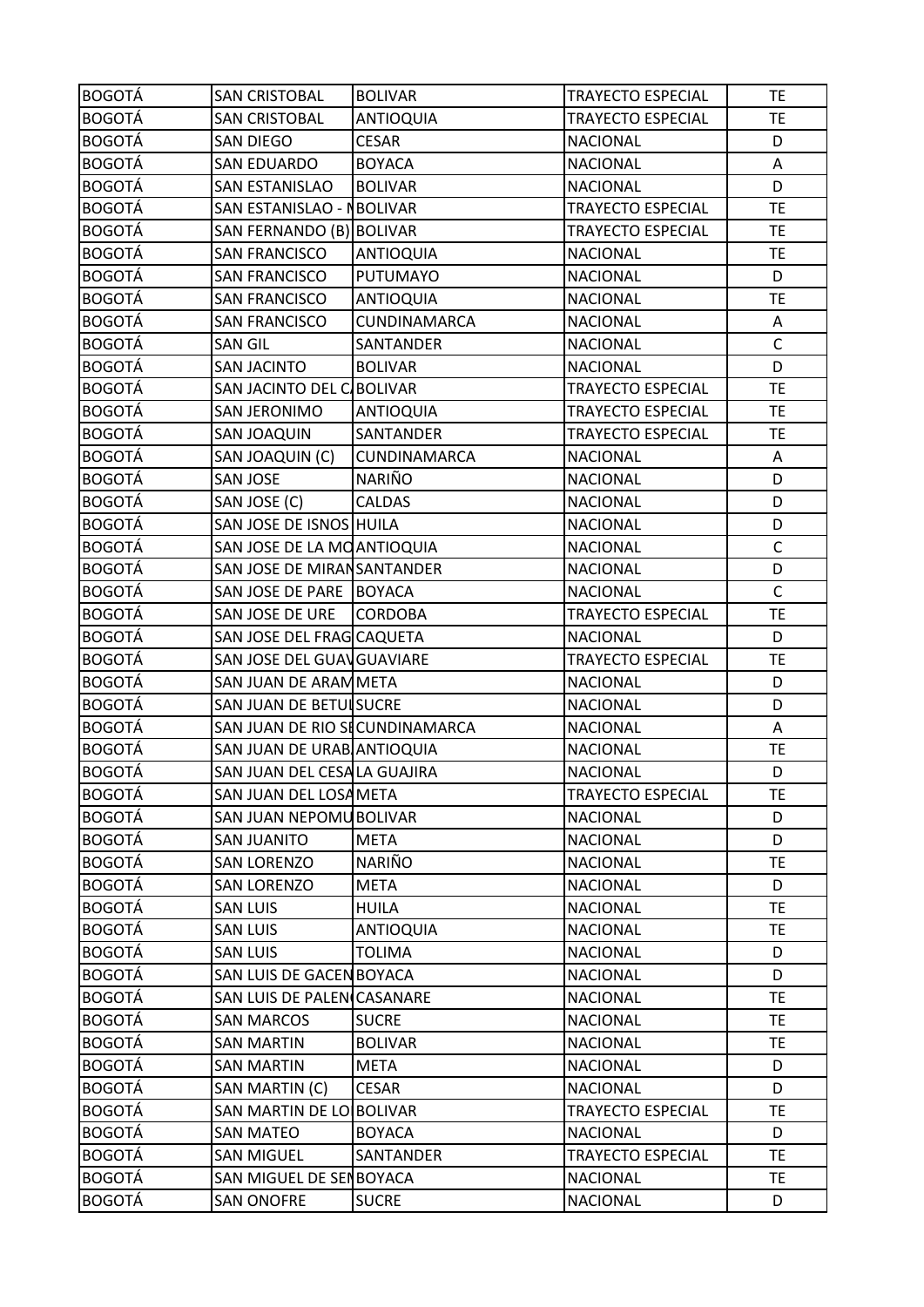| <b>BOGOTÁ</b> | <b>SAN CRISTOBAL</b>           | <b>BOLIVAR</b>      | <b>TRAYECTO ESPECIAL</b> | <b>TE</b>    |
|---------------|--------------------------------|---------------------|--------------------------|--------------|
| <b>BOGOTÁ</b> | <b>SAN CRISTOBAL</b>           | <b>ANTIOQUIA</b>    | <b>TRAYECTO ESPECIAL</b> | <b>TE</b>    |
| <b>BOGOTÁ</b> | <b>SAN DIEGO</b>               | <b>CESAR</b>        | <b>NACIONAL</b>          | D            |
| <b>BOGOTÁ</b> | <b>SAN EDUARDO</b>             | <b>BOYACA</b>       | <b>NACIONAL</b>          | Α            |
| <b>BOGOTÁ</b> | <b>SAN ESTANISLAO</b>          | <b>BOLIVAR</b>      | <b>NACIONAL</b>          | D            |
| <b>BOGOTÁ</b> | SAN ESTANISLAO - NBOLIVAR      |                     | <b>TRAYECTO ESPECIAL</b> | <b>TE</b>    |
| <b>BOGOTÁ</b> | SAN FERNANDO (B) BOLIVAR       |                     | <b>TRAYECTO ESPECIAL</b> | <b>TE</b>    |
| <b>BOGOTÁ</b> | <b>SAN FRANCISCO</b>           | <b>ANTIOQUIA</b>    | <b>NACIONAL</b>          | <b>TE</b>    |
| <b>BOGOTÁ</b> | <b>SAN FRANCISCO</b>           | <b>PUTUMAYO</b>     | <b>NACIONAL</b>          | D            |
| <b>BOGOTÁ</b> | <b>SAN FRANCISCO</b>           | <b>ANTIOQUIA</b>    | <b>NACIONAL</b>          | <b>TE</b>    |
| <b>BOGOTÁ</b> | <b>SAN FRANCISCO</b>           | CUNDINAMARCA        | <b>NACIONAL</b>          | Α            |
| <b>BOGOTÁ</b> | <b>SAN GIL</b>                 | SANTANDER           | <b>NACIONAL</b>          | $\mathsf C$  |
| <b>BOGOTÁ</b> | <b>SAN JACINTO</b>             | <b>BOLIVAR</b>      | <b>NACIONAL</b>          | D            |
| <b>BOGOTÁ</b> | SAN JACINTO DEL C/BOLIVAR      |                     | <b>TRAYECTO ESPECIAL</b> | <b>TE</b>    |
| <b>BOGOTÁ</b> | <b>SAN JERONIMO</b>            | <b>ANTIOQUIA</b>    | <b>TRAYECTO ESPECIAL</b> | <b>TE</b>    |
| <b>BOGOTÁ</b> | SAN JOAQUIN                    | SANTANDER           | <b>TRAYECTO ESPECIAL</b> | <b>TE</b>    |
| <b>BOGOTÁ</b> | SAN JOAQUIN (C)                | <b>CUNDINAMARCA</b> | <b>NACIONAL</b>          | A            |
| <b>BOGOTÁ</b> | <b>SAN JOSE</b>                | <b>NARIÑO</b>       | <b>NACIONAL</b>          | D            |
| <b>BOGOTÁ</b> | SAN JOSE (C)                   | <b>CALDAS</b>       | <b>NACIONAL</b>          | D            |
| <b>BOGOTÁ</b> | SAN JOSE DE ISNOS HUILA        |                     | <b>NACIONAL</b>          | D            |
| <b>BOGOTÁ</b> | SAN JOSE DE LA MOANTIOQUIA     |                     | <b>NACIONAL</b>          | $\mathsf{C}$ |
| <b>BOGOTÁ</b> | SAN JOSE DE MIRAN SANTANDER    |                     | <b>NACIONAL</b>          | D            |
| <b>BOGOTÁ</b> | SAN JOSE DE PARE BOYACA        |                     | <b>NACIONAL</b>          | $\mathsf{C}$ |
| <b>BOGOTÁ</b> | SAN JOSE DE URE                | <b>CORDOBA</b>      | TRAYECTO ESPECIAL        | <b>TE</b>    |
| <b>BOGOTÁ</b> | SAN JOSE DEL FRAG CAQUETA      |                     | <b>NACIONAL</b>          | D            |
| <b>BOGOTÁ</b> | SAN JOSE DEL GUAVGUAVIARE      |                     | <b>TRAYECTO ESPECIAL</b> | <b>TE</b>    |
| <b>BOGOTÁ</b> | SAN JUAN DE ARAMMETA           |                     | <b>NACIONAL</b>          | D            |
| <b>BOGOTÁ</b> | SAN JUAN DE BETUISUCRE         |                     | <b>NACIONAL</b>          | D            |
| <b>BOGOTÁ</b> | SAN JUAN DE RIO SECUNDINAMARCA |                     | <b>NACIONAL</b>          | Α            |
| <b>BOGOTÁ</b> | SAN JUAN DE URAB ANTIOQUIA     |                     | <b>NACIONAL</b>          | <b>TE</b>    |
| <b>BOGOTÁ</b> | SAN JUAN DEL CESALA GUAJIRA    |                     | <b>NACIONAL</b>          | D            |
| <b>BOGOTÁ</b> | SAN JUAN DEL LOSAMETA          |                     | TRAYECTO ESPECIAL        | <b>TE</b>    |
| <b>BOGOTÁ</b> | SAN JUAN NEPOMU BOLIVAR        |                     | <b>NACIONAL</b>          | D            |
| <b>BOGOTÁ</b> | <b>SAN JUANITO</b>             | <b>META</b>         | <b>NACIONAL</b>          | D            |
| <b>BOGOTÁ</b> | <b>SAN LORENZO</b>             | NARIÑO              | <b>NACIONAL</b>          | <b>TE</b>    |
| <b>BOGOTÁ</b> | <b>SAN LORENZO</b>             | <b>META</b>         | <b>NACIONAL</b>          | D            |
| <b>BOGOTÁ</b> | <b>SAN LUIS</b>                | <b>HUILA</b>        | <b>NACIONAL</b>          | <b>TE</b>    |
| <b>BOGOTÁ</b> | <b>SAN LUIS</b>                | <b>ANTIOQUIA</b>    | <b>NACIONAL</b>          | <b>TE</b>    |
| <b>BOGOTÁ</b> | <b>SAN LUIS</b>                | <b>TOLIMA</b>       | <b>NACIONAL</b>          | D            |
| <b>BOGOTÁ</b> | SAN LUIS DE GACEN BOYACA       |                     | <b>NACIONAL</b>          | D            |
| <b>BOGOTÁ</b> | SAN LUIS DE PALEN CASANARE     |                     | <b>NACIONAL</b>          | <b>TE</b>    |
| <b>BOGOTÁ</b> | <b>SAN MARCOS</b>              | <b>SUCRE</b>        | <b>NACIONAL</b>          | <b>TE</b>    |
| <b>BOGOTÁ</b> | <b>SAN MARTIN</b>              | <b>BOLIVAR</b>      | <b>NACIONAL</b>          | <b>TE</b>    |
| <b>BOGOTÁ</b> | <b>SAN MARTIN</b>              | <b>META</b>         | <b>NACIONAL</b>          | D            |
| <b>BOGOTÁ</b> | SAN MARTIN (C)                 | <b>CESAR</b>        | <b>NACIONAL</b>          | D            |
| <b>BOGOTÁ</b> | SAN MARTIN DE LO BOLIVAR       |                     | <b>TRAYECTO ESPECIAL</b> | TE.          |
| <b>BOGOTÁ</b> | <b>SAN MATEO</b>               | <b>BOYACA</b>       | <b>NACIONAL</b>          | D            |
| <b>BOGOTÁ</b> | <b>SAN MIGUEL</b>              | SANTANDER           | TRAYECTO ESPECIAL        | TE.          |
| <b>BOGOTÁ</b> | SAN MIGUEL DE SENBOYACA        |                     | <b>NACIONAL</b>          | <b>TE</b>    |
| <b>BOGOTÁ</b> | <b>SAN ONOFRE</b>              | <b>SUCRE</b>        | <b>NACIONAL</b>          | D            |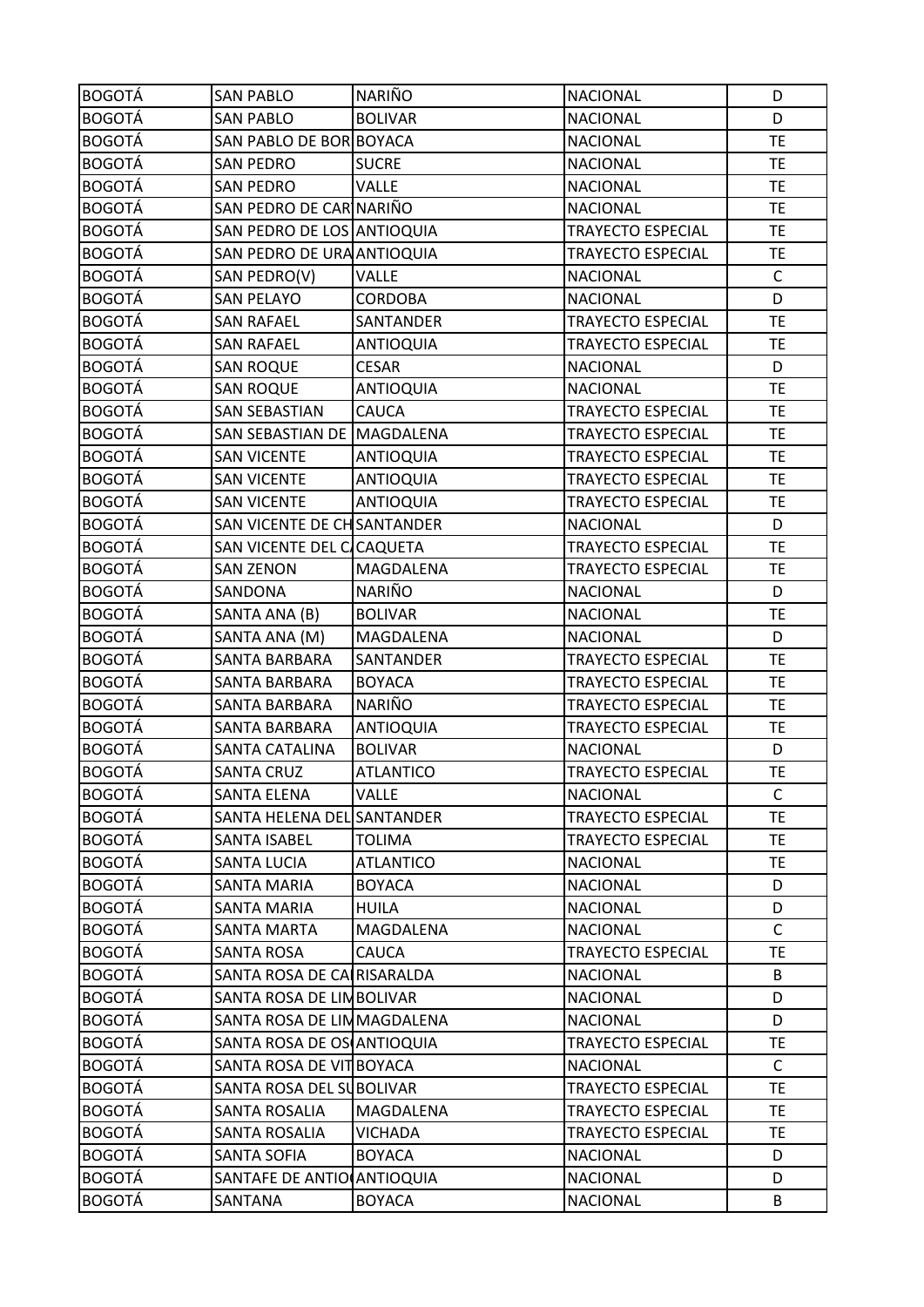| <b>BOGOTÁ</b> | <b>SAN PABLO</b>            | NARIÑO           | <b>NACIONAL</b>          | D            |
|---------------|-----------------------------|------------------|--------------------------|--------------|
| <b>BOGOTÁ</b> | <b>SAN PABLO</b>            | <b>BOLIVAR</b>   | <b>NACIONAL</b>          | D            |
| <b>BOGOTÁ</b> | SAN PABLO DE BOR BOYACA     |                  | <b>NACIONAL</b>          | <b>TE</b>    |
| <b>BOGOTÁ</b> | <b>SAN PEDRO</b>            | <b>SUCRE</b>     | <b>NACIONAL</b>          | <b>TE</b>    |
| <b>BOGOTÁ</b> | <b>SAN PEDRO</b>            | <b>VALLE</b>     | <b>NACIONAL</b>          | <b>TE</b>    |
| <b>BOGOTÁ</b> | SAN PEDRO DE CAR NARIÑO     |                  | <b>NACIONAL</b>          | TE           |
| <b>BOGOTÁ</b> | SAN PEDRO DE LOS ANTIOQUIA  |                  | <b>TRAYECTO ESPECIAL</b> | <b>TE</b>    |
| <b>BOGOTÁ</b> | SAN PEDRO DE URA ANTIOQUIA  |                  | <b>TRAYECTO ESPECIAL</b> | <b>TE</b>    |
| <b>BOGOTÁ</b> | SAN PEDRO(V)                | <b>VALLE</b>     | <b>NACIONAL</b>          | $\mathsf{C}$ |
| <b>BOGOTÁ</b> | <b>SAN PELAYO</b>           | CORDOBA          | <b>NACIONAL</b>          | D            |
| <b>BOGOTÁ</b> | <b>SAN RAFAEL</b>           | SANTANDER        | <b>TRAYECTO ESPECIAL</b> | <b>TE</b>    |
| <b>BOGOTÁ</b> | <b>SAN RAFAEL</b>           | <b>ANTIOQUIA</b> | TRAYECTO ESPECIAL        | <b>TE</b>    |
| <b>BOGOTÁ</b> | <b>SAN ROQUE</b>            | <b>CESAR</b>     | <b>NACIONAL</b>          | D            |
| <b>BOGOTÁ</b> | <b>SAN ROQUE</b>            | <b>ANTIOQUIA</b> | <b>NACIONAL</b>          | <b>TE</b>    |
| <b>BOGOTÁ</b> | <b>SAN SEBASTIAN</b>        | CAUCA            | <b>TRAYECTO ESPECIAL</b> | <b>TE</b>    |
| <b>BOGOTÁ</b> | SAN SEBASTIAN DE MAGDALENA  |                  | <b>TRAYECTO ESPECIAL</b> | <b>TE</b>    |
| <b>BOGOTÁ</b> | <b>SAN VICENTE</b>          | ANTIOQUIA        | <b>TRAYECTO ESPECIAL</b> | <b>TE</b>    |
| <b>BOGOTÁ</b> | <b>SAN VICENTE</b>          | <b>ANTIOQUIA</b> | <b>TRAYECTO ESPECIAL</b> | <b>TE</b>    |
| <b>BOGOTÁ</b> | <b>SAN VICENTE</b>          | <b>ANTIOQUIA</b> | <b>TRAYECTO ESPECIAL</b> | <b>TE</b>    |
| <b>BOGOTÁ</b> | SAN VICENTE DE CH SANTANDER |                  | <b>NACIONAL</b>          | D            |
| <b>BOGOTÁ</b> | SAN VICENTE DEL C/CAQUETA   |                  | <b>TRAYECTO ESPECIAL</b> | <b>TE</b>    |
| <b>BOGOTÁ</b> | <b>SAN ZENON</b>            | MAGDALENA        | <b>TRAYECTO ESPECIAL</b> | <b>TE</b>    |
| <b>BOGOTÁ</b> | SANDONA                     | <b>NARIÑO</b>    | <b>NACIONAL</b>          | D            |
| <b>BOGOTÁ</b> | SANTA ANA (B)               | <b>BOLIVAR</b>   | <b>NACIONAL</b>          | <b>TE</b>    |
| <b>BOGOTÁ</b> | SANTA ANA (M)               | MAGDALENA        | <b>NACIONAL</b>          | D            |
| <b>BOGOTÁ</b> | SANTA BARBARA               | SANTANDER        | <b>TRAYECTO ESPECIAL</b> | <b>TE</b>    |
| <b>BOGOTÁ</b> | SANTA BARBARA               | <b>BOYACA</b>    | <b>TRAYECTO ESPECIAL</b> | <b>TE</b>    |
| <b>BOGOTÁ</b> | SANTA BARBARA               | <b>NARIÑO</b>    | <b>TRAYECTO ESPECIAL</b> | TE           |
| <b>BOGOTÁ</b> | SANTA BARBARA               | <b>ANTIOQUIA</b> | <b>TRAYECTO ESPECIAL</b> | <b>TE</b>    |
| <b>BOGOTÁ</b> | <b>SANTA CATALINA</b>       | <b>BOLIVAR</b>   | <b>NACIONAL</b>          | D            |
| <b>BOGOTÁ</b> | <b>SANTA CRUZ</b>           | <b>ATLANTICO</b> | <b>TRAYECTO ESPECIAL</b> | <b>TE</b>    |
| <b>BOGOTÁ</b> | <b>SANTA ELENA</b>          | <b>VALLE</b>     | <b>NACIONAL</b>          | C            |
| <b>BOGOTÁ</b> | SANTA HELENA DEL SANTANDER  |                  | <b>TRAYECTO ESPECIAL</b> | <b>TE</b>    |
| <b>BOGOTÁ</b> | SANTA ISABEL                | <b>TOLIMA</b>    | <b>TRAYECTO ESPECIAL</b> | TE.          |
| <b>BOGOTÁ</b> | <b>SANTA LUCIA</b>          | <b>ATLANTICO</b> | <b>NACIONAL</b>          | <b>TE</b>    |
| <b>BOGOTÁ</b> | SANTA MARIA                 | <b>BOYACA</b>    | <b>NACIONAL</b>          | D            |
| <b>BOGOTÁ</b> | <b>SANTA MARIA</b>          | <b>HUILA</b>     | <b>NACIONAL</b>          | D            |
| <b>BOGOTÁ</b> | SANTA MARTA                 | MAGDALENA        | <b>NACIONAL</b>          | $\mathsf C$  |
| <b>BOGOTÁ</b> | <b>SANTA ROSA</b>           | CAUCA            | <b>TRAYECTO ESPECIAL</b> | <b>TE</b>    |
| <b>BOGOTÁ</b> | SANTA ROSA DE CALRISARALDA  |                  | <b>NACIONAL</b>          | B            |
| <b>BOGOTÁ</b> | SANTA ROSA DE LIMBOLIVAR    |                  | <b>NACIONAL</b>          | D            |
| <b>BOGOTÁ</b> | SANTA ROSA DE LIMMAGDALENA  |                  | <b>NACIONAL</b>          | D            |
| <b>BOGOTÁ</b> | SANTA ROSA DE OS ANTIOQUIA  |                  | <b>TRAYECTO ESPECIAL</b> | <b>TE</b>    |
| <b>BOGOTÁ</b> | SANTA ROSA DE VITBOYACA     |                  | <b>NACIONAL</b>          | $\mathsf{C}$ |
| <b>BOGOTÁ</b> | SANTA ROSA DEL SUBOLIVAR    |                  | <b>TRAYECTO ESPECIAL</b> | TE.          |
| <b>BOGOTÁ</b> | SANTA ROSALIA               | MAGDALENA        | <b>TRAYECTO ESPECIAL</b> | TE.          |
| <b>BOGOTÁ</b> | SANTA ROSALIA               | VICHADA          | <b>TRAYECTO ESPECIAL</b> | TE           |
| <b>BOGOTÁ</b> | <b>SANTA SOFIA</b>          | <b>BOYACA</b>    | <b>NACIONAL</b>          | D            |
| <b>BOGOTÁ</b> | SANTAFE DE ANTIO (ANTIOQUIA |                  | <b>NACIONAL</b>          | D            |
|               |                             |                  |                          |              |
| <b>BOGOTÁ</b> | SANTANA                     | <b>BOYACA</b>    | <b>NACIONAL</b>          | B            |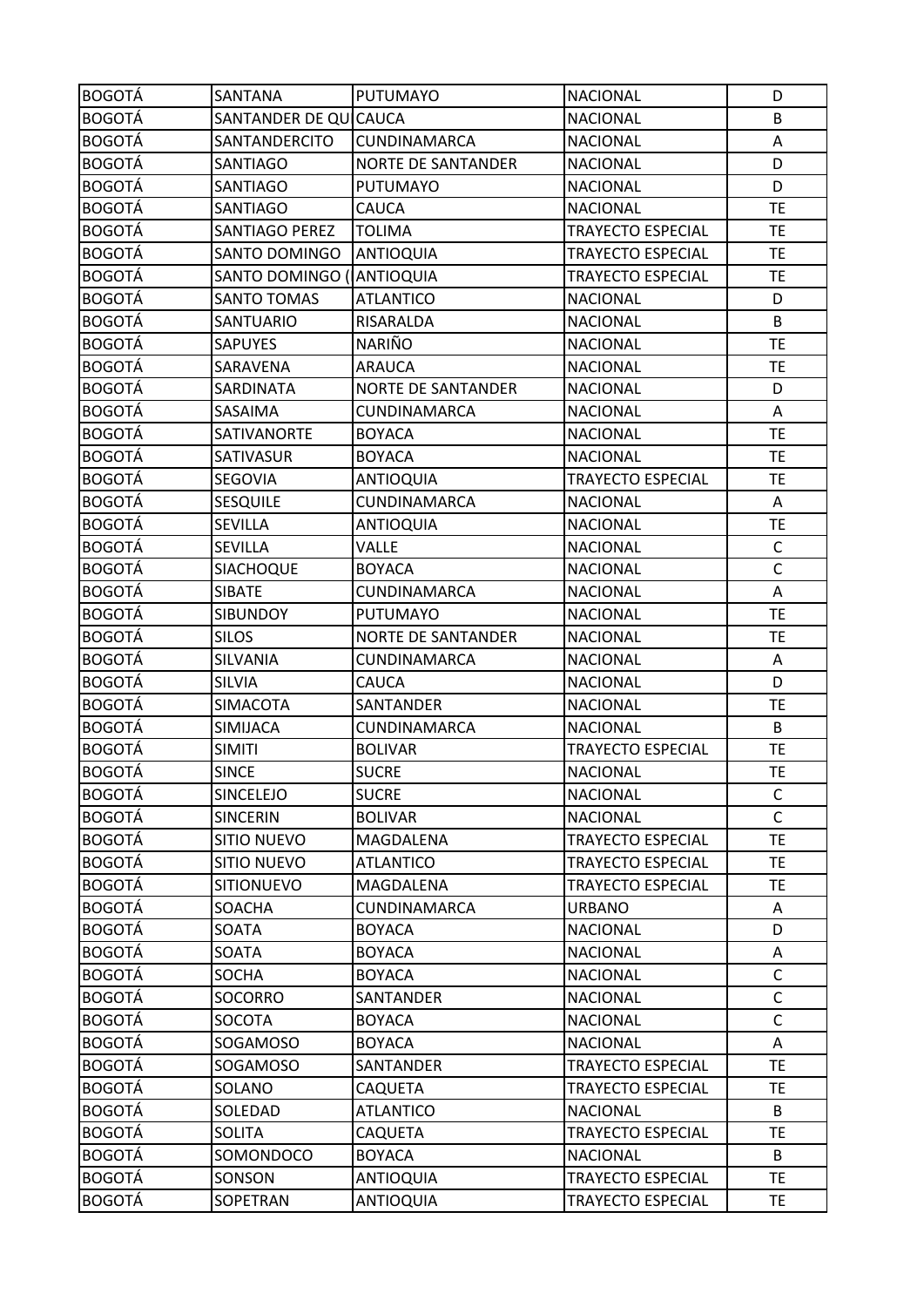| <b>BOGOTÁ</b> | <b>SANTANA</b>          | PUTUMAYO                  | <b>NACIONAL</b>          | D            |
|---------------|-------------------------|---------------------------|--------------------------|--------------|
| <b>BOGOTÁ</b> | SANTANDER DE QUICAUCA   |                           | <b>NACIONAL</b>          | B            |
| <b>BOGOTÁ</b> | SANTANDERCITO           | <b>CUNDINAMARCA</b>       | <b>NACIONAL</b>          | Α            |
| <b>BOGOTÁ</b> | <b>SANTIAGO</b>         | <b>NORTE DE SANTANDER</b> | <b>NACIONAL</b>          | D            |
| <b>BOGOTÁ</b> | SANTIAGO                | <b>PUTUMAYO</b>           | <b>NACIONAL</b>          | D            |
| <b>BOGOTÁ</b> | SANTIAGO                | CAUCA                     | <b>NACIONAL</b>          | <b>TE</b>    |
| <b>BOGOTÁ</b> | SANTIAGO PEREZ          | <b>TOLIMA</b>             | TRAYECTO ESPECIAL        | <b>TE</b>    |
| <b>BOGOTÁ</b> | SANTO DOMINGO           | <b>ANTIOQUIA</b>          | <b>TRAYECTO ESPECIAL</b> | <b>TE</b>    |
| <b>BOGOTÁ</b> | <b>SANTO DOMINGO (I</b> | <b>ANTIOQUIA</b>          | TRAYECTO ESPECIAL        | TE           |
| <b>BOGOTÁ</b> | <b>SANTO TOMAS</b>      | <b>ATLANTICO</b>          | <b>NACIONAL</b>          | D            |
| <b>BOGOTÁ</b> | SANTUARIO               | RISARALDA                 | <b>NACIONAL</b>          | B            |
| <b>BOGOTÁ</b> | <b>SAPUYES</b>          | <b>NARIÑO</b>             | <b>NACIONAL</b>          | <b>TE</b>    |
| <b>BOGOTÁ</b> | SARAVENA                | <b>ARAUCA</b>             | <b>NACIONAL</b>          | <b>TE</b>    |
| <b>BOGOTÁ</b> | <b>SARDINATA</b>        | <b>NORTE DE SANTANDER</b> | NACIONAL                 | D            |
| <b>BOGOTÁ</b> | SASAIMA                 | CUNDINAMARCA              | <b>NACIONAL</b>          | A            |
| <b>BOGOTÁ</b> | SATIVANORTE             | <b>BOYACA</b>             | <b>NACIONAL</b>          | <b>TE</b>    |
| <b>BOGOTÁ</b> | <b>SATIVASUR</b>        | <b>BOYACA</b>             | <b>NACIONAL</b>          | <b>TE</b>    |
| <b>BOGOTÁ</b> | SEGOVIA                 | <b>ANTIOQUIA</b>          | <b>TRAYECTO ESPECIAL</b> | <b>TE</b>    |
| <b>BOGOTÁ</b> | <b>SESQUILE</b>         | CUNDINAMARCA              | <b>NACIONAL</b>          | Α            |
| <b>BOGOTÁ</b> | <b>SEVILLA</b>          | <b>ANTIOQUIA</b>          | <b>NACIONAL</b>          | TE           |
| <b>BOGOTÁ</b> | SEVILLA                 | VALLE                     | <b>NACIONAL</b>          | $\mathsf{C}$ |
| <b>BOGOTÁ</b> | SIACHOQUE               | <b>BOYACA</b>             | <b>NACIONAL</b>          | $\mathsf C$  |
| <b>BOGOTÁ</b> | <b>SIBATE</b>           | CUNDINAMARCA              | <b>NACIONAL</b>          | Α            |
| <b>BOGOTÁ</b> | <b>SIBUNDOY</b>         | <b>PUTUMAYO</b>           | <b>NACIONAL</b>          | <b>TE</b>    |
| <b>BOGOTÁ</b> | <b>SILOS</b>            | <b>NORTE DE SANTANDER</b> | <b>NACIONAL</b>          | <b>TE</b>    |
| <b>BOGOTÁ</b> | SILVANIA                | CUNDINAMARCA              | <b>NACIONAL</b>          | Α            |
| <b>BOGOTÁ</b> | <b>SILVIA</b>           | CAUCA                     | <b>NACIONAL</b>          | D            |
| <b>BOGOTÁ</b> | <b>SIMACOTA</b>         | SANTANDER                 | <b>NACIONAL</b>          | TE           |
| <b>BOGOTÁ</b> | <b>SIMIJACA</b>         | CUNDINAMARCA              | <b>NACIONAL</b>          | B            |
| <b>BOGOTÁ</b> | <b>SIMITI</b>           | <b>BOLIVAR</b>            | <b>TRAYECTO ESPECIAL</b> | <b>TE</b>    |
| <b>BOGOTÁ</b> | <b>SINCE</b>            | <b>SUCRE</b>              | <b>NACIONAL</b>          | <b>TE</b>    |
| <b>BOGOTÁ</b> | SINCELEJO               | <b>SUCRE</b>              | <b>NACIONAL</b>          | C            |
| <b>BOGOTÁ</b> | <b>SINCERIN</b>         | <b>BOLIVAR</b>            | <b>NACIONAL</b>          | $\mathsf{C}$ |
| <b>BOGOTÁ</b> | <b>SITIO NUEVO</b>      | MAGDALENA                 | <b>TRAYECTO ESPECIAL</b> | <b>TE</b>    |
| <b>BOGOTÁ</b> | <b>SITIO NUEVO</b>      | <b>ATLANTICO</b>          | <b>TRAYECTO ESPECIAL</b> | <b>TE</b>    |
| <b>BOGOTÁ</b> | <b>SITIONUEVO</b>       | MAGDALENA                 | <b>TRAYECTO ESPECIAL</b> | <b>TE</b>    |
| <b>BOGOTÁ</b> | SOACHA                  | CUNDINAMARCA              | <b>URBANO</b>            | Α            |
| <b>BOGOTÁ</b> | SOATA                   | <b>BOYACA</b>             | <b>NACIONAL</b>          | D            |
| <b>BOGOTÁ</b> | SOATA                   | <b>BOYACA</b>             | <b>NACIONAL</b>          | Α            |
| <b>BOGOTÁ</b> | SOCHA                   | <b>BOYACA</b>             | <b>NACIONAL</b>          | C            |
| <b>BOGOTÁ</b> | SOCORRO                 | SANTANDER                 | <b>NACIONAL</b>          | C            |
| <b>BOGOTÁ</b> | SOCOTA                  | <b>BOYACA</b>             | <b>NACIONAL</b>          | C            |
| <b>BOGOTÁ</b> | SOGAMOSO                | <b>BOYACA</b>             | <b>NACIONAL</b>          | Α            |
| <b>BOGOTÁ</b> | SOGAMOSO                | SANTANDER                 | <b>TRAYECTO ESPECIAL</b> | <b>TE</b>    |
| <b>BOGOTÁ</b> | SOLANO                  | CAQUETA                   | TRAYECTO ESPECIAL        | TE           |
| <b>BOGOTÁ</b> | SOLEDAD                 | <b>ATLANTICO</b>          | <b>NACIONAL</b>          | B            |
| <b>BOGOTÁ</b> | <b>SOLITA</b>           | CAQUETA                   | <b>TRAYECTO ESPECIAL</b> | <b>TE</b>    |
| <b>BOGOTÁ</b> | SOMONDOCO               | <b>BOYACA</b>             | <b>NACIONAL</b>          | B            |
| <b>BOGOTÁ</b> | SONSON                  | <b>ANTIOQUIA</b>          | <b>TRAYECTO ESPECIAL</b> | <b>TE</b>    |
| <b>BOGOTÁ</b> | SOPETRAN                | ANTIOQUIA                 | TRAYECTO ESPECIAL        | TE           |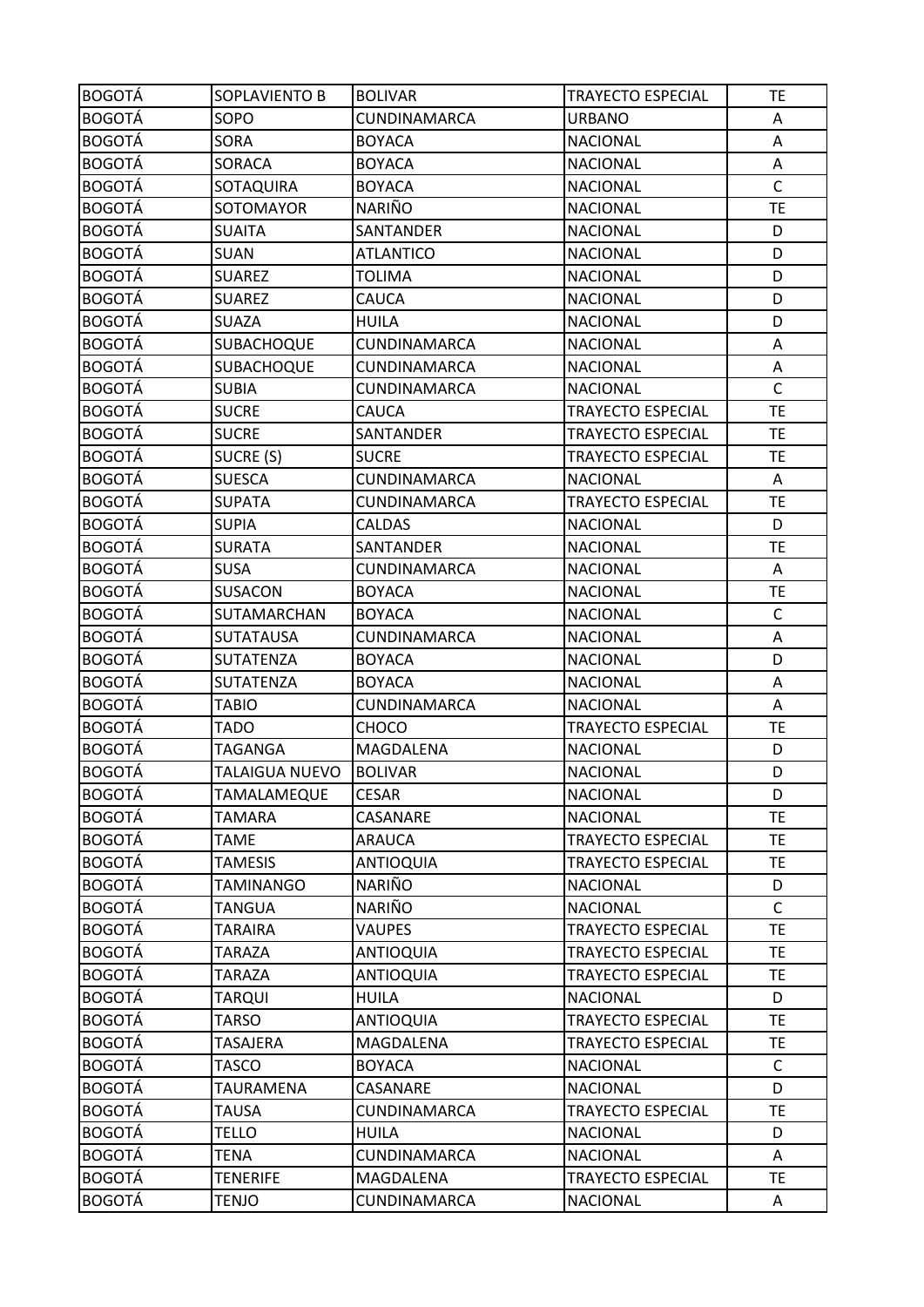| <b>BOGOTÁ</b> | SOPLAVIENTO B    | <b>BOLIVAR</b>      | <b>TRAYECTO ESPECIAL</b> | TE           |
|---------------|------------------|---------------------|--------------------------|--------------|
| <b>BOGOTÁ</b> | SOPO             | CUNDINAMARCA        | <b>URBANO</b>            | A            |
| <b>BOGOTÁ</b> | SORA             | <b>BOYACA</b>       | <b>NACIONAL</b>          | Α            |
| <b>BOGOTÁ</b> | <b>SORACA</b>    | <b>BOYACA</b>       | <b>NACIONAL</b>          | Α            |
| <b>BOGOTÁ</b> | SOTAQUIRA        | <b>BOYACA</b>       | <b>NACIONAL</b>          | $\mathsf C$  |
| <b>BOGOTÁ</b> | SOTOMAYOR        | NARIÑO              | <b>NACIONAL</b>          | <b>TE</b>    |
| <b>BOGOTÁ</b> | <b>SUAITA</b>    | SANTANDER           | <b>NACIONAL</b>          | D            |
| <b>BOGOTÁ</b> | <b>SUAN</b>      | <b>ATLANTICO</b>    | <b>NACIONAL</b>          | D            |
| <b>BOGOTÁ</b> | <b>SUAREZ</b>    | <b>TOLIMA</b>       | <b>NACIONAL</b>          | D            |
| <b>BOGOTÁ</b> | <b>SUAREZ</b>    | CAUCA               | <b>NACIONAL</b>          | D            |
| <b>BOGOTÁ</b> | <b>SUAZA</b>     | <b>HUILA</b>        | <b>NACIONAL</b>          | D            |
| <b>BOGOTÁ</b> | SUBACHOQUE       | CUNDINAMARCA        | <b>NACIONAL</b>          | Α            |
| <b>BOGOTÁ</b> | SUBACHOQUE       | CUNDINAMARCA        | <b>NACIONAL</b>          | Α            |
| <b>BOGOTÁ</b> | <b>SUBIA</b>     | <b>CUNDINAMARCA</b> | <b>NACIONAL</b>          | $\mathsf{C}$ |
| <b>BOGOTÁ</b> | <b>SUCRE</b>     | <b>CAUCA</b>        | <b>TRAYECTO ESPECIAL</b> | <b>TE</b>    |
| <b>BOGOTÁ</b> | <b>SUCRE</b>     | SANTANDER           | <b>TRAYECTO ESPECIAL</b> | <b>TE</b>    |
| <b>BOGOTÁ</b> | SUCRE (S)        | <b>SUCRE</b>        | <b>TRAYECTO ESPECIAL</b> | <b>TE</b>    |
| <b>BOGOTÁ</b> | <b>SUESCA</b>    | CUNDINAMARCA        | <b>NACIONAL</b>          | A            |
| <b>BOGOTÁ</b> | <b>SUPATA</b>    | CUNDINAMARCA        | <b>TRAYECTO ESPECIAL</b> | <b>TE</b>    |
| <b>BOGOTÁ</b> | <b>SUPIA</b>     | <b>CALDAS</b>       | <b>NACIONAL</b>          | D            |
| <b>BOGOTÁ</b> | <b>SURATA</b>    | SANTANDER           | <b>NACIONAL</b>          | <b>TE</b>    |
| <b>BOGOTÁ</b> | <b>SUSA</b>      | CUNDINAMARCA        | <b>NACIONAL</b>          | Α            |
| <b>BOGOTÁ</b> | <b>SUSACON</b>   | <b>BOYACA</b>       | <b>NACIONAL</b>          | <b>TE</b>    |
| <b>BOGOTÁ</b> | SUTAMARCHAN      | <b>BOYACA</b>       | <b>NACIONAL</b>          | $\mathsf C$  |
| <b>BOGOTÁ</b> | <b>SUTATAUSA</b> | CUNDINAMARCA        | <b>NACIONAL</b>          | Α            |
| <b>BOGOTÁ</b> | SUTATENZA        | <b>BOYACA</b>       | <b>NACIONAL</b>          | D            |
| <b>BOGOTÁ</b> | SUTATENZA        | <b>BOYACA</b>       | <b>NACIONAL</b>          | Α            |
| <b>BOGOTÁ</b> | TABIO            | CUNDINAMARCA        | <b>NACIONAL</b>          | A            |
| <b>BOGOTÁ</b> | <b>TADO</b>      | <b>CHOCO</b>        | <b>TRAYECTO ESPECIAL</b> | TE           |
| <b>BOGOTÁ</b> | TAGANGA          | MAGDALENA           | <b>NACIONAL</b>          | D            |
| <b>BOGOTÁ</b> | TALAIGUA NUEVO   | <b>BOLIVAR</b>      | <b>NACIONAL</b>          | D            |
| <b>BOGOTÁ</b> | TAMALAMEQUE      | <b>CESAR</b>        | <b>NACIONAL</b>          | D            |
| <b>BOGOTÁ</b> | TAMARA           | CASANARE            | <b>NACIONAL</b>          | <b>TE</b>    |
| <b>BOGOTÁ</b> | TAME             | <b>ARAUCA</b>       | <b>TRAYECTO ESPECIAL</b> | TE.          |
| <b>BOGOTÁ</b> | <b>TAMESIS</b>   | <b>ANTIOQUIA</b>    | <b>TRAYECTO ESPECIAL</b> | <b>TE</b>    |
| <b>BOGOTÁ</b> | TAMINANGO        | <b>NARIÑO</b>       | <b>NACIONAL</b>          | D            |
| <b>BOGOTÁ</b> | <b>TANGUA</b>    | NARIÑO              | <b>NACIONAL</b>          | $\mathsf{C}$ |
| <b>BOGOTÁ</b> | <b>TARAIRA</b>   | <b>VAUPES</b>       | <b>TRAYECTO ESPECIAL</b> | <b>TE</b>    |
| <b>BOGOTÁ</b> | <b>TARAZA</b>    | <b>ANTIOQUIA</b>    | <b>TRAYECTO ESPECIAL</b> | <b>TE</b>    |
| <b>BOGOTÁ</b> | TARAZA           | <b>ANTIOQUIA</b>    | <b>TRAYECTO ESPECIAL</b> | <b>TE</b>    |
| <b>BOGOTÁ</b> | TARQUI           | <b>HUILA</b>        | <b>NACIONAL</b>          | D            |
| <b>BOGOTÁ</b> | TARSO            | <b>ANTIOQUIA</b>    | <b>TRAYECTO ESPECIAL</b> | <b>TE</b>    |
| <b>BOGOTÁ</b> | TASAJERA         | MAGDALENA           | <b>TRAYECTO ESPECIAL</b> | <b>TE</b>    |
| <b>BOGOTÁ</b> | <b>TASCO</b>     | <b>BOYACA</b>       | <b>NACIONAL</b>          | $\mathsf C$  |
| <b>BOGOTÁ</b> | TAURAMENA        | CASANARE            | <b>NACIONAL</b>          | D            |
| <b>BOGOTÁ</b> | <b>TAUSA</b>     | CUNDINAMARCA        | <b>TRAYECTO ESPECIAL</b> | <b>TE</b>    |
| <b>BOGOTÁ</b> | <b>TELLO</b>     | <b>HUILA</b>        | <b>NACIONAL</b>          | D            |
| <b>BOGOTÁ</b> | TENA             | CUNDINAMARCA        | <b>NACIONAL</b>          | A            |
| <b>BOGOTÁ</b> | <b>TENERIFE</b>  | MAGDALENA           | <b>TRAYECTO ESPECIAL</b> | <b>TE</b>    |
| <b>BOGOTÁ</b> | TENJO            | CUNDINAMARCA        | <b>NACIONAL</b>          | A            |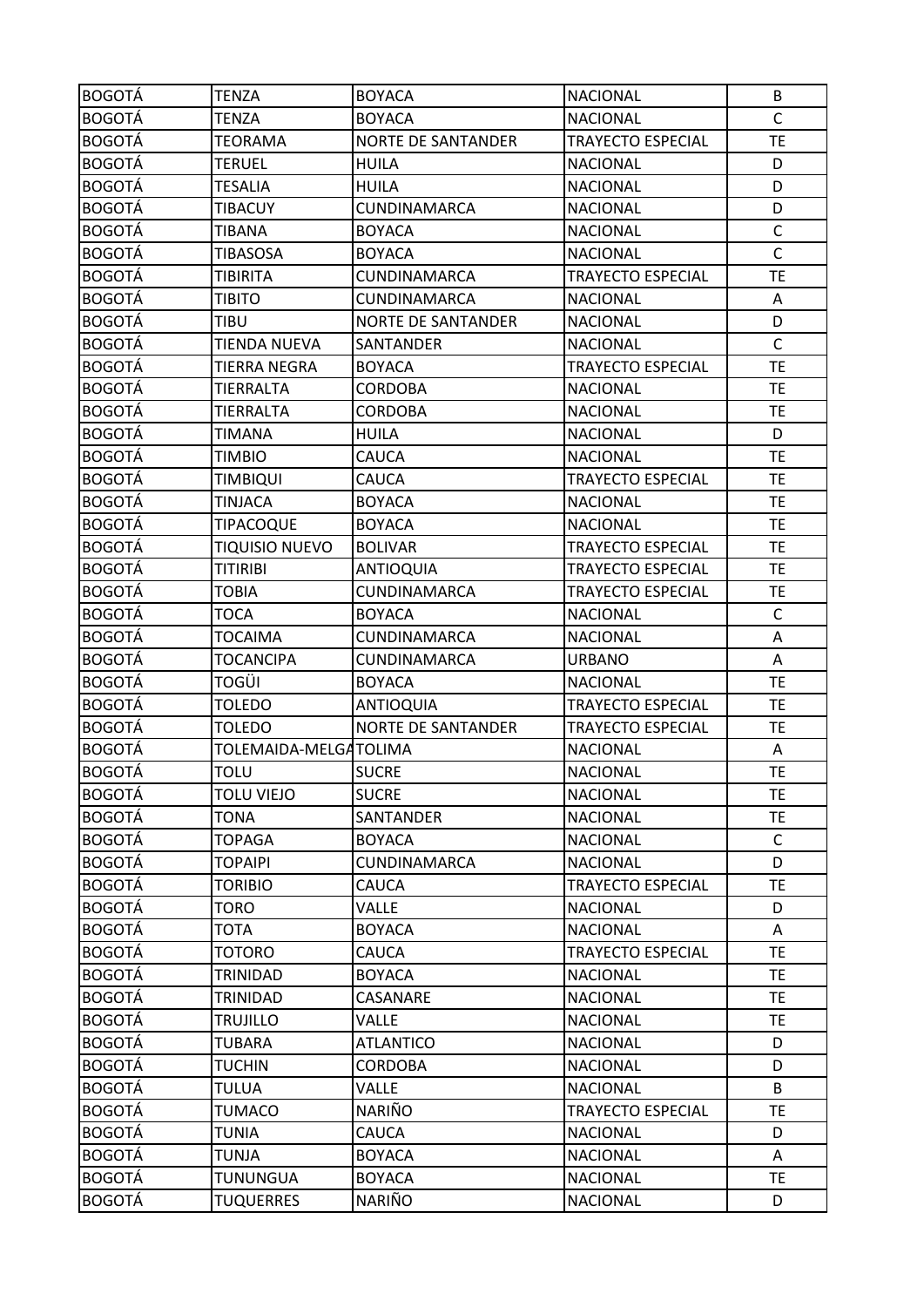| <b>BOGOTÁ</b>                  | <b>TENZA</b>                        | <b>BOYACA</b>             | <b>NACIONAL</b>                    | B            |
|--------------------------------|-------------------------------------|---------------------------|------------------------------------|--------------|
| <b>BOGOTÁ</b>                  | <b>TENZA</b>                        | <b>BOYACA</b>             | <b>NACIONAL</b>                    | $\mathsf{C}$ |
| <b>BOGOTÁ</b>                  | <b>TEORAMA</b>                      | <b>NORTE DE SANTANDER</b> | <b>TRAYECTO ESPECIAL</b>           | TE           |
| <b>BOGOTÁ</b>                  | <b>TERUEL</b>                       | <b>HUILA</b>              | <b>NACIONAL</b>                    | D            |
| <b>BOGOTÁ</b>                  | <b>TESALIA</b>                      | <b>HUILA</b>              | <b>NACIONAL</b>                    | D            |
| <b>BOGOTÁ</b>                  | <b>TIBACUY</b>                      | CUNDINAMARCA              | <b>NACIONAL</b>                    | D            |
| <b>BOGOTÁ</b>                  | <b>TIBANA</b>                       | <b>BOYACA</b>             | <b>NACIONAL</b>                    | $\mathsf C$  |
| <b>BOGOTÁ</b>                  | <b>TIBASOSA</b>                     | <b>BOYACA</b>             | <b>NACIONAL</b>                    | $\mathsf{C}$ |
| <b>BOGOTÁ</b>                  | <b>TIBIRITA</b>                     | CUNDINAMARCA              | <b>TRAYECTO ESPECIAL</b>           | TE           |
| <b>BOGOTÁ</b>                  | <b>TIBITO</b>                       | CUNDINAMARCA              | <b>NACIONAL</b>                    | A            |
| <b>BOGOTÁ</b>                  | <b>TIBU</b>                         | <b>NORTE DE SANTANDER</b> | <b>NACIONAL</b>                    | D            |
| <b>BOGOTÁ</b>                  | TIENDA NUEVA                        | SANTANDER                 | <b>NACIONAL</b>                    | $\mathsf C$  |
| <b>BOGOTÁ</b>                  | <b>TIERRA NEGRA</b>                 | <b>BOYACA</b>             | <b>TRAYECTO ESPECIAL</b>           | <b>TE</b>    |
| <b>BOGOTÁ</b>                  | <b>TIERRALTA</b>                    | <b>CORDOBA</b>            | <b>NACIONAL</b>                    | <b>TE</b>    |
| <b>BOGOTÁ</b>                  | TIERRALTA                           | <b>CORDOBA</b>            | <b>NACIONAL</b>                    | TE           |
| <b>BOGOTÁ</b>                  | <b>TIMANA</b>                       | <b>HUILA</b>              | <b>NACIONAL</b>                    | D            |
| <b>BOGOTÁ</b>                  | TIMBIO                              | CAUCA                     | <b>NACIONAL</b>                    | TE           |
| <b>BOGOTÁ</b>                  | <b>TIMBIQUI</b>                     | CAUCA                     | <b>TRAYECTO ESPECIAL</b>           | <b>TE</b>    |
| <b>BOGOTÁ</b>                  | <b>TINJACA</b>                      | <b>BOYACA</b>             | <b>NACIONAL</b>                    | <b>TE</b>    |
| <b>BOGOTÁ</b>                  | <b>TIPACOQUE</b>                    | <b>BOYACA</b>             | <b>NACIONAL</b>                    | <b>TE</b>    |
| <b>BOGOTÁ</b>                  | <b>TIQUISIO NUEVO</b>               | <b>BOLIVAR</b>            | TRAYECTO ESPECIAL                  | TE           |
| <b>BOGOTÁ</b>                  | <b>TITIRIBI</b>                     | <b>ANTIOQUIA</b>          | <b>TRAYECTO ESPECIAL</b>           | <b>TE</b>    |
| <b>BOGOTÁ</b>                  | <b>TOBIA</b>                        | CUNDINAMARCA              | <b>TRAYECTO ESPECIAL</b>           | <b>TE</b>    |
| <b>BOGOTÁ</b>                  | <b>TOCA</b>                         | <b>BOYACA</b>             | <b>NACIONAL</b>                    | $\mathsf C$  |
| <b>BOGOTÁ</b>                  | <b>TOCAIMA</b>                      | CUNDINAMARCA              | <b>NACIONAL</b>                    | Α            |
| <b>BOGOTÁ</b>                  | <b>TOCANCIPA</b>                    | CUNDINAMARCA              | <b>URBANO</b>                      | Α            |
| <b>BOGOTÁ</b>                  | <b>TOGÜI</b>                        | <b>BOYACA</b>             | <b>NACIONAL</b>                    | TE           |
| <b>BOGOTÁ</b>                  | <b>TOLEDO</b>                       | <b>ANTIOQUIA</b>          | <b>TRAYECTO ESPECIAL</b>           | TE           |
| <b>BOGOTÁ</b>                  | <b>TOLEDO</b>                       | <b>NORTE DE SANTANDER</b> | <b>TRAYECTO ESPECIAL</b>           | <b>TE</b>    |
| <b>BOGOTÁ</b>                  | TOLEMAIDA-MELGATOLIMA               |                           | <b>NACIONAL</b>                    | A            |
| <b>BOGOTÁ</b>                  | <b>TOLU</b>                         | <b>SUCRE</b>              | <b>NACIONAL</b>                    | <b>TE</b>    |
| <b>BOGOTÁ</b>                  | <b>TOLU VIEJO</b>                   | <b>SUCRE</b>              | <b>NACIONAL</b>                    | <b>TE</b>    |
| <b>BOGOTÁ</b>                  | <b>TONA</b>                         | SANTANDER                 | <b>NACIONAL</b>                    | <b>TE</b>    |
| <b>BOGOTÁ</b>                  | <b>TOPAGA</b>                       | <b>BOYACA</b>             | <b>NACIONAL</b>                    | $\mathsf{C}$ |
| <b>BOGOTÁ</b>                  | <b>TOPAIPI</b>                      | CUNDINAMARCA              | <b>NACIONAL</b>                    | D            |
| <b>BOGOTÁ</b>                  | <b>TORIBIO</b>                      | CAUCA                     | TRAYECTO ESPECIAL                  | <b>TE</b>    |
| <b>BOGOTÁ</b>                  | <b>TORO</b>                         | VALLE                     | <b>NACIONAL</b>                    | D            |
| <b>BOGOTÁ</b>                  | <b>TOTA</b>                         | <b>BOYACA</b>             | <b>NACIONAL</b>                    | Α            |
| <b>BOGOTÁ</b>                  | <b>TOTORO</b>                       | CAUCA                     | TRAYECTO ESPECIAL                  | <b>TE</b>    |
| <b>BOGOTÁ</b>                  | TRINIDAD                            | <b>BOYACA</b>             | <b>NACIONAL</b>                    | ТE           |
| <b>BOGOTÁ</b>                  | TRINIDAD                            | CASANARE                  | <b>NACIONAL</b>                    | TE.          |
| <b>BOGOTÁ</b>                  | <b>TRUJILLO</b>                     | <b>VALLE</b>              | <b>NACIONAL</b>                    | <b>TE</b>    |
| <b>BOGOTÁ</b>                  | <b>TUBARA</b>                       | <b>ATLANTICO</b>          | <b>NACIONAL</b>                    | D            |
| <b>BOGOTÁ</b>                  | <b>TUCHIN</b>                       | <b>CORDOBA</b>            | <b>NACIONAL</b>                    | D            |
| <b>BOGOTÁ</b>                  | <b>TULUA</b>                        | <b>VALLE</b>              | <b>NACIONAL</b>                    | B            |
| <b>BOGOTÁ</b>                  | <b>TUMACO</b>                       | <b>NARIÑO</b>             | <b>TRAYECTO ESPECIAL</b>           | <b>TE</b>    |
| <b>BOGOTÁ</b>                  |                                     |                           |                                    |              |
|                                | <b>TUNIA</b>                        | CAUCA                     | <b>NACIONAL</b>                    | D            |
| <b>BOGOTÁ</b>                  | TUNJA                               | <b>BOYACA</b>             | <b>NACIONAL</b>                    | A            |
| <b>BOGOTÁ</b><br><b>BOGOTÁ</b> | <b>TUNUNGUA</b><br><b>TUQUERRES</b> | <b>BOYACA</b><br>NARIÑO   | <b>NACIONAL</b><br><b>NACIONAL</b> | <b>TE</b>    |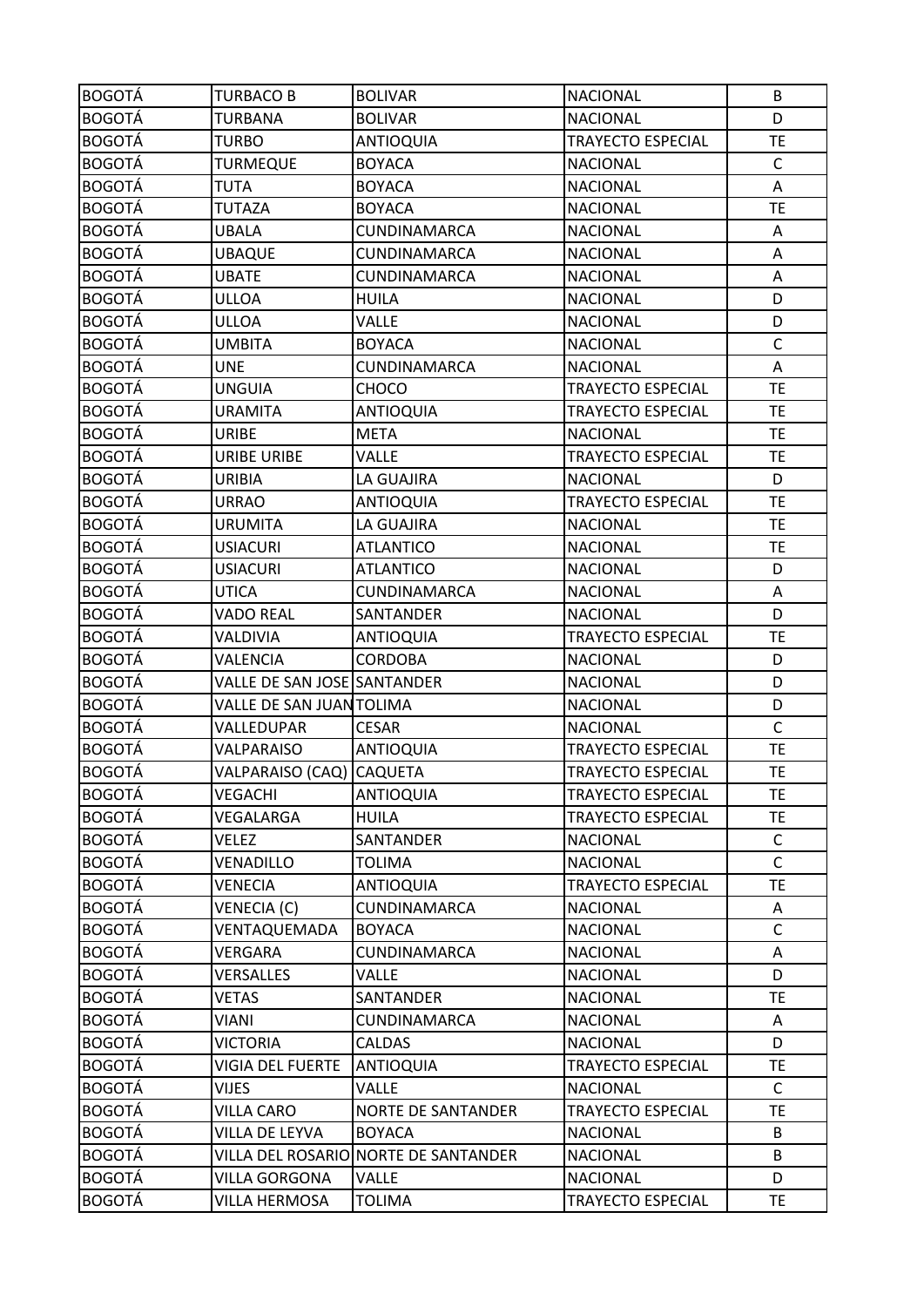| <b>BOGOTÁ</b> | <b>TURBACO B</b>            | <b>BOLIVAR</b>                       | <b>NACIONAL</b>          | B            |
|---------------|-----------------------------|--------------------------------------|--------------------------|--------------|
| <b>BOGOTÁ</b> | <b>TURBANA</b>              | <b>BOLIVAR</b>                       | <b>NACIONAL</b>          | D            |
| <b>BOGOTÁ</b> | <b>TURBO</b>                | <b>ANTIOQUIA</b>                     | TRAYECTO ESPECIAL        | <b>TE</b>    |
| <b>BOGOTÁ</b> | <b>TURMEQUE</b>             | <b>BOYACA</b>                        | <b>NACIONAL</b>          | $\mathsf{C}$ |
| <b>BOGOTÁ</b> | TUTA                        | <b>BOYACA</b>                        | <b>NACIONAL</b>          | А            |
| <b>BOGOTÁ</b> | <b>TUTAZA</b>               | <b>BOYACA</b>                        | <b>NACIONAL</b>          | <b>TE</b>    |
| <b>BOGOTÁ</b> | <b>UBALA</b>                | CUNDINAMARCA                         | <b>NACIONAL</b>          | Α            |
| <b>BOGOTÁ</b> | <b>UBAQUE</b>               | CUNDINAMARCA                         | <b>NACIONAL</b>          | Α            |
| <b>BOGOTÁ</b> | <b>UBATE</b>                | CUNDINAMARCA                         | <b>NACIONAL</b>          | A            |
| <b>BOGOTÁ</b> | ULLOA                       | HUILA                                | <b>NACIONAL</b>          | D            |
| <b>BOGOTÁ</b> | ULLOA                       | <b>VALLE</b>                         | <b>NACIONAL</b>          | D            |
| <b>BOGOTÁ</b> | <b>UMBITA</b>               | <b>BOYACA</b>                        | <b>NACIONAL</b>          | $\mathsf C$  |
| <b>BOGOTÁ</b> | <b>UNE</b>                  | CUNDINAMARCA                         | <b>NACIONAL</b>          | Α            |
| <b>BOGOTÁ</b> | <b>UNGUIA</b>               | <b>CHOCO</b>                         | TRAYECTO ESPECIAL        | <b>TE</b>    |
| <b>BOGOTÁ</b> | <b>URAMITA</b>              | <b>ANTIOQUIA</b>                     | <b>TRAYECTO ESPECIAL</b> | <b>TE</b>    |
| <b>BOGOTÁ</b> | <b>URIBE</b>                | <b>META</b>                          | <b>NACIONAL</b>          | <b>TE</b>    |
| <b>BOGOTÁ</b> | URIBE URIBE                 | VALLE                                | TRAYECTO ESPECIAL        | <b>TE</b>    |
| <b>BOGOTÁ</b> | <b>URIBIA</b>               | LA GUAJIRA                           | <b>NACIONAL</b>          | D            |
| <b>BOGOTÁ</b> | <b>URRAO</b>                | <b>ANTIOQUIA</b>                     | <b>TRAYECTO ESPECIAL</b> | <b>TE</b>    |
| <b>BOGOTÁ</b> | <b>URUMITA</b>              | LA GUAJIRA                           | <b>NACIONAL</b>          | <b>TE</b>    |
| <b>BOGOTÁ</b> | <b>USIACURI</b>             | <b>ATLANTICO</b>                     | <b>NACIONAL</b>          | <b>TE</b>    |
| <b>BOGOTÁ</b> | <b>USIACURI</b>             | <b>ATLANTICO</b>                     | <b>NACIONAL</b>          | D            |
| <b>BOGOTÁ</b> | UTICA                       | CUNDINAMARCA                         | <b>NACIONAL</b>          | Α            |
| <b>BOGOTÁ</b> | <b>VADO REAL</b>            | SANTANDER                            | <b>NACIONAL</b>          | D            |
| <b>BOGOTÁ</b> | VALDIVIA                    | <b>ANTIOQUIA</b>                     | <b>TRAYECTO ESPECIAL</b> | <b>TE</b>    |
| <b>BOGOTÁ</b> | VALENCIA                    | <b>CORDOBA</b>                       | <b>NACIONAL</b>          | D            |
| <b>BOGOTÁ</b> | VALLE DE SAN JOSE SANTANDER |                                      | <b>NACIONAL</b>          | D            |
| <b>BOGOTÁ</b> | VALLE DE SAN JUANTOLIMA     |                                      | <b>NACIONAL</b>          | D            |
| <b>BOGOTÁ</b> | VALLEDUPAR                  | <b>CESAR</b>                         | <b>NACIONAL</b>          | $\mathsf{C}$ |
| <b>BOGOTÁ</b> | VALPARAISO                  | <b>ANTIOQUIA</b>                     | <b>TRAYECTO ESPECIAL</b> | <b>TE</b>    |
| <b>BOGOTÁ</b> | VALPARAISO (CAQ) CAQUETA    |                                      | <b>TRAYECTO ESPECIAL</b> | <b>TE</b>    |
| <b>BOGOTÁ</b> | VEGACHI                     | <b>ANTIOQUIA</b>                     | <b>TRAYECTO ESPECIAL</b> | <b>TE</b>    |
| <b>BOGOTÁ</b> | VEGALARGA                   | <b>HUILA</b>                         | <b>TRAYECTO ESPECIAL</b> | <b>TE</b>    |
| <b>BOGOTÁ</b> | VELEZ                       | SANTANDER                            | <b>NACIONAL</b>          | $\mathsf{C}$ |
| <b>BOGOTÁ</b> | VENADILLO                   | <b>TOLIMA</b>                        | <b>NACIONAL</b>          | $\mathsf{C}$ |
| <b>BOGOTÁ</b> | VENECIA                     | <b>ANTIOQUIA</b>                     | <b>TRAYECTO ESPECIAL</b> | <b>TE</b>    |
| <b>BOGOTÁ</b> | VENECIA (C)                 | CUNDINAMARCA                         | <b>NACIONAL</b>          | Α            |
| <b>BOGOTÁ</b> | VENTAQUEMADA                | <b>BOYACA</b>                        | <b>NACIONAL</b>          | $\mathsf C$  |
| <b>BOGOTÁ</b> | VERGARA                     | CUNDINAMARCA                         | <b>NACIONAL</b>          | Α            |
| <b>BOGOTÁ</b> | <b>VERSALLES</b>            | VALLE                                | <b>NACIONAL</b>          | D            |
| <b>BOGOTÁ</b> | <b>VETAS</b>                | SANTANDER                            | <b>NACIONAL</b>          | <b>TE</b>    |
| <b>BOGOTÁ</b> | VIANI                       | CUNDINAMARCA                         | <b>NACIONAL</b>          | A            |
| <b>BOGOTÁ</b> | <b>VICTORIA</b>             | <b>CALDAS</b>                        | <b>NACIONAL</b>          | D            |
| <b>BOGOTÁ</b> | VIGIA DEL FUERTE            | <b>ANTIOQUIA</b>                     | <b>TRAYECTO ESPECIAL</b> | <b>TE</b>    |
| <b>BOGOTÁ</b> | <b>VIJES</b>                | VALLE                                | <b>NACIONAL</b>          | $\mathsf C$  |
| <b>BOGOTÁ</b> | <b>VILLA CARO</b>           | <b>NORTE DE SANTANDER</b>            | <b>TRAYECTO ESPECIAL</b> | <b>TE</b>    |
| <b>BOGOTÁ</b> | VILLA DE LEYVA              | <b>BOYACA</b>                        | <b>NACIONAL</b>          | B            |
| <b>BOGOTÁ</b> |                             | VILLA DEL ROSARIO NORTE DE SANTANDER | <b>NACIONAL</b>          | B            |
| <b>BOGOTÁ</b> | <b>VILLA GORGONA</b>        | <b>VALLE</b>                         | <b>NACIONAL</b>          | D            |
| <b>BOGOTÁ</b> | VILLA HERMOSA               | <b>TOLIMA</b>                        | TRAYECTO ESPECIAL        | <b>TE</b>    |